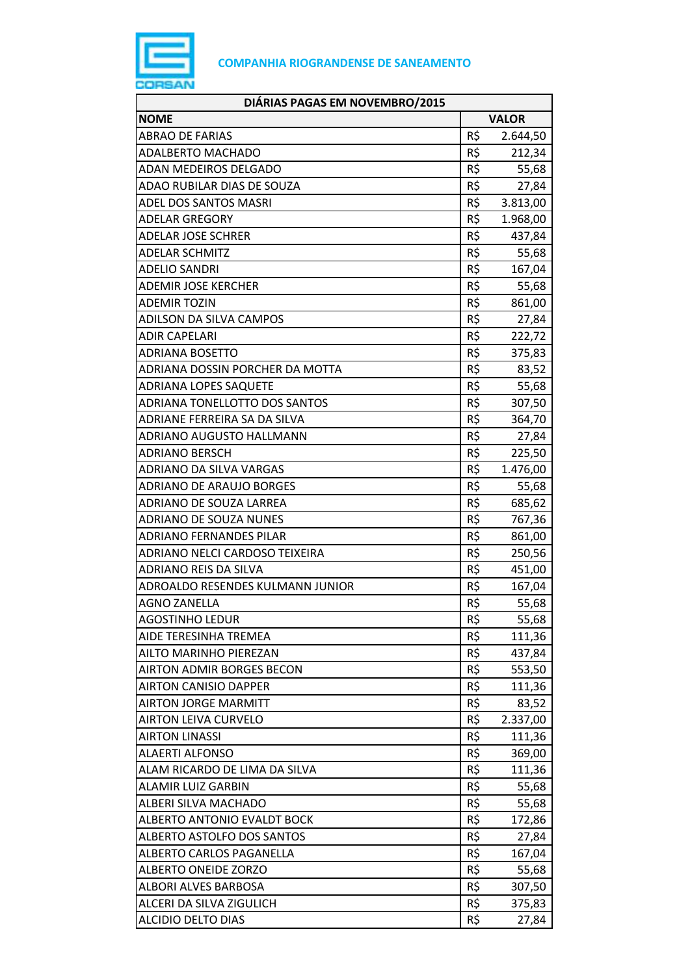

| DIÁRIAS PAGAS EM NOVEMBRO/2015   |              |          |
|----------------------------------|--------------|----------|
| <b>NOME</b>                      | <b>VALOR</b> |          |
| ABRAO DE FARIAS                  | R\$          | 2.644,50 |
| <b>ADALBERTO MACHADO</b>         | R\$          | 212,34   |
| ADAN MEDEIROS DELGADO            | R\$          | 55,68    |
| ADAO RUBILAR DIAS DE SOUZA       | R\$          | 27,84    |
| <b>ADEL DOS SANTOS MASRI</b>     | R\$          | 3.813,00 |
| <b>ADELAR GREGORY</b>            | R\$          | 1.968,00 |
| <b>ADELAR JOSE SCHRER</b>        | R\$          | 437,84   |
| <b>ADELAR SCHMITZ</b>            | R\$          | 55,68    |
| <b>ADELIO SANDRI</b>             | R\$          | 167,04   |
| <b>ADEMIR JOSE KERCHER</b>       | R\$          | 55,68    |
| <b>ADEMIR TOZIN</b>              | R\$          | 861,00   |
| ADILSON DA SILVA CAMPOS          | R\$          | 27,84    |
| <b>ADIR CAPELARI</b>             | R\$          | 222,72   |
| <b>ADRIANA BOSETTO</b>           | R\$          | 375,83   |
| ADRIANA DOSSIN PORCHER DA MOTTA  | R\$          | 83,52    |
| <b>ADRIANA LOPES SAQUETE</b>     | R\$          | 55,68    |
| ADRIANA TONELLOTTO DOS SANTOS    | R\$          | 307,50   |
| ADRIANE FERREIRA SA DA SILVA     | R\$          | 364,70   |
| ADRIANO AUGUSTO HALLMANN         | R\$          | 27,84    |
| <b>ADRIANO BERSCH</b>            | R\$          | 225,50   |
| ADRIANO DA SILVA VARGAS          | R\$          | 1.476,00 |
| <b>ADRIANO DE ARAUJO BORGES</b>  | R\$          | 55,68    |
| ADRIANO DE SOUZA LARREA          | R\$          | 685,62   |
| <b>ADRIANO DE SOUZA NUNES</b>    | R\$          | 767,36   |
| <b>ADRIANO FERNANDES PILAR</b>   | R\$          | 861,00   |
| ADRIANO NELCI CARDOSO TEIXEIRA   | R\$          | 250,56   |
| ADRIANO REIS DA SILVA            | R\$          | 451,00   |
| ADROALDO RESENDES KULMANN JUNIOR | R\$          | 167,04   |
| <b>AGNO ZANELLA</b>              | R\$          | 55,68    |
| <b>AGOSTINHO LEDUR</b>           | R\$          | 55,68    |
| AIDE TERESINHA TREMEA            | R\$          | 111,36   |
| AILTO MARINHO PIEREZAN           | R\$          | 437,84   |
| <b>AIRTON ADMIR BORGES BECON</b> | R\$          | 553,50   |
| <b>AIRTON CANISIO DAPPER</b>     | R\$          | 111,36   |
| <b>AIRTON JORGE MARMITT</b>      | R\$          | 83,52    |
| <b>AIRTON LEIVA CURVELO</b>      | R\$          | 2.337,00 |
| <b>AIRTON LINASSI</b>            | R\$          | 111,36   |
| <b>ALAERTI ALFONSO</b>           | R\$          | 369,00   |
| ALAM RICARDO DE LIMA DA SILVA    | R\$          | 111,36   |
| <b>ALAMIR LUIZ GARBIN</b>        | R\$          | 55,68    |
| ALBERI SILVA MACHADO             | R\$          | 55,68    |
| ALBERTO ANTONIO EVALDT BOCK      | R\$          | 172,86   |
| ALBERTO ASTOLFO DOS SANTOS       | R\$          | 27,84    |
| ALBERTO CARLOS PAGANELLA         | R\$          | 167,04   |
| ALBERTO ONEIDE ZORZO             | R\$          | 55,68    |
| ALBORI ALVES BARBOSA             | R\$          | 307,50   |
| ALCERI DA SILVA ZIGULICH         | R\$          | 375,83   |
| ALCIDIO DELTO DIAS               | R\$          | 27,84    |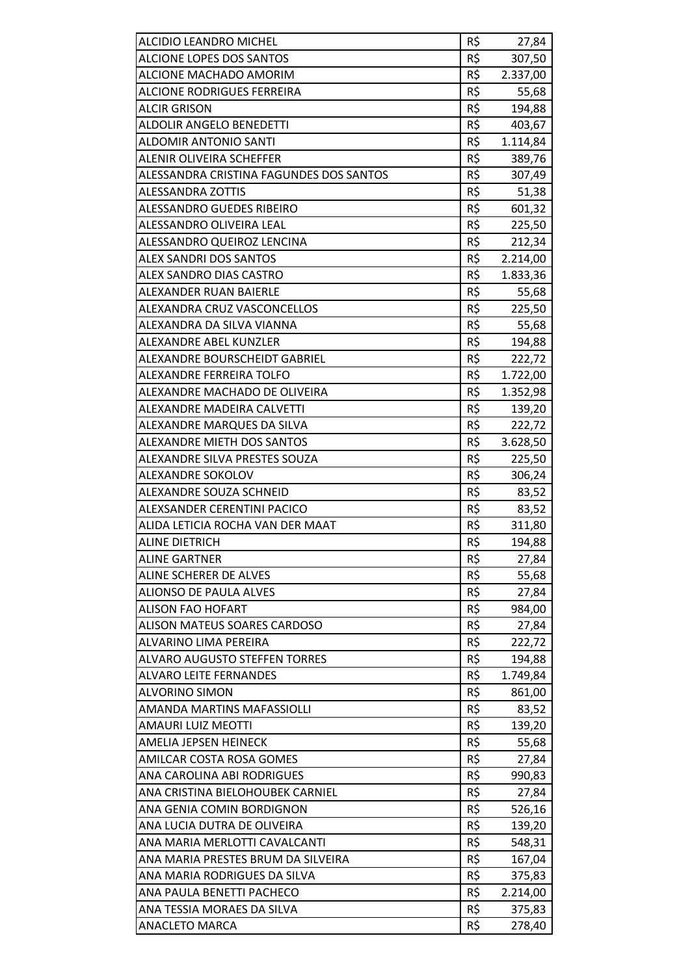| ALCIDIO LEANDRO MICHEL                  | R\$ | 27,84    |
|-----------------------------------------|-----|----------|
| <b>ALCIONE LOPES DOS SANTOS</b>         | R\$ | 307,50   |
| ALCIONE MACHADO AMORIM                  | R\$ | 2.337,00 |
| ALCIONE RODRIGUES FERREIRA              | R\$ | 55,68    |
| <b>ALCIR GRISON</b>                     | R\$ | 194,88   |
| ALDOLIR ANGELO BENEDETTI                | R\$ | 403,67   |
| <b>ALDOMIR ANTONIO SANTI</b>            | R\$ | 1.114,84 |
| <b>ALENIR OLIVEIRA SCHEFFER</b>         | R\$ | 389,76   |
| ALESSANDRA CRISTINA FAGUNDES DOS SANTOS | R\$ | 307,49   |
| <b>ALESSANDRA ZOTTIS</b>                | R\$ | 51,38    |
| ALESSANDRO GUEDES RIBEIRO               | R\$ | 601,32   |
| ALESSANDRO OLIVEIRA LEAL                | R\$ | 225,50   |
| ALESSANDRO QUEIROZ LENCINA              | R\$ | 212,34   |
| <b>ALEX SANDRI DOS SANTOS</b>           | R\$ | 2.214,00 |
| <b>ALEX SANDRO DIAS CASTRO</b>          | R\$ | 1.833,36 |
| ALEXANDER RUAN BAIERLE                  | R\$ | 55,68    |
| ALEXANDRA CRUZ VASCONCELLOS             | R\$ | 225,50   |
| ALEXANDRA DA SILVA VIANNA               | R\$ | 55,68    |
| ALEXANDRE ABEL KUNZLER                  | R\$ | 194,88   |
| ALEXANDRE BOURSCHEIDT GABRIEL           | R\$ | 222,72   |
| ALEXANDRE FERREIRA TOLFO                | R\$ | 1.722,00 |
| ALEXANDRE MACHADO DE OLIVEIRA           | R\$ | 1.352,98 |
| ALEXANDRE MADEIRA CALVETTI              | R\$ | 139,20   |
| ALEXANDRE MARQUES DA SILVA              | R\$ | 222,72   |
| <b>ALEXANDRE MIETH DOS SANTOS</b>       | R\$ | 3.628,50 |
| ALEXANDRE SILVA PRESTES SOUZA           | R\$ | 225,50   |
| ALEXANDRE SOKOLOV                       | R\$ | 306,24   |
| ALEXANDRE SOUZA SCHNEID                 | R\$ | 83,52    |
| ALEXSANDER CERENTINI PACICO             | R\$ | 83,52    |
| ALIDA LETICIA ROCHA VAN DER MAAT        | R\$ | 311,80   |
| ALINE DIETRICH                          | R\$ | 194,88   |
| <b>ALINE GARTNER</b>                    | R\$ | 27,84    |
| ALINE SCHERER DE ALVES                  | R\$ | 55,68    |
| <b>ALIONSO DE PAULA ALVES</b>           | R\$ | 27,84    |
| <b>ALISON FAO HOFART</b>                | R\$ | 984,00   |
| ALISON MATEUS SOARES CARDOSO            | R\$ | 27,84    |
| ALVARINO LIMA PEREIRA                   | R\$ | 222,72   |
| <b>ALVARO AUGUSTO STEFFEN TORRES</b>    | R\$ | 194,88   |
| <b>ALVARO LEITE FERNANDES</b>           | R\$ | 1.749,84 |
| <b>ALVORINO SIMON</b>                   | R\$ | 861,00   |
| AMANDA MARTINS MAFASSIOLLI              | R\$ | 83,52    |
| <b>AMAURI LUIZ MEOTTI</b>               | R\$ | 139,20   |
| AMELIA JEPSEN HEINECK                   | R\$ | 55,68    |
| AMILCAR COSTA ROSA GOMES                | R\$ | 27,84    |
| ANA CAROLINA ABI RODRIGUES              | R\$ | 990,83   |
| ANA CRISTINA BIELOHOUBEK CARNIEL        | R\$ | 27,84    |
| ANA GENIA COMIN BORDIGNON               | R\$ | 526,16   |
| ANA LUCIA DUTRA DE OLIVEIRA             | R\$ | 139,20   |
| ANA MARIA MERLOTTI CAVALCANTI           | R\$ | 548,31   |
| ANA MARIA PRESTES BRUM DA SILVEIRA      | R\$ | 167,04   |
| ANA MARIA RODRIGUES DA SILVA            | R\$ | 375,83   |
| ANA PAULA BENETTI PACHECO               | R\$ | 2.214,00 |
| ANA TESSIA MORAES DA SILVA              | R\$ | 375,83   |
| <b>ANACLETO MARCA</b>                   | R\$ | 278,40   |
|                                         |     |          |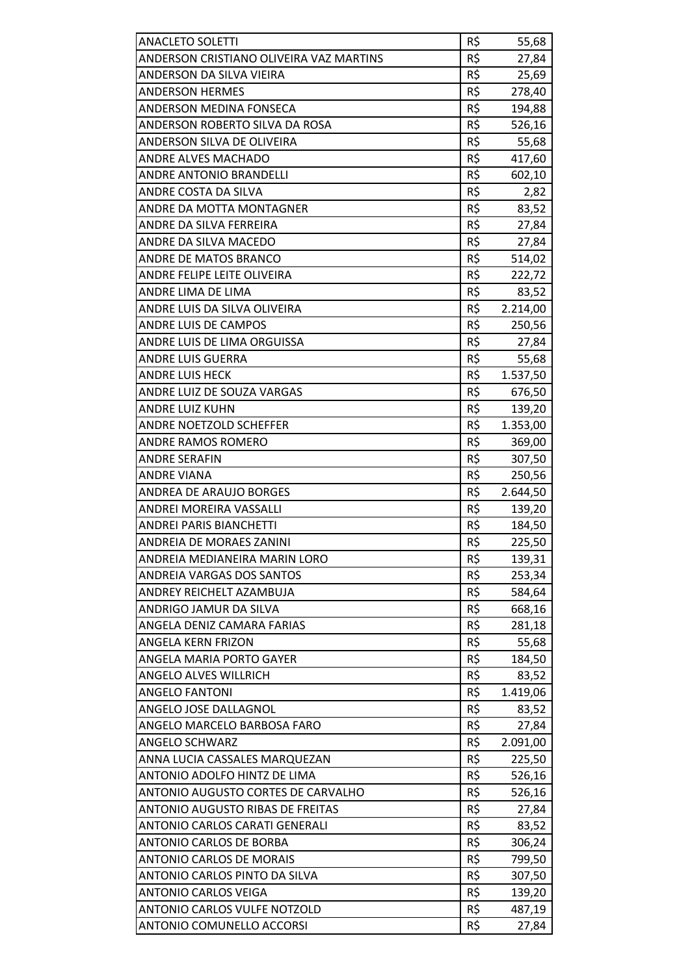| <b>ANACLETO SOLETTI</b>                 | R\$ | 55,68    |
|-----------------------------------------|-----|----------|
| ANDERSON CRISTIANO OLIVEIRA VAZ MARTINS | R\$ | 27,84    |
| ANDERSON DA SILVA VIEIRA                | R\$ | 25,69    |
| <b>ANDERSON HERMES</b>                  | R\$ | 278,40   |
| ANDERSON MEDINA FONSECA                 | R\$ | 194,88   |
| ANDERSON ROBERTO SILVA DA ROSA          | R\$ | 526,16   |
| ANDERSON SILVA DE OLIVEIRA              | R\$ | 55,68    |
| <b>ANDRE ALVES MACHADO</b>              | R\$ | 417,60   |
| <b>ANDRE ANTONIO BRANDELLI</b>          | R\$ | 602,10   |
| ANDRE COSTA DA SILVA                    | R\$ | 2,82     |
| ANDRE DA MOTTA MONTAGNER                | R\$ | 83,52    |
| ANDRE DA SILVA FERREIRA                 | R\$ | 27,84    |
| ANDRE DA SILVA MACEDO                   | R\$ | 27,84    |
| <b>ANDRE DE MATOS BRANCO</b>            | R\$ | 514,02   |
| ANDRE FELIPE LEITE OLIVEIRA             | R\$ | 222,72   |
| ANDRE LIMA DE LIMA                      | R\$ | 83,52    |
| ANDRE LUIS DA SILVA OLIVEIRA            | R\$ | 2.214,00 |
| ANDRE LUIS DE CAMPOS                    | R\$ | 250,56   |
| ANDRE LUIS DE LIMA ORGUISSA             | R\$ | 27,84    |
| <b>ANDRE LUIS GUERRA</b>                | R\$ | 55,68    |
| <b>ANDRE LUIS HECK</b>                  | R\$ | 1.537,50 |
| ANDRE LUIZ DE SOUZA VARGAS              | R\$ | 676,50   |
| <b>ANDRE LUIZ KUHN</b>                  | R\$ | 139,20   |
| ANDRE NOETZOLD SCHEFFER                 | R\$ | 1.353,00 |
| ANDRE RAMOS ROMERO                      | R\$ | 369,00   |
| <b>ANDRE SERAFIN</b>                    | R\$ | 307,50   |
| <b>ANDRE VIANA</b>                      | R\$ | 250,56   |
| ANDREA DE ARAUJO BORGES                 | R\$ | 2.644,50 |
| ANDREI MOREIRA VASSALLI                 | R\$ | 139,20   |
| <b>ANDREI PARIS BIANCHETTI</b>          | R\$ | 184,50   |
| ANDREIA DE MORAES ZANINI                | R\$ | 225,50   |
| ANDREIA MEDIANEIRA MARIN LORO           | R\$ | 139,31   |
| ANDREIA VARGAS DOS SANTOS               | R\$ | 253,34   |
| ANDREY REICHELT AZAMBUJA                | R\$ | 584,64   |
| ANDRIGO JAMUR DA SILVA                  | R\$ | 668,16   |
| ANGELA DENIZ CAMARA FARIAS              | R\$ | 281,18   |
| ANGELA KERN FRIZON                      | R\$ | 55,68    |
| ANGELA MARIA PORTO GAYER                | R\$ | 184,50   |
| <b>ANGELO ALVES WILLRICH</b>            | R\$ | 83,52    |
| <b>ANGELO FANTONI</b>                   | R\$ | 1.419,06 |
| ANGELO JOSE DALLAGNOL                   | R\$ | 83,52    |
| ANGELO MARCELO BARBOSA FARO             | R\$ | 27,84    |
| <b>ANGELO SCHWARZ</b>                   | R\$ | 2.091,00 |
| ANNA LUCIA CASSALES MARQUEZAN           | R\$ | 225,50   |
| ANTONIO ADOLFO HINTZ DE LIMA            | R\$ | 526,16   |
| ANTONIO AUGUSTO CORTES DE CARVALHO      | R\$ | 526,16   |
| <b>ANTONIO AUGUSTO RIBAS DE FREITAS</b> | R\$ | 27,84    |
| ANTONIO CARLOS CARATI GENERALI          | R\$ | 83,52    |
| ANTONIO CARLOS DE BORBA                 | R\$ | 306,24   |
| <b>ANTONIO CARLOS DE MORAIS</b>         | R\$ | 799,50   |
| ANTONIO CARLOS PINTO DA SILVA           | R\$ | 307,50   |
| <b>ANTONIO CARLOS VEIGA</b>             | R\$ | 139,20   |
| <b>ANTONIO CARLOS VULFE NOTZOLD</b>     | R\$ | 487,19   |
| <b>ANTONIO COMUNELLO ACCORSI</b>        | R\$ | 27,84    |
|                                         |     |          |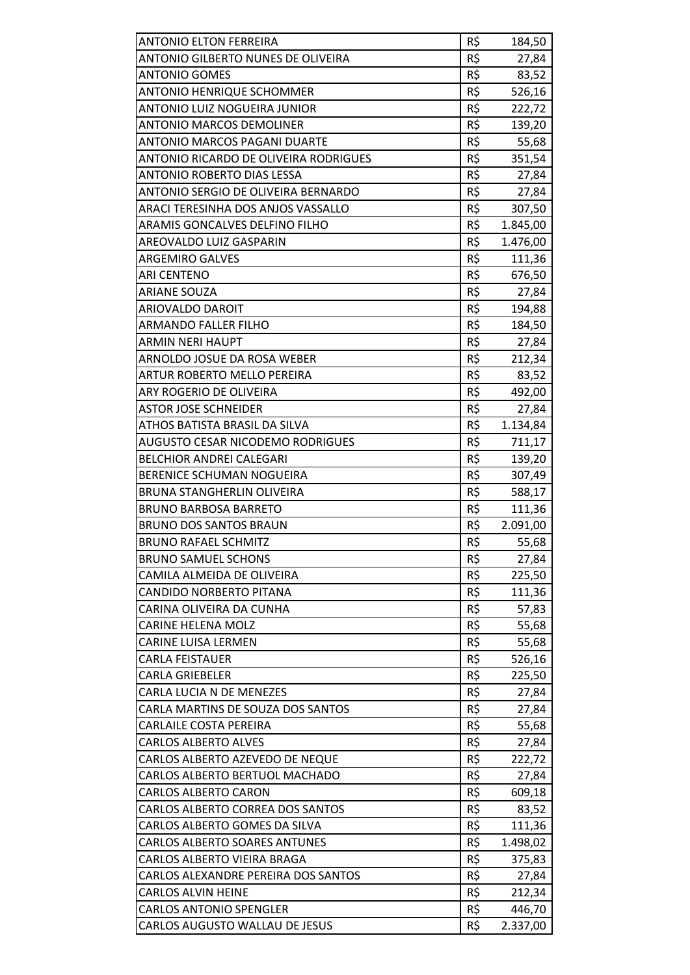| <b>ANTONIO ELTON FERREIRA</b><br>ANTONIO GILBERTO NUNES DE OLIVEIRA | R\$<br>R\$ | 184,50<br>27,84 |
|---------------------------------------------------------------------|------------|-----------------|
| <b>ANTONIO GOMES</b>                                                | R\$        | 83,52           |
| <b>ANTONIO HENRIQUE SCHOMMER</b>                                    | R\$        | 526,16          |
| ANTONIO LUIZ NOGUEIRA JUNIOR                                        | R\$        | 222,72          |
| <b>ANTONIO MARCOS DEMOLINER</b>                                     | R\$        |                 |
| ANTONIO MARCOS PAGANI DUARTE                                        | R\$        | 139,20<br>55,68 |
| ANTONIO RICARDO DE OLIVEIRA RODRIGUES                               | R\$        | 351,54          |
| ANTONIO ROBERTO DIAS LESSA                                          | R\$        | 27,84           |
| <b>ANTONIO SERGIO DE OLIVEIRA BERNARDO</b>                          | R\$        |                 |
| ARACI TERESINHA DOS ANJOS VASSALLO                                  | R\$        | 27,84<br>307,50 |
| ARAMIS GONCALVES DELFINO FILHO                                      | R\$        |                 |
|                                                                     | R\$        | 1.845,00        |
| AREOVALDO LUIZ GASPARIN                                             | R\$        | 1.476,00        |
| <b>ARGEMIRO GALVES</b>                                              |            | 111,36          |
| <b>ARI CENTENO</b>                                                  | R\$        | 676,50          |
| <b>ARIANE SOUZA</b>                                                 | R\$        | 27,84           |
| ARIOVALDO DAROIT                                                    | R\$        | 194,88          |
| <b>ARMANDO FALLER FILHO</b>                                         | R\$        | 184,50          |
| <b>ARMIN NERI HAUPT</b>                                             | R\$        | 27,84           |
| ARNOLDO JOSUE DA ROSA WEBER                                         | R\$        | 212,34          |
| ARTUR ROBERTO MELLO PEREIRA                                         | R\$        | 83,52           |
| ARY ROGERIO DE OLIVEIRA                                             | R\$        | 492,00          |
| <b>ASTOR JOSE SCHNEIDER</b>                                         | R\$        | 27,84           |
| ATHOS BATISTA BRASIL DA SILVA                                       | R\$        | 1.134,84        |
| AUGUSTO CESAR NICODEMO RODRIGUES                                    | R\$        | 711,17          |
| <b>BELCHIOR ANDREI CALEGARI</b>                                     | R\$        | 139,20          |
| BERENICE SCHUMAN NOGUEIRA                                           | R\$        | 307,49          |
| <b>BRUNA STANGHERLIN OLIVEIRA</b>                                   | R\$        | 588,17          |
| <b>BRUNO BARBOSA BARRETO</b>                                        | R\$        | 111,36          |
| <b>BRUNO DOS SANTOS BRAUN</b>                                       | R\$        | 2.091,00        |
| <b>BRUNO RAFAEL SCHMITZ</b>                                         | R\$        | 55,68           |
| <b>BRUNO SAMUEL SCHONS</b>                                          | R\$        | 27,84           |
| CAMILA ALMEIDA DE OLIVEIRA                                          | R\$        | 225,50          |
| <b>CANDIDO NORBERTO PITANA</b>                                      | R\$        | 111,36          |
| CARINA OLIVEIRA DA CUNHA                                            | R\$        | 57,83           |
| <b>CARINE HELENA MOLZ</b>                                           | R\$        | 55,68           |
| CARINE LUISA LERMEN                                                 | R\$        | 55,68           |
| <b>CARLA FEISTAUER</b>                                              | R\$        | 526,16          |
| <b>CARLA GRIEBELER</b>                                              | R\$        | 225,50          |
| CARLA LUCIA N DE MENEZES                                            | R\$        | 27,84           |
| CARLA MARTINS DE SOUZA DOS SANTOS                                   | R\$        | 27,84           |
| CARLAILE COSTA PEREIRA                                              | R\$        | 55,68           |
| <b>CARLOS ALBERTO ALVES</b>                                         | R\$        | 27,84           |
| CARLOS ALBERTO AZEVEDO DE NEQUE                                     | R\$        | 222,72          |
| CARLOS ALBERTO BERTUOL MACHADO                                      | R\$        | 27,84           |
| <b>CARLOS ALBERTO CARON</b>                                         | R\$        | 609,18          |
| CARLOS ALBERTO CORREA DOS SANTOS                                    | R\$        | 83,52           |
| CARLOS ALBERTO GOMES DA SILVA                                       | R\$        | 111,36          |
| CARLOS ALBERTO SOARES ANTUNES                                       | R\$        | 1.498,02        |
| CARLOS ALBERTO VIEIRA BRAGA                                         | R\$        | 375,83          |
| CARLOS ALEXANDRE PEREIRA DOS SANTOS                                 | R\$        | 27,84           |
| CARLOS ALVIN HEINE                                                  | R\$        | 212,34          |
| <b>CARLOS ANTONIO SPENGLER</b>                                      | R\$        | 446,70          |
| CARLOS AUGUSTO WALLAU DE JESUS                                      | R\$        | 2.337,00        |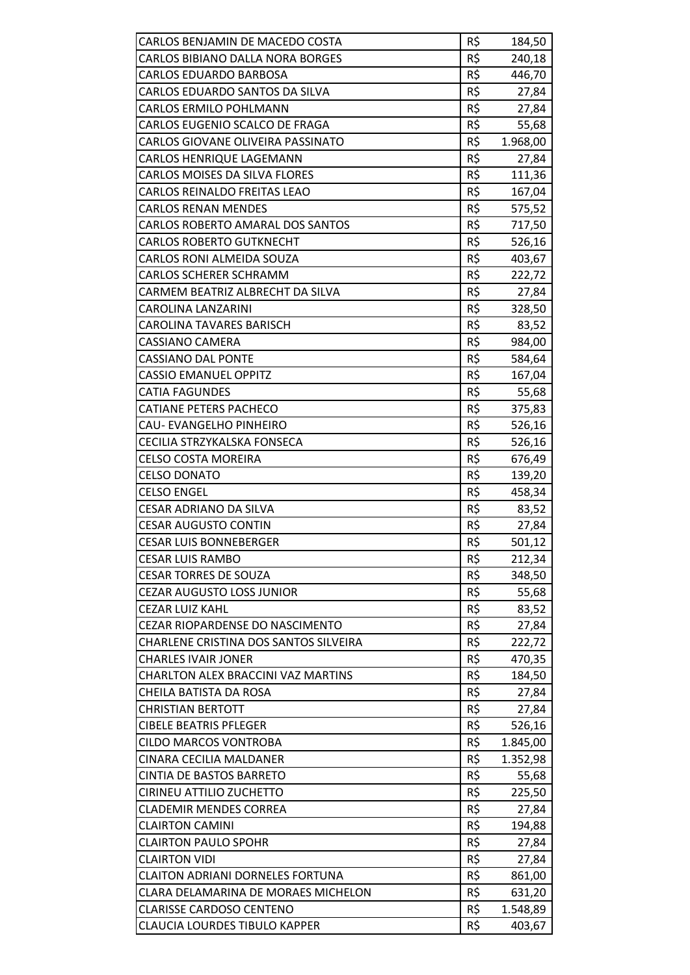| CARLOS BENJAMIN DE MACEDO COSTA            | R\$ | 184,50   |
|--------------------------------------------|-----|----------|
| CARLOS BIBIANO DALLA NORA BORGES           | R\$ | 240,18   |
| <b>CARLOS EDUARDO BARBOSA</b>              | R\$ | 446,70   |
| CARLOS EDUARDO SANTOS DA SILVA             | R\$ | 27,84    |
| <b>CARLOS ERMILO POHLMANN</b>              | R\$ | 27,84    |
| CARLOS EUGENIO SCALCO DE FRAGA             | R\$ | 55,68    |
| CARLOS GIOVANE OLIVEIRA PASSINATO          | R\$ | 1.968,00 |
| <b>CARLOS HENRIQUE LAGEMANN</b>            | R\$ | 27,84    |
| CARLOS MOISES DA SILVA FLORES              | R\$ | 111,36   |
| CARLOS REINALDO FREITAS LEAO               | R\$ | 167,04   |
| <b>CARLOS RENAN MENDES</b>                 | R\$ | 575,52   |
| CARLOS ROBERTO AMARAL DOS SANTOS           | R\$ | 717,50   |
| <b>CARLOS ROBERTO GUTKNECHT</b>            | R\$ | 526,16   |
| <b>CARLOS RONI ALMEIDA SOUZA</b>           | R\$ | 403,67   |
| <b>CARLOS SCHERER SCHRAMM</b>              | R\$ | 222,72   |
| CARMEM BEATRIZ ALBRECHT DA SILVA           | R\$ | 27,84    |
| CAROLINA LANZARINI                         | R\$ | 328,50   |
| <b>CAROLINA TAVARES BARISCH</b>            | R\$ | 83,52    |
| <b>CASSIANO CAMERA</b>                     | R\$ | 984,00   |
| <b>CASSIANO DAL PONTE</b>                  | R\$ | 584,64   |
| <b>CASSIO EMANUEL OPPITZ</b>               | R\$ | 167,04   |
| <b>CATIA FAGUNDES</b>                      | R\$ | 55,68    |
| <b>CATIANE PETERS PACHECO</b>              | R\$ | 375,83   |
| CAU-EVANGELHO PINHEIRO                     | R\$ | 526,16   |
| CECILIA STRZYKALSKA FONSECA                | R\$ | 526,16   |
| <b>CELSO COSTA MOREIRA</b>                 | R\$ | 676,49   |
| <b>CELSO DONATO</b>                        | R\$ | 139,20   |
| <b>CELSO ENGEL</b>                         | R\$ | 458,34   |
| <b>CESAR ADRIANO DA SILVA</b>              | R\$ | 83,52    |
| <b>CESAR AUGUSTO CONTIN</b>                | R\$ | 27,84    |
| <b>CESAR LUIS BONNEBERGER</b>              | R\$ | 501,12   |
| <b>CESAR LUIS RAMBO</b>                    | R\$ | 212,34   |
| <b>CESAR TORRES DE SOUZA</b>               | R\$ | 348,50   |
| <b>CEZAR AUGUSTO LOSS JUNIOR</b>           | R\$ | 55,68    |
| <b>CEZAR LUIZ KAHL</b>                     | R\$ | 83,52    |
| <b>CEZAR RIOPARDENSE DO NASCIMENTO</b>     | R\$ | 27,84    |
| CHARLENE CRISTINA DOS SANTOS SILVEIRA      | R\$ | 222,72   |
| <b>CHARLES IVAIR JONER</b>                 | R\$ | 470,35   |
| CHARLTON ALEX BRACCINI VAZ MARTINS         | R\$ | 184,50   |
| CHEILA BATISTA DA ROSA                     | R\$ | 27,84    |
| <b>CHRISTIAN BERTOTT</b>                   | R\$ | 27,84    |
| <b>CIBELE BEATRIS PFLEGER</b>              | R\$ | 526,16   |
| <b>CILDO MARCOS VONTROBA</b>               | R\$ | 1.845,00 |
| <b>CINARA CECILIA MALDANER</b>             | R\$ | 1.352,98 |
| <b>CINTIA DE BASTOS BARRETO</b>            | R\$ | 55,68    |
| CIRINEU ATTILIO ZUCHETTO                   | R\$ | 225,50   |
| <b>CLADEMIR MENDES CORREA</b>              | R\$ | 27,84    |
| <b>CLAIRTON CAMINI</b>                     | R\$ | 194,88   |
| <b>CLAIRTON PAULO SPOHR</b>                | R\$ | 27,84    |
| <b>CLAIRTON VIDI</b>                       | R\$ | 27,84    |
| <b>CLAITON ADRIANI DORNELES FORTUNA</b>    | R\$ | 861,00   |
| <b>CLARA DELAMARINA DE MORAES MICHELON</b> | R\$ | 631,20   |
| <b>CLARISSE CARDOSO CENTENO</b>            | R\$ | 1.548,89 |
| <b>CLAUCIA LOURDES TIBULO KAPPER</b>       | R\$ | 403,67   |
|                                            |     |          |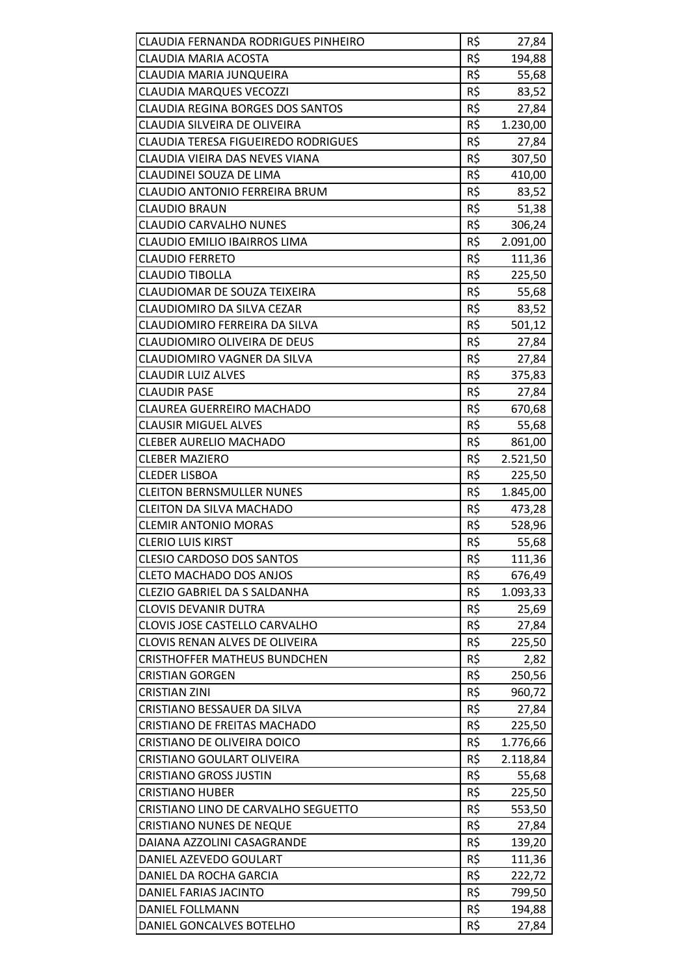| CLAUDIA FERNANDA RODRIGUES PINHEIRO        | R\$ | 27,84    |
|--------------------------------------------|-----|----------|
| <b>CLAUDIA MARIA ACOSTA</b>                | R\$ | 194,88   |
| CLAUDIA MARIA JUNQUEIRA                    | R\$ | 55,68    |
| <b>CLAUDIA MARQUES VECOZZI</b>             | R\$ | 83,52    |
| <b>CLAUDIA REGINA BORGES DOS SANTOS</b>    | R\$ | 27,84    |
| CLAUDIA SILVEIRA DE OLIVEIRA               | R\$ | 1.230,00 |
| <b>CLAUDIA TERESA FIGUEIREDO RODRIGUES</b> | R\$ | 27,84    |
| CLAUDIA VIEIRA DAS NEVES VIANA             | R\$ | 307,50   |
| <b>CLAUDINEI SOUZA DE LIMA</b>             | R\$ | 410,00   |
| <b>CLAUDIO ANTONIO FERREIRA BRUM</b>       | R\$ | 83,52    |
| <b>CLAUDIO BRAUN</b>                       | R\$ | 51,38    |
| <b>CLAUDIO CARVALHO NUNES</b>              | R\$ | 306,24   |
| <b>CLAUDIO EMILIO IBAIRROS LIMA</b>        | R\$ | 2.091,00 |
| <b>CLAUDIO FERRETO</b>                     | R\$ | 111,36   |
| <b>CLAUDIO TIBOLLA</b>                     | R\$ | 225,50   |
| CLAUDIOMAR DE SOUZA TEIXEIRA               | R\$ | 55,68    |
| CLAUDIOMIRO DA SILVA CEZAR                 | R\$ | 83,52    |
| CLAUDIOMIRO FERREIRA DA SILVA              | R\$ | 501,12   |
| CLAUDIOMIRO OLIVEIRA DE DEUS               | R\$ | 27,84    |
| CLAUDIOMIRO VAGNER DA SILVA                | R\$ | 27,84    |
| <b>CLAUDIR LUIZ ALVES</b>                  | R\$ | 375,83   |
| <b>CLAUDIR PASE</b>                        | R\$ | 27,84    |
| <b>CLAUREA GUERREIRO MACHADO</b>           | R\$ | 670,68   |
| <b>CLAUSIR MIGUEL ALVES</b>                | R\$ | 55,68    |
| <b>CLEBER AURELIO MACHADO</b>              | R\$ | 861,00   |
| <b>CLEBER MAZIERO</b>                      | R\$ | 2.521,50 |
| <b>CLEDER LISBOA</b>                       | R\$ | 225,50   |
| <b>CLEITON BERNSMULLER NUNES</b>           | R\$ | 1.845,00 |
| <b>CLEITON DA SILVA MACHADO</b>            | R\$ | 473,28   |
| <b>CLEMIR ANTONIO MORAS</b>                | R\$ | 528,96   |
| <b>CLERIO LUIS KIRST</b>                   | R\$ | 55,68    |
| <b>CLESIO CARDOSO DOS SANTOS</b>           | R\$ | 111,36   |
| <b>CLETO MACHADO DOS ANJOS</b>             | R\$ | 676,49   |
| <b>CLEZIO GABRIEL DA S SALDANHA</b>        | R\$ | 1.093,33 |
| <b>CLOVIS DEVANIR DUTRA</b>                | R\$ | 25,69    |
| CLOVIS JOSE CASTELLO CARVALHO              | R\$ | 27,84    |
| CLOVIS RENAN ALVES DE OLIVEIRA             | R\$ | 225,50   |
| <b>CRISTHOFFER MATHEUS BUNDCHEN</b>        | R\$ | 2,82     |
| <b>CRISTIAN GORGEN</b>                     | R\$ | 250,56   |
| <b>CRISTIAN ZINI</b>                       | R\$ | 960,72   |
| CRISTIANO BESSAUER DA SILVA                | R\$ | 27,84    |
| CRISTIANO DE FREITAS MACHADO               | R\$ | 225,50   |
| CRISTIANO DE OLIVEIRA DOICO                | R\$ | 1.776,66 |
| <b>CRISTIANO GOULART OLIVEIRA</b>          | R\$ | 2.118,84 |
| <b>CRISTIANO GROSS JUSTIN</b>              | R\$ | 55,68    |
| <b>CRISTIANO HUBER</b>                     | R\$ | 225,50   |
| CRISTIANO LINO DE CARVALHO SEGUETTO        | R\$ | 553,50   |
| <b>CRISTIANO NUNES DE NEQUE</b>            | R\$ | 27,84    |
| DAIANA AZZOLINI CASAGRANDE                 | R\$ | 139,20   |
| DANIEL AZEVEDO GOULART                     | R\$ | 111,36   |
| DANIEL DA ROCHA GARCIA                     | R\$ | 222,72   |
| DANIEL FARIAS JACINTO                      | R\$ | 799,50   |
| DANIEL FOLLMANN                            | R\$ | 194,88   |
| DANIEL GONCALVES BOTELHO                   | R\$ | 27,84    |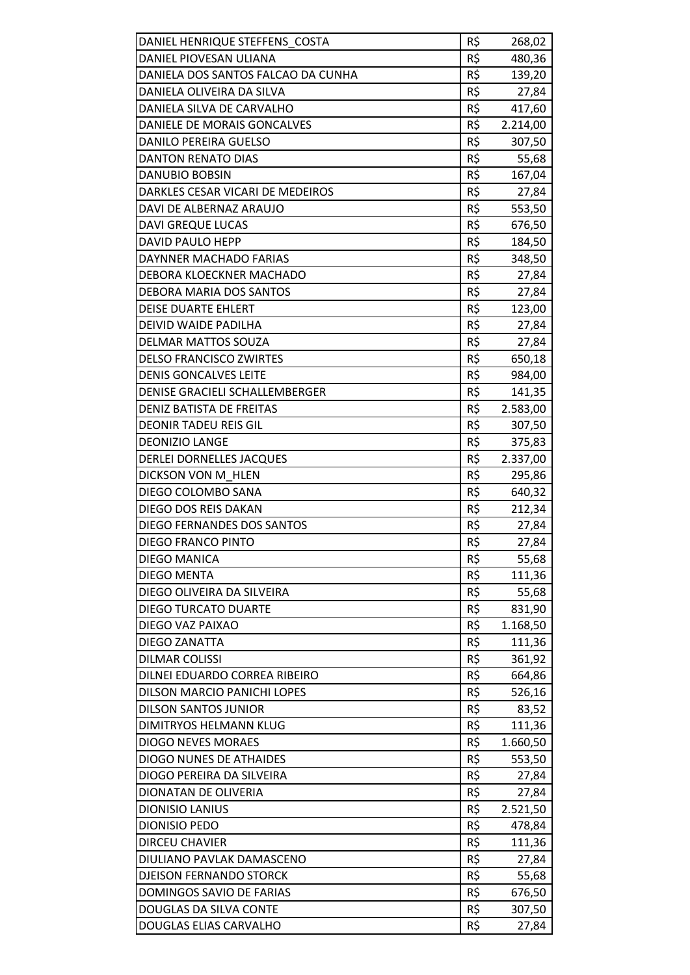| DANIEL HENRIQUE STEFFENS COSTA     | R\$ |                  |
|------------------------------------|-----|------------------|
| DANIEL PIOVESAN ULIANA             | R\$ | 268,02<br>480,36 |
| DANIELA DOS SANTOS FALCAO DA CUNHA | R\$ | 139,20           |
| DANIELA OLIVEIRA DA SILVA          | R\$ | 27,84            |
| DANIELA SILVA DE CARVALHO          | R\$ | 417,60           |
| DANIELE DE MORAIS GONCALVES        | R\$ | 2.214,00         |
| <b>DANILO PEREIRA GUELSO</b>       | R\$ | 307,50           |
| <b>DANTON RENATO DIAS</b>          | R\$ | 55,68            |
| <b>DANUBIO BOBSIN</b>              | R\$ | 167,04           |
| DARKLES CESAR VICARI DE MEDEIROS   | R\$ | 27,84            |
| DAVI DE ALBERNAZ ARAUJO            | R\$ | 553,50           |
| DAVI GREQUE LUCAS                  | R\$ | 676,50           |
| DAVID PAULO HEPP                   | R\$ | 184,50           |
| <b>DAYNNER MACHADO FARIAS</b>      | R\$ | 348,50           |
| DEBORA KLOECKNER MACHADO           | R\$ | 27,84            |
| DEBORA MARIA DOS SANTOS            | R\$ | 27,84            |
| <b>DEISE DUARTE EHLERT</b>         | R\$ | 123,00           |
| DEIVID WAIDE PADILHA               | R\$ | 27,84            |
| <b>DELMAR MATTOS SOUZA</b>         | R\$ | 27,84            |
| <b>DELSO FRANCISCO ZWIRTES</b>     | R\$ | 650,18           |
| <b>DENIS GONCALVES LEITE</b>       | R\$ | 984,00           |
| DENISE GRACIELI SCHALLEMBERGER     | R\$ | 141,35           |
| <b>DENIZ BATISTA DE FREITAS</b>    | R\$ | 2.583,00         |
| <b>DEONIR TADEU REIS GIL</b>       | R\$ | 307,50           |
| <b>DEONIZIO LANGE</b>              | R\$ | 375,83           |
| DERLEI DORNELLES JACQUES           | R\$ | 2.337,00         |
| DICKSON VON M HLEN                 | R\$ | 295,86           |
| DIEGO COLOMBO SANA                 | R\$ | 640,32           |
| DIEGO DOS REIS DAKAN               | R\$ | 212,34           |
| DIEGO FERNANDES DOS SANTOS         | R\$ | 27,84            |
| <b>DIEGO FRANCO PINTO</b>          | R\$ | 27,84            |
| <b>DIEGO MANICA</b>                | R\$ | 55,68            |
| <b>DIEGO MENTA</b>                 | R\$ | 111,36           |
| DIEGO OLIVEIRA DA SILVEIRA         | R\$ | 55,68            |
| <b>DIEGO TURCATO DUARTE</b>        | R\$ | 831,90           |
| DIEGO VAZ PAIXAO                   | R\$ | 1.168,50         |
| DIEGO ZANATTA                      | R\$ | 111,36           |
| <b>DILMAR COLISSI</b>              | R\$ | 361,92           |
| DILNEI EDUARDO CORREA RIBEIRO      | R\$ | 664,86           |
| DILSON MARCIO PANICHI LOPES        | R\$ | 526,16           |
| <b>DILSON SANTOS JUNIOR</b>        | R\$ | 83,52            |
| DIMITRYOS HELMANN KLUG             | R\$ | 111,36           |
| <b>DIOGO NEVES MORAES</b>          | R\$ | 1.660,50         |
| <b>DIOGO NUNES DE ATHAIDES</b>     | R\$ | 553,50           |
| DIOGO PEREIRA DA SILVEIRA          | R\$ | 27,84            |
| DIONATAN DE OLIVERIA               | R\$ | 27,84            |
| <b>DIONISIO LANIUS</b>             | R\$ | 2.521,50         |
| <b>DIONISIO PEDO</b>               | R\$ | 478,84           |
| <b>DIRCEU CHAVIER</b>              | R\$ | 111,36           |
| DIULIANO PAVLAK DAMASCENO          | R\$ | 27,84            |
| <b>DJEISON FERNANDO STORCK</b>     | R\$ | 55,68            |
| DOMINGOS SAVIO DE FARIAS           | R\$ | 676,50           |
| DOUGLAS DA SILVA CONTE             | R\$ | 307,50           |
| DOUGLAS ELIAS CARVALHO             | R\$ | 27,84            |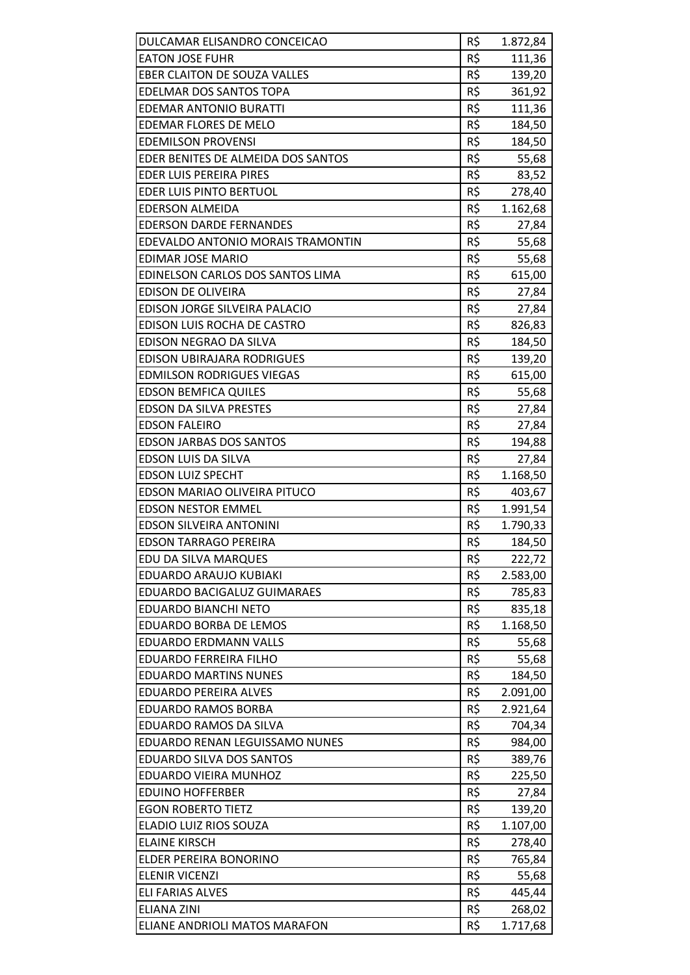| DULCAMAR ELISANDRO CONCEICAO           | R\$        | 1.872,84           |
|----------------------------------------|------------|--------------------|
| <b>EATON JOSE FUHR</b>                 | R\$        | 111,36             |
| <b>EBER CLAITON DE SOUZA VALLES</b>    | R\$        | 139,20             |
| <b>EDELMAR DOS SANTOS TOPA</b>         | R\$        | 361,92             |
| EDEMAR ANTONIO BURATTI                 | R\$        | 111,36             |
| EDEMAR FLORES DE MELO                  | R\$        | 184,50             |
| <b>EDEMILSON PROVENSI</b>              | R\$        | 184,50             |
| EDER BENITES DE ALMEIDA DOS SANTOS     | R\$        | 55,68              |
| EDER LUIS PEREIRA PIRES                | R\$        | 83,52              |
| <b>EDER LUIS PINTO BERTUOL</b>         | R\$        | 278,40             |
| <b>EDERSON ALMEIDA</b>                 | R\$        | 1.162,68           |
| <b>EDERSON DARDE FERNANDES</b>         | R\$        | 27,84              |
| EDEVALDO ANTONIO MORAIS TRAMONTIN      | R\$        | 55,68              |
| <b>EDIMAR JOSE MARIO</b>               | R\$        | 55,68              |
| EDINELSON CARLOS DOS SANTOS LIMA       | R\$        | 615,00             |
| <b>EDISON DE OLIVEIRA</b>              | R\$        | 27,84              |
| EDISON JORGE SILVEIRA PALACIO          | R\$        | 27,84              |
| EDISON LUIS ROCHA DE CASTRO            | R\$        | 826,83             |
| EDISON NEGRAO DA SILVA                 | R\$        | 184,50             |
| EDISON UBIRAJARA RODRIGUES             | R\$        | 139,20             |
| <b>EDMILSON RODRIGUES VIEGAS</b>       | R\$        | 615,00             |
| <b>EDSON BEMFICA QUILES</b>            | R\$        | 55,68              |
| <b>EDSON DA SILVA PRESTES</b>          | R\$        | 27,84              |
| <b>EDSON FALEIRO</b>                   | R\$        | 27,84              |
| <b>EDSON JARBAS DOS SANTOS</b>         | R\$        | 194,88             |
| EDSON LUIS DA SILVA                    | R\$        | 27,84              |
| <b>EDSON LUIZ SPECHT</b>               | R\$        | 1.168,50           |
| EDSON MARIAO OLIVEIRA PITUCO           | R\$        | 403,67             |
| <b>EDSON NESTOR EMMEL</b>              | R\$        | 1.991,54           |
| <b>EDSON SILVEIRA ANTONINI</b>         | R\$        | 1.790,33           |
| <b>EDSON TARRAGO PEREIRA</b>           | R\$        | 184,50             |
| EDU DA SILVA MARQUES                   | R\$        | 222,72             |
| <b>EDUARDO ARAUJO KUBIAKI</b>          | R\$        | 2.583,00           |
| <b>EDUARDO BACIGALUZ GUIMARAES</b>     | R\$        | 785,83             |
| <b>EDUARDO BIANCHI NETO</b>            | R\$        | 835,18             |
| EDUARDO BORBA DE LEMOS                 | R\$        | 1.168,50           |
| <b>EDUARDO ERDMANN VALLS</b>           | R\$        | 55,68              |
| <b>EDUARDO FERREIRA FILHO</b>          | R\$        | 55,68              |
| <b>EDUARDO MARTINS NUNES</b>           | R\$        | 184,50             |
| <b>EDUARDO PEREIRA ALVES</b>           | R\$        | 2.091,00           |
| <b>EDUARDO RAMOS BORBA</b>             | R\$        | 2.921,64           |
| EDUARDO RAMOS DA SILVA                 | R\$        | 704,34             |
| EDUARDO RENAN LEGUISSAMO NUNES         | R\$        | 984,00             |
| EDUARDO SILVA DOS SANTOS               | R\$        | 389,76             |
| EDUARDO VIEIRA MUNHOZ                  | R\$        | 225,50             |
| <b>EDUINO HOFFERBER</b>                | R\$        | 27,84              |
| <b>EGON ROBERTO TIETZ</b>              | R\$        | 139,20             |
| ELADIO LUIZ RIOS SOUZA                 | R\$        | 1.107,00           |
| <b>ELAINE KIRSCH</b>                   | R\$        | 278,40             |
| ELDER PEREIRA BONORINO                 | R\$        | 765,84             |
| <b>ELENIR VICENZI</b>                  | R\$        | 55,68              |
| ELI FARIAS ALVES<br><b>ELIANA ZINI</b> | R\$<br>R\$ | 445,44             |
| ELIANE ANDRIOLI MATOS MARAFON          | R\$        | 268,02<br>1.717,68 |
|                                        |            |                    |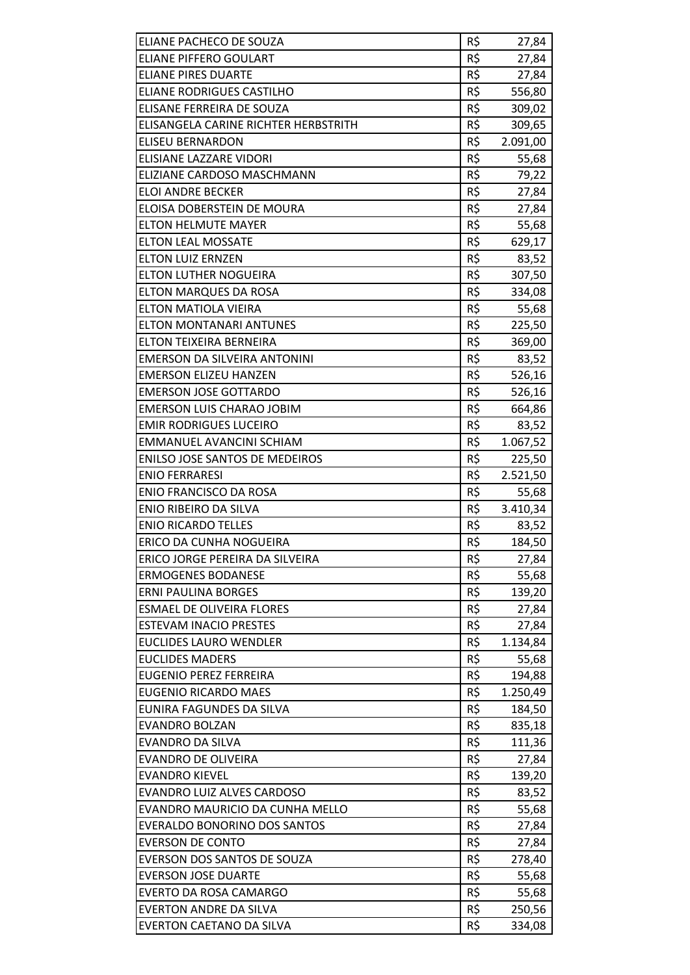| ELIANE PACHECO DE SOUZA              | R\$ | 27,84    |
|--------------------------------------|-----|----------|
| <b>ELIANE PIFFERO GOULART</b>        | R\$ | 27,84    |
| <b>ELIANE PIRES DUARTE</b>           | R\$ | 27,84    |
| <b>ELIANE RODRIGUES CASTILHO</b>     | R\$ | 556,80   |
| ELISANE FERREIRA DE SOUZA            | R\$ | 309,02   |
| ELISANGELA CARINE RICHTER HERBSTRITH | R\$ | 309,65   |
| <b>ELISEU BERNARDON</b>              | R\$ | 2.091,00 |
| ELISIANE LAZZARE VIDORI              | R\$ | 55,68    |
| ELIZIANE CARDOSO MASCHMANN           | R\$ | 79,22    |
| <b>ELOI ANDRE BECKER</b>             | R\$ | 27,84    |
| ELOISA DOBERSTEIN DE MOURA           | R\$ | 27,84    |
| <b>ELTON HELMUTE MAYER</b>           | R\$ | 55,68    |
| <b>ELTON LEAL MOSSATE</b>            | R\$ | 629,17   |
| <b>ELTON LUIZ ERNZEN</b>             | R\$ | 83,52    |
| <b>ELTON LUTHER NOGUEIRA</b>         | R\$ | 307,50   |
| ELTON MARQUES DA ROSA                | R\$ | 334,08   |
| ELTON MATIOLA VIEIRA                 | R\$ | 55,68    |
| <b>ELTON MONTANARI ANTUNES</b>       | R\$ | 225,50   |
| ELTON TEIXEIRA BERNEIRA              | R\$ | 369,00   |
| EMERSON DA SILVEIRA ANTONINI         | R\$ | 83,52    |
| <b>EMERSON ELIZEU HANZEN</b>         | R\$ | 526,16   |
| <b>EMERSON JOSE GOTTARDO</b>         | R\$ | 526,16   |
| <b>EMERSON LUIS CHARAO JOBIM</b>     | R\$ | 664,86   |
| <b>EMIR RODRIGUES LUCEIRO</b>        | R\$ | 83,52    |
| EMMANUEL AVANCINI SCHIAM             | R\$ | 1.067,52 |
| ENILSO JOSE SANTOS DE MEDEIROS       | R\$ | 225,50   |
| <b>ENIO FERRARESI</b>                | R\$ | 2.521,50 |
| <b>ENIO FRANCISCO DA ROSA</b>        | R\$ | 55,68    |
| ENIO RIBEIRO DA SILVA                | R\$ | 3.410,34 |
| <b>ENIO RICARDO TELLES</b>           | R\$ | 83,52    |
| ERICO DA CUNHA NOGUEIRA              | R\$ | 184,50   |
| ERICO JORGE PEREIRA DA SILVEIRA      | R\$ | 27,84    |
| <b>ERMOGENES BODANESE</b>            | R\$ | 55,68    |
| <b>ERNI PAULINA BORGES</b>           | R\$ | 139,20   |
| <b>ESMAEL DE OLIVEIRA FLORES</b>     | R\$ | 27,84    |
| <b>ESTEVAM INACIO PRESTES</b>        | R\$ | 27,84    |
| <b>EUCLIDES LAURO WENDLER</b>        | R\$ | 1.134,84 |
| <b>EUCLIDES MADERS</b>               | R\$ | 55,68    |
| <b>EUGENIO PEREZ FERREIRA</b>        | R\$ | 194,88   |
| <b>EUGENIO RICARDO MAES</b>          | R\$ | 1.250,49 |
| EUNIRA FAGUNDES DA SILVA             | R\$ | 184,50   |
| <b>EVANDRO BOLZAN</b>                | R\$ | 835,18   |
| <b>EVANDRO DA SILVA</b>              | R\$ | 111,36   |
| <b>EVANDRO DE OLIVEIRA</b>           | R\$ | 27,84    |
| <b>EVANDRO KIEVEL</b>                | R\$ | 139,20   |
| EVANDRO LUIZ ALVES CARDOSO           | R\$ | 83,52    |
| EVANDRO MAURICIO DA CUNHA MELLO      | R\$ | 55,68    |
| <b>EVERALDO BONORINO DOS SANTOS</b>  | R\$ | 27,84    |
| <b>EVERSON DE CONTO</b>              | R\$ | 27,84    |
| EVERSON DOS SANTOS DE SOUZA          | R\$ | 278,40   |
| <b>EVERSON JOSE DUARTE</b>           | R\$ | 55,68    |
| EVERTO DA ROSA CAMARGO               | R\$ | 55,68    |
| <b>EVERTON ANDRE DA SILVA</b>        | R\$ | 250,56   |
| EVERTON CAETANO DA SILVA             | R\$ | 334,08   |
|                                      |     |          |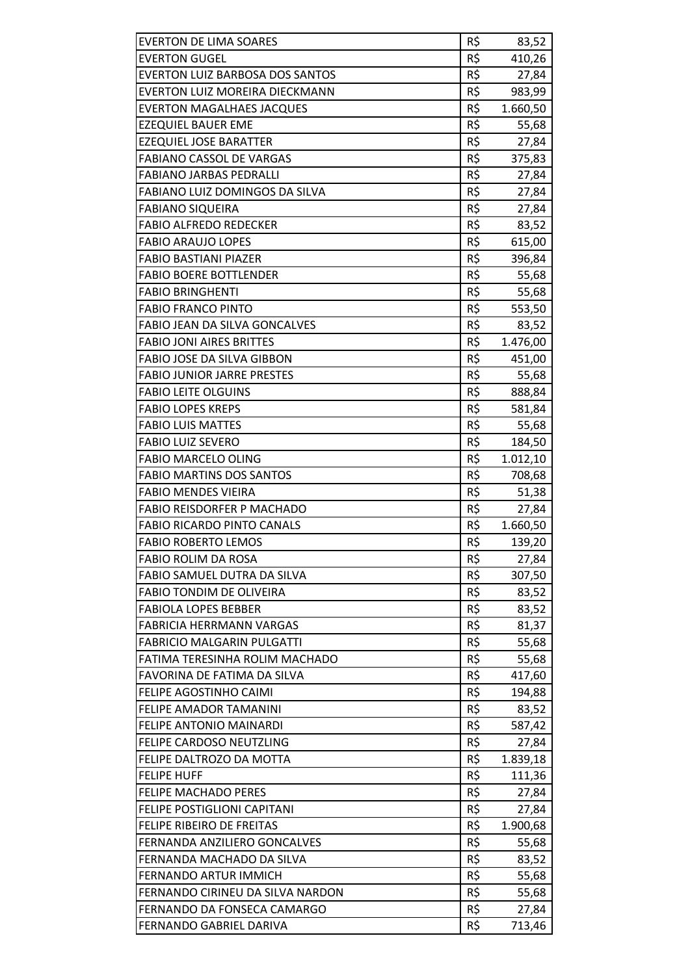| <b>EVERTON DE LIMA SOARES</b>          | R\$ | 83,52    |
|----------------------------------------|-----|----------|
| <b>EVERTON GUGEL</b>                   | R\$ | 410,26   |
| <b>EVERTON LUIZ BARBOSA DOS SANTOS</b> | R\$ | 27,84    |
| <b>EVERTON LUIZ MOREIRA DIECKMANN</b>  | R\$ | 983,99   |
| <b>EVERTON MAGALHAES JACQUES</b>       | R\$ | 1.660,50 |
| <b>EZEQUIEL BAUER EME</b>              | R\$ | 55,68    |
| <b>EZEQUIEL JOSE BARATTER</b>          | R\$ | 27,84    |
| <b>FABIANO CASSOL DE VARGAS</b>        | R\$ | 375,83   |
| <b>FABIANO JARBAS PEDRALLI</b>         | R\$ | 27,84    |
| FABIANO LUIZ DOMINGOS DA SILVA         | R\$ | 27,84    |
| <b>FABIANO SIQUEIRA</b>                | R\$ | 27,84    |
| <b>FABIO ALFREDO REDECKER</b>          | R\$ | 83,52    |
| <b>FABIO ARAUJO LOPES</b>              | R\$ | 615,00   |
| <b>FABIO BASTIANI PIAZER</b>           | R\$ | 396,84   |
| <b>FABIO BOERE BOTTLENDER</b>          | R\$ | 55,68    |
| <b>FABIO BRINGHENTI</b>                | R\$ | 55,68    |
| <b>FABIO FRANCO PINTO</b>              | R\$ | 553,50   |
| FABIO JEAN DA SILVA GONCALVES          | R\$ | 83,52    |
| <b>FABIO JONI AIRES BRITTES</b>        | R\$ | 1.476,00 |
| FABIO JOSE DA SILVA GIBBON             | R\$ | 451,00   |
| <b>FABIO JUNIOR JARRE PRESTES</b>      | R\$ | 55,68    |
| <b>FABIO LEITE OLGUINS</b>             | R\$ | 888,84   |
| <b>FABIO LOPES KREPS</b>               | R\$ | 581,84   |
| <b>FABIO LUIS MATTES</b>               | R\$ | 55,68    |
| <b>FABIO LUIZ SEVERO</b>               | R\$ | 184,50   |
| <b>FABIO MARCELO OLING</b>             | R\$ | 1.012,10 |
| <b>FABIO MARTINS DOS SANTOS</b>        | R\$ | 708,68   |
| <b>FABIO MENDES VIEIRA</b>             | R\$ | 51,38    |
| <b>FABIO REISDORFER P MACHADO</b>      | R\$ | 27,84    |
| <b>FABIO RICARDO PINTO CANALS</b>      | R\$ | 1.660,50 |
| <b>FABIO ROBERTO LEMOS</b>             | R\$ | 139,20   |
| <b>FABIO ROLIM DA ROSA</b>             | R\$ | 27,84    |
| FABIO SAMUEL DUTRA DA SILVA            | R\$ | 307,50   |
| <b>FABIO TONDIM DE OLIVEIRA</b>        | R\$ | 83,52    |
| <b>FABIOLA LOPES BEBBER</b>            | R\$ | 83,52    |
| <b>FABRICIA HERRMANN VARGAS</b>        | R\$ | 81,37    |
| <b>FABRICIO MALGARIN PULGATTI</b>      | R\$ | 55,68    |
| FATIMA TERESINHA ROLIM MACHADO         | R\$ | 55,68    |
| FAVORINA DE FATIMA DA SILVA            | R\$ | 417,60   |
| FELIPE AGOSTINHO CAIMI                 | R\$ | 194,88   |
| FELIPE AMADOR TAMANINI                 | R\$ | 83,52    |
| <b>FELIPE ANTONIO MAINARDI</b>         | R\$ | 587,42   |
| FELIPE CARDOSO NEUTZLING               | R\$ | 27,84    |
| FELIPE DALTROZO DA MOTTA               | R\$ | 1.839,18 |
| <b>FELIPE HUFF</b>                     | R\$ | 111,36   |
| <b>FELIPE MACHADO PERES</b>            | R\$ | 27,84    |
| <b>FELIPE POSTIGLIONI CAPITANI</b>     | R\$ | 27,84    |
| FELIPE RIBEIRO DE FREITAS              | R\$ | 1.900,68 |
| FERNANDA ANZILIERO GONCALVES           | R\$ | 55,68    |
| FERNANDA MACHADO DA SILVA              | R\$ | 83,52    |
| FERNANDO ARTUR IMMICH                  | R\$ | 55,68    |
| FERNANDO CIRINEU DA SILVA NARDON       | R\$ | 55,68    |
| FERNANDO DA FONSECA CAMARGO            | R\$ | 27,84    |
| FERNANDO GABRIEL DARIVA                | R\$ | 713,46   |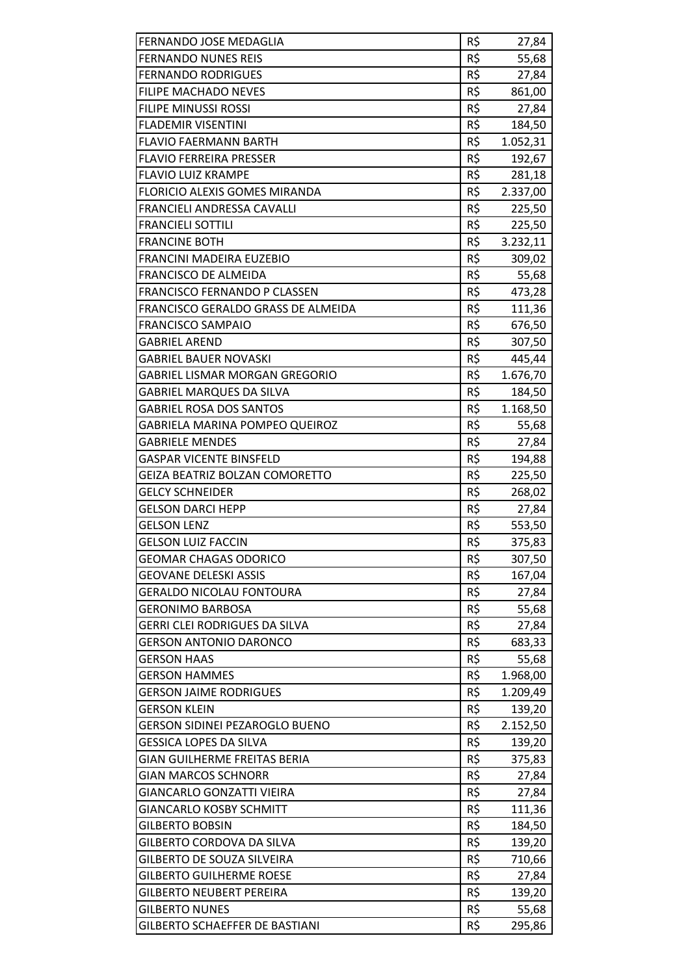| FERNANDO JOSE MEDAGLIA                                  | R\$        | 27,84    |
|---------------------------------------------------------|------------|----------|
| <b>FERNANDO NUNES REIS</b><br><b>FERNANDO RODRIGUES</b> | R\$        | 55,68    |
|                                                         | R\$<br>R\$ | 27,84    |
| <b>FILIPE MACHADO NEVES</b>                             | R\$        | 861,00   |
| FILIPE MINUSSI ROSSI<br><b>FLADEMIR VISENTINI</b>       | R\$        | 27,84    |
|                                                         |            | 184,50   |
| <b>FLAVIO FAERMANN BARTH</b>                            | R\$        | 1.052,31 |
| <b>FLAVIO FERREIRA PRESSER</b>                          | R\$        | 192,67   |
| <b>FLAVIO LUIZ KRAMPE</b>                               | R\$        | 281,18   |
| <b>FLORICIO ALEXIS GOMES MIRANDA</b>                    | R\$<br>R\$ | 2.337,00 |
| FRANCIELI ANDRESSA CAVALLI                              |            | 225,50   |
| <b>FRANCIELI SOTTILI</b>                                | R\$        | 225,50   |
| <b>FRANCINE BOTH</b>                                    | R\$        | 3.232,11 |
| FRANCINI MADEIRA EUZEBIO                                | R\$        | 309,02   |
| <b>FRANCISCO DE ALMEIDA</b>                             | R\$        | 55,68    |
| FRANCISCO FERNANDO P CLASSEN                            | R\$        | 473,28   |
| FRANCISCO GERALDO GRASS DE ALMEIDA                      | R\$        | 111,36   |
| <b>FRANCISCO SAMPAIO</b>                                | R\$        | 676,50   |
| <b>GABRIEL AREND</b>                                    | R\$        | 307,50   |
| GABRIEL BAUER NOVASKI                                   | R\$        | 445,44   |
| GABRIEL LISMAR MORGAN GREGORIO                          | R\$        | 1.676,70 |
| <b>GABRIEL MARQUES DA SILVA</b>                         | R\$        | 184,50   |
| <b>GABRIEL ROSA DOS SANTOS</b>                          | R\$        | 1.168,50 |
| GABRIELA MARINA POMPEO QUEIROZ                          | R\$        | 55,68    |
| <b>GABRIELE MENDES</b>                                  | R\$        | 27,84    |
| <b>GASPAR VICENTE BINSFELD</b>                          | R\$        | 194,88   |
| GEIZA BEATRIZ BOLZAN COMORETTO                          | R\$        | 225,50   |
| <b>GELCY SCHNEIDER</b>                                  | R\$        | 268,02   |
| <b>GELSON DARCI HEPP</b>                                | R\$        | 27,84    |
| <b>GELSON LENZ</b>                                      | R\$        | 553,50   |
| <b>GELSON LUIZ FACCIN</b>                               | R\$        | 375,83   |
| <b>GEOMAR CHAGAS ODORICO</b>                            | R\$        | 307,50   |
| <b>GEOVANE DELESKI ASSIS</b>                            | R\$        | 167,04   |
| <b>GERALDO NICOLAU FONTOURA</b>                         | R\$        | 27,84    |
| GERONIMO BARBOSA                                        | R\$        | 55,68    |
| <b>GERRI CLEI RODRIGUES DA SILVA</b>                    | R\$        | 27,84    |
| <b>GERSON ANTONIO DARONCO</b>                           | R\$        | 683,33   |
| <b>GERSON HAAS</b>                                      | R\$        | 55,68    |
| <b>GERSON HAMMES</b>                                    | R\$        | 1.968,00 |
| <b>GERSON JAIME RODRIGUES</b>                           | R\$        | 1.209,49 |
| <b>GERSON KLEIN</b>                                     | R\$        | 139,20   |
| GERSON SIDINEI PEZAROGLO BUENO                          | R\$        | 2.152,50 |
| <b>GESSICA LOPES DA SILVA</b>                           | R\$        | 139,20   |
| <b>GIAN GUILHERME FREITAS BERIA</b>                     | R\$        | 375,83   |
| <b>GIAN MARCOS SCHNORR</b>                              | R\$        | 27,84    |
| GIANCARLO GONZATTI VIEIRA                               | R\$        | 27,84    |
| <b>GIANCARLO KOSBY SCHMITT</b>                          | R\$        | 111,36   |
| <b>GILBERTO BOBSIN</b>                                  | R\$        | 184,50   |
| GILBERTO CORDOVA DA SILVA                               | R\$        | 139,20   |
| GILBERTO DE SOUZA SILVEIRA                              | R\$        | 710,66   |
| <b>GILBERTO GUILHERME ROESE</b>                         | R\$        | 27,84    |
| <b>GILBERTO NEUBERT PEREIRA</b>                         | R\$        | 139,20   |
| <b>GILBERTO NUNES</b>                                   | R\$        | 55,68    |
| <b>GILBERTO SCHAEFFER DE BASTIANI</b>                   | R\$        | 295,86   |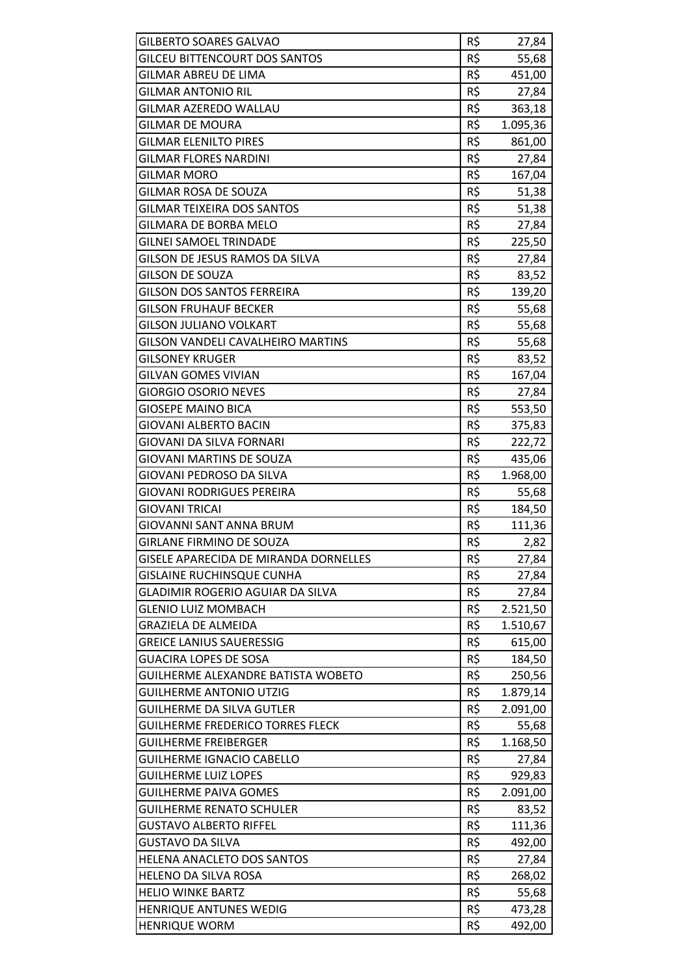| <b>GILBERTO SOARES GALVAO</b>            | R\$ | 27,84    |
|------------------------------------------|-----|----------|
| <b>GILCEU BITTENCOURT DOS SANTOS</b>     | R\$ | 55,68    |
| GILMAR ABREU DE LIMA                     | R\$ | 451,00   |
| <b>GILMAR ANTONIO RIL</b>                | R\$ | 27,84    |
| GILMAR AZEREDO WALLAU                    | R\$ | 363,18   |
| <b>GILMAR DE MOURA</b>                   | R\$ | 1.095,36 |
| <b>GILMAR ELENILTO PIRES</b>             | R\$ | 861,00   |
| <b>GILMAR FLORES NARDINI</b>             | R\$ | 27,84    |
| <b>GILMAR MORO</b>                       | R\$ | 167,04   |
| GILMAR ROSA DE SOUZA                     | R\$ | 51,38    |
| <b>GILMAR TEIXEIRA DOS SANTOS</b>        | R\$ | 51,38    |
| GILMARA DE BORBA MELO                    | R\$ | 27,84    |
| <b>GILNEI SAMOEL TRINDADE</b>            | R\$ | 225,50   |
| GILSON DE JESUS RAMOS DA SILVA           | R\$ | 27,84    |
| <b>GILSON DE SOUZA</b>                   | R\$ |          |
| <b>GILSON DOS SANTOS FERREIRA</b>        | R\$ | 83,52    |
| <b>GILSON FRUHAUF BECKER</b>             | R\$ | 139,20   |
|                                          |     | 55,68    |
| <b>GILSON JULIANO VOLKART</b>            | R\$ | 55,68    |
| <b>GILSON VANDELI CAVALHEIRO MARTINS</b> | R\$ | 55,68    |
| <b>GILSONEY KRUGER</b>                   | R\$ | 83,52    |
| <b>GILVAN GOMES VIVIAN</b>               | R\$ | 167,04   |
| <b>GIORGIO OSORIO NEVES</b>              | R\$ | 27,84    |
| <b>GIOSEPE MAINO BICA</b>                | R\$ | 553,50   |
| GIOVANI ALBERTO BACIN                    | R\$ | 375,83   |
| GIOVANI DA SILVA FORNARI                 | R\$ | 222,72   |
| <b>GIOVANI MARTINS DE SOUZA</b>          | R\$ | 435,06   |
| GIOVANI PEDROSO DA SILVA                 | R\$ | 1.968,00 |
| <b>GIOVANI RODRIGUES PEREIRA</b>         | R\$ | 55,68    |
| <b>GIOVANI TRICAI</b>                    | R\$ | 184,50   |
| GIOVANNI SANT ANNA BRUM                  | R\$ | 111,36   |
| GIRLANE FIRMINO DE SOUZA                 | R\$ | 2,82     |
| GISELE APARECIDA DE MIRANDA DORNELLES    | R\$ | 27,84    |
| <b>GISLAINE RUCHINSQUE CUNHA</b>         | R\$ | 27,84    |
| GLADIMIR ROGERIO AGUIAR DA SILVA         | R\$ | 27,84    |
| <b>GLENIO LUIZ MOMBACH</b>               | R\$ | 2.521,50 |
| <b>GRAZIELA DE ALMEIDA</b>               | R\$ | 1.510,67 |
| <b>GREICE LANIUS SAUERESSIG</b>          | R\$ | 615,00   |
| <b>GUACIRA LOPES DE SOSA</b>             | R\$ | 184,50   |
| GUILHERME ALEXANDRE BATISTA WOBETO       | R\$ | 250,56   |
| GUILHERME ANTONIO UTZIG                  | R\$ | 1.879,14 |
| <b>GUILHERME DA SILVA GUTLER</b>         | R\$ | 2.091,00 |
| <b>GUILHERME FREDERICO TORRES FLECK</b>  | R\$ | 55,68    |
| <b>GUILHERME FREIBERGER</b>              | R\$ | 1.168,50 |
| <b>GUILHERME IGNACIO CABELLO</b>         | R\$ | 27,84    |
| <b>GUILHERME LUIZ LOPES</b>              | R\$ | 929,83   |
| <b>GUILHERME PAIVA GOMES</b>             | R\$ | 2.091,00 |
| <b>GUILHERME RENATO SCHULER</b>          | R\$ | 83,52    |
| <b>GUSTAVO ALBERTO RIFFEL</b>            | R\$ | 111,36   |
| GUSTAVO DA SILVA                         | R\$ | 492,00   |
| HELENA ANACLETO DOS SANTOS               | R\$ | 27,84    |
| HELENO DA SILVA ROSA                     | R\$ | 268,02   |
| <b>HELIO WINKE BARTZ</b>                 | R\$ | 55,68    |
| <b>HENRIQUE ANTUNES WEDIG</b>            | R\$ | 473,28   |
| <b>HENRIQUE WORM</b>                     | R\$ | 492,00   |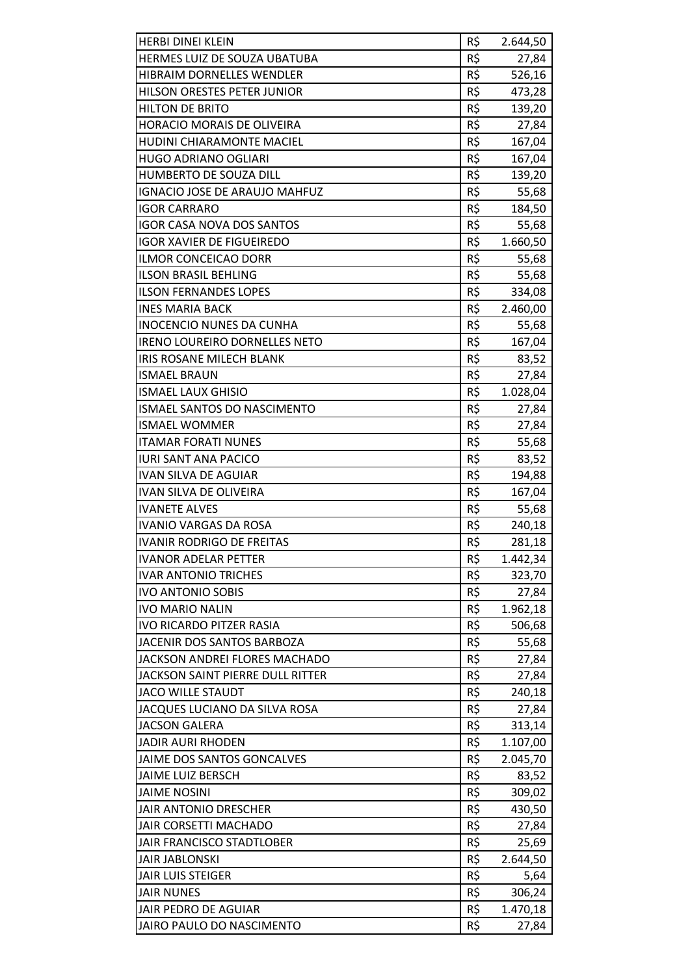| <b>HERBI DINEI KLEIN</b>                | R\$ | 2.644,50 |
|-----------------------------------------|-----|----------|
| HERMES LUIZ DE SOUZA UBATUBA            | R\$ | 27,84    |
| <b>HIBRAIM DORNELLES WENDLER</b>        | R\$ | 526,16   |
| HILSON ORESTES PETER JUNIOR             | R\$ | 473,28   |
| <b>HILTON DE BRITO</b>                  | R\$ | 139,20   |
| HORACIO MORAIS DE OLIVEIRA              | R\$ | 27,84    |
| <b>HUDINI CHIARAMONTE MACIEL</b>        | R\$ | 167,04   |
| <b>HUGO ADRIANO OGLIARI</b>             | R\$ | 167,04   |
| HUMBERTO DE SOUZA DILL                  | R\$ | 139,20   |
| <b>IGNACIO JOSE DE ARAUJO MAHFUZ</b>    | R\$ | 55,68    |
| <b>IGOR CARRARO</b>                     | R\$ | 184,50   |
| <b>IGOR CASA NOVA DOS SANTOS</b>        | R\$ | 55,68    |
| <b>IGOR XAVIER DE FIGUEIREDO</b>        | R\$ |          |
|                                         | R\$ | 1.660,50 |
| <b>ILMOR CONCEICAO DORR</b>             |     | 55,68    |
| <b>ILSON BRASIL BEHLING</b>             | R\$ | 55,68    |
| <b>ILSON FERNANDES LOPES</b>            | R\$ | 334,08   |
| <b>INES MARIA BACK</b>                  | R\$ | 2.460,00 |
| <b>INOCENCIO NUNES DA CUNHA</b>         | R\$ | 55,68    |
| <b>IRENO LOUREIRO DORNELLES NETO</b>    | R\$ | 167,04   |
| IRIS ROSANE MILECH BLANK                | R\$ | 83,52    |
| <b>ISMAEL BRAUN</b>                     | R\$ | 27,84    |
| <b>ISMAEL LAUX GHISIO</b>               | R\$ | 1.028,04 |
| ISMAEL SANTOS DO NASCIMENTO             | R\$ | 27,84    |
| <b>ISMAEL WOMMER</b>                    | R\$ | 27,84    |
| <b>ITAMAR FORATI NUNES</b>              | R\$ | 55,68    |
| <b>IURI SANT ANA PACICO</b>             | R\$ | 83,52    |
| <b>IVAN SILVA DE AGUIAR</b>             | R\$ | 194,88   |
| <b>IVAN SILVA DE OLIVEIRA</b>           | R\$ | 167,04   |
| <b>IVANETE ALVES</b>                    | R\$ | 55,68    |
| <b>IVANIO VARGAS DA ROSA</b>            | R\$ | 240,18   |
| <b>IVANIR RODRIGO DE FREITAS</b>        | R\$ | 281,18   |
| <b>IVANOR ADELAR PETTER</b>             | R\$ | 1.442,34 |
| <b>IVAR ANTONIO TRICHES</b>             | R\$ | 323,70   |
| <b>IVO ANTONIO SOBIS</b>                | R\$ | 27,84    |
| <b>IVO MARIO NALIN</b>                  | R\$ | 1.962,18 |
| <b>IVO RICARDO PITZER RASIA</b>         | R\$ | 506,68   |
| JACENIR DOS SANTOS BARBOZA              | R\$ | 55,68    |
| JACKSON ANDREI FLORES MACHADO           | R\$ | 27,84    |
| <b>JACKSON SAINT PIERRE DULL RITTER</b> | R\$ | 27,84    |
| <b>JACO WILLE STAUDT</b>                | R\$ | 240,18   |
| JACQUES LUCIANO DA SILVA ROSA           | R\$ | 27,84    |
| <b>JACSON GALERA</b>                    | R\$ | 313,14   |
| <b>JADIR AURI RHODEN</b>                | R\$ | 1.107,00 |
| JAIME DOS SANTOS GONCALVES              | R\$ | 2.045,70 |
| JAIME LUIZ BERSCH                       | R\$ | 83,52    |
| <b>JAIME NOSINI</b>                     | R\$ | 309,02   |
| <b>JAIR ANTONIO DRESCHER</b>            | R\$ | 430,50   |
| <b>JAIR CORSETTI MACHADO</b>            | R\$ | 27,84    |
| JAIR FRANCISCO STADTLOBER               | R\$ | 25,69    |
| <b>JAIR JABLONSKI</b>                   | R\$ | 2.644,50 |
| <b>JAIR LUIS STEIGER</b>                | R\$ |          |
|                                         |     | 5,64     |
| <b>JAIR NUNES</b>                       | R\$ | 306,24   |
| JAIR PEDRO DE AGUIAR                    | R\$ | 1.470,18 |
| JAIRO PAULO DO NASCIMENTO               | R\$ | 27,84    |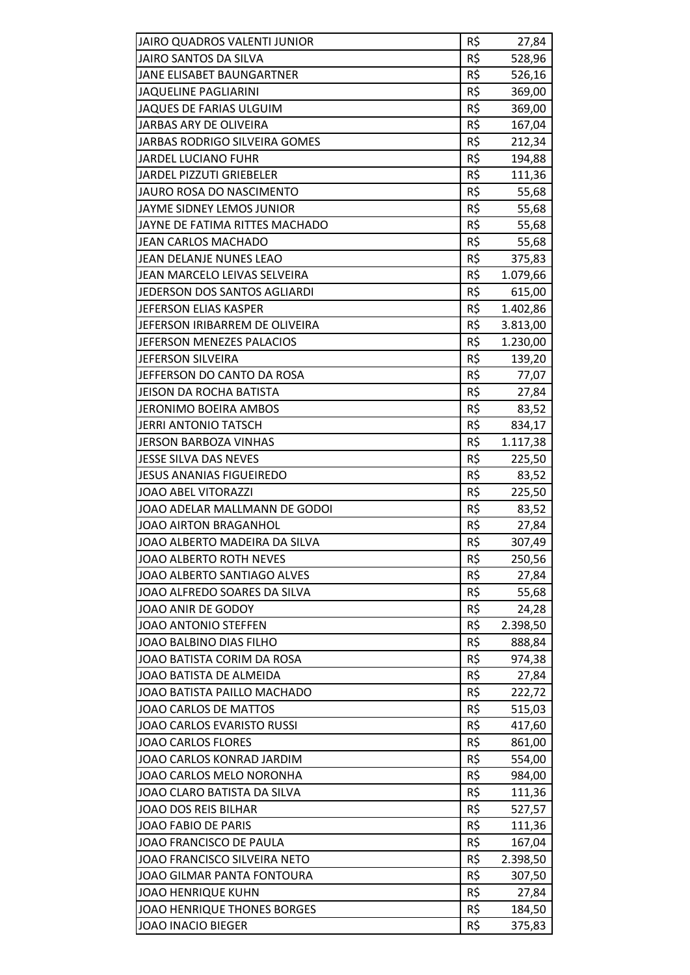| <b>JAIRO QUADROS VALENTI JUNIOR</b> | R\$ | 27,84    |
|-------------------------------------|-----|----------|
| <b>JAIRO SANTOS DA SILVA</b>        | R\$ | 528,96   |
| JANE ELISABET BAUNGARTNER           | R\$ | 526,16   |
| <b>JAQUELINE PAGLIARINI</b>         | R\$ | 369,00   |
| <b>JAQUES DE FARIAS ULGUIM</b>      | R\$ | 369,00   |
| JARBAS ARY DE OLIVEIRA              | R\$ | 167,04   |
| JARBAS RODRIGO SILVEIRA GOMES       | R\$ | 212,34   |
| <b>JARDEL LUCIANO FUHR</b>          | R\$ | 194,88   |
| <b>JARDEL PIZZUTI GRIEBELER</b>     | R\$ | 111,36   |
| <b>JAURO ROSA DO NASCIMENTO</b>     | R\$ | 55,68    |
| JAYME SIDNEY LEMOS JUNIOR           | R\$ | 55,68    |
| JAYNE DE FATIMA RITTES MACHADO      | R\$ | 55,68    |
| <b>JEAN CARLOS MACHADO</b>          | R\$ | 55,68    |
| JEAN DELANJE NUNES LEAO             | R\$ | 375,83   |
| <b>JEAN MARCELO LEIVAS SELVEIRA</b> | R\$ | 1.079,66 |
| JEDERSON DOS SANTOS AGLIARDI        | R\$ | 615,00   |
| JEFERSON ELIAS KASPER               | R\$ | 1.402,86 |
| JEFERSON IRIBARREM DE OLIVEIRA      | R\$ | 3.813,00 |
| JEFERSON MENEZES PALACIOS           | R\$ | 1.230,00 |
| <b>JEFERSON SILVEIRA</b>            | R\$ | 139,20   |
| JEFFERSON DO CANTO DA ROSA          | R\$ | 77,07    |
| <b>JEISON DA ROCHA BATISTA</b>      | R\$ | 27,84    |
| JERONIMO BOEIRA AMBOS               | R\$ | 83,52    |
| JERRI ANTONIO TATSCH                | R\$ | 834,17   |
| JERSON BARBOZA VINHAS               | R\$ | 1.117,38 |
| JESSE SILVA DAS NEVES               | R\$ | 225,50   |
| <b>JESUS ANANIAS FIGUEIREDO</b>     | R\$ | 83,52    |
| <b>JOAO ABEL VITORAZZI</b>          | R\$ | 225,50   |
| JOAO ADELAR MALLMANN DE GODOI       | R\$ | 83,52    |
| <b>JOAO AIRTON BRAGANHOL</b>        | R\$ | 27,84    |
| JOAO ALBERTO MADEIRA DA SILVA       | R\$ | 307,49   |
| <b>JOAO ALBERTO ROTH NEVES</b>      | R\$ | 250,56   |
| JOAO ALBERTO SANTIAGO ALVES         | R\$ | 27,84    |
| JOAO ALFREDO SOARES DA SILVA        | R\$ | 55,68    |
| JOAO ANIR DE GODOY                  | R\$ | 24,28    |
| JOAO ANTONIO STEFFEN                | R\$ | 2.398,50 |
| JOAO BALBINO DIAS FILHO             | R\$ | 888,84   |
| JOAO BATISTA CORIM DA ROSA          | R\$ | 974,38   |
| JOAO BATISTA DE ALMEIDA             | R\$ | 27,84    |
| JOAO BATISTA PAILLO MACHADO         | R\$ | 222,72   |
| JOAO CARLOS DE MATTOS               | R\$ | 515,03   |
| JOAO CARLOS EVARISTO RUSSI          | R\$ | 417,60   |
| <b>JOAO CARLOS FLORES</b>           | R\$ | 861,00   |
| JOAO CARLOS KONRAD JARDIM           | R\$ | 554,00   |
| JOAO CARLOS MELO NORONHA            | R\$ | 984,00   |
| JOAO CLARO BATISTA DA SILVA         | R\$ | 111,36   |
| JOAO DOS REIS BILHAR                | R\$ | 527,57   |
| <b>JOAO FABIO DE PARIS</b>          | R\$ | 111,36   |
| JOAO FRANCISCO DE PAULA             | R\$ | 167,04   |
| JOAO FRANCISCO SILVEIRA NETO        | R\$ | 2.398,50 |
| JOAO GILMAR PANTA FONTOURA          | R\$ | 307,50   |
| JOAO HENRIQUE KUHN                  | R\$ | 27,84    |
| <b>JOAO HENRIQUE THONES BORGES</b>  | R\$ | 184,50   |
| JOAO INACIO BIEGER                  | R\$ | 375,83   |
|                                     |     |          |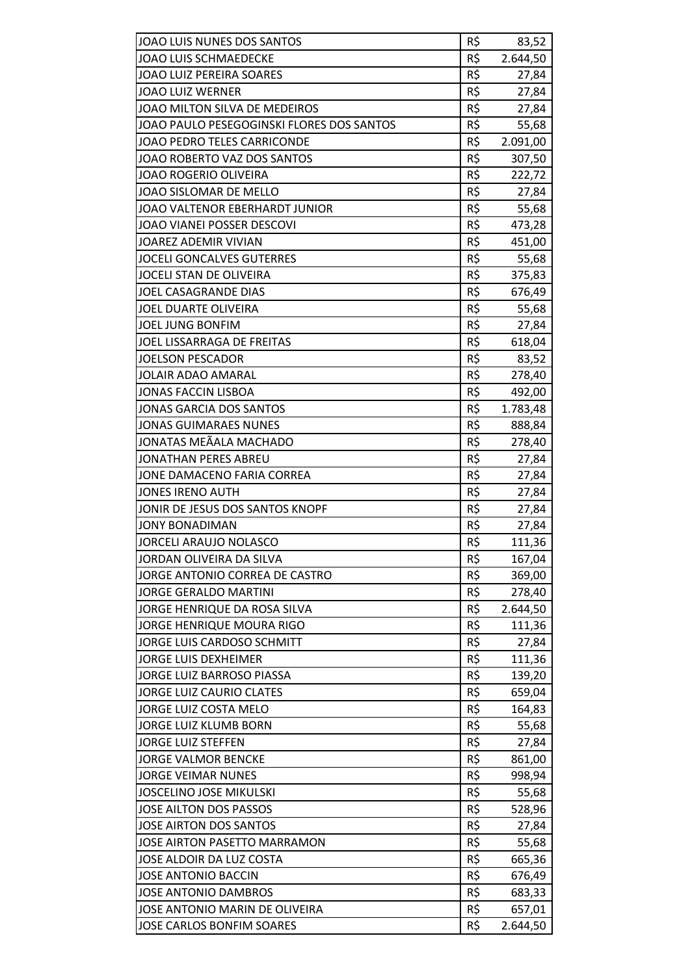| JOAO LUIS NUNES DOS SANTOS<br><b>JOAO LUIS SCHMAEDECKE</b> | R\$<br>R\$ | 83,52             |
|------------------------------------------------------------|------------|-------------------|
| <b>JOAO LUIZ PEREIRA SOARES</b>                            | R\$        | 2.644,50          |
| <b>JOAO LUIZ WERNER</b>                                    | R\$        | 27,84             |
| JOAO MILTON SILVA DE MEDEIROS                              | R\$        | 27,84             |
| JOAO PAULO PESEGOGINSKI FLORES DOS SANTOS                  | R\$        | 27,84             |
| JOAO PEDRO TELES CARRICONDE                                | R\$        | 55,68<br>2.091,00 |
|                                                            | R\$        |                   |
| JOAO ROBERTO VAZ DOS SANTOS                                | R\$        | 307,50            |
| JOAO ROGERIO OLIVEIRA                                      |            | 222,72            |
| JOAO SISLOMAR DE MELLO                                     | R\$        | 27,84             |
| JOAO VALTENOR EBERHARDT JUNIOR                             | R\$        | 55,68             |
| JOAO VIANEI POSSER DESCOVI                                 | R\$        | 473,28            |
| <b>JOAREZ ADEMIR VIVIAN</b>                                | R\$        | 451,00            |
| <b>JOCELI GONCALVES GUTERRES</b>                           | R\$        | 55,68             |
| <b>JOCELI STAN DE OLIVEIRA</b>                             | R\$        | 375,83            |
| JOEL CASAGRANDE DIAS                                       | R\$        | 676,49            |
| <b>JOEL DUARTE OLIVEIRA</b>                                | R\$        | 55,68             |
| <b>JOEL JUNG BONFIM</b>                                    | R\$        | 27,84             |
| JOEL LISSARRAGA DE FREITAS                                 | R\$        | 618,04            |
| <b>JOELSON PESCADOR</b>                                    | R\$        | 83,52             |
| <b>JOLAIR ADAO AMARAL</b>                                  | R\$        | 278,40            |
| <b>JONAS FACCIN LISBOA</b>                                 | R\$        | 492,00            |
| <b>JONAS GARCIA DOS SANTOS</b>                             | R\$        | 1.783,48          |
| <b>JONAS GUIMARAES NUNES</b>                               | R\$        | 888,84            |
| JONATAS MEÃALA MACHADO                                     | R\$        | 278,40            |
| <b>JONATHAN PERES ABREU</b>                                | R\$        | 27,84             |
| JONE DAMACENO FARIA CORREA                                 | R\$        | 27,84             |
| <b>JONES IRENO AUTH</b>                                    | R\$        | 27,84             |
| JONIR DE JESUS DOS SANTOS KNOPF                            | R\$        | 27,84             |
| <b>JONY BONADIMAN</b>                                      | R\$        | 27,84             |
| JORCELI ARAUJO NOLASCO                                     | R\$        | 111,36            |
| JORDAN OLIVEIRA DA SILVA                                   | R\$        | 167,04            |
| JORGE ANTONIO CORREA DE CASTRO                             | R\$        | 369,00            |
| <b>JORGE GERALDO MARTINI</b>                               | R\$        | 278,40            |
| JORGE HENRIQUE DA ROSA SILVA                               | R\$        | 2.644,50          |
| JORGE HENRIQUE MOURA RIGO                                  | R\$        | 111,36            |
| JORGE LUIS CARDOSO SCHMITT                                 | R\$        | 27,84             |
| <b>JORGE LUIS DEXHEIMER</b>                                | R\$        | 111,36            |
| JORGE LUIZ BARROSO PIASSA                                  | R\$        | 139,20            |
| <b>JORGE LUIZ CAURIO CLATES</b>                            | R\$        | 659,04            |
| JORGE LUIZ COSTA MELO                                      | R\$        | 164,83            |
| JORGE LUIZ KLUMB BORN                                      | R\$        | 55,68             |
| <b>JORGE LUIZ STEFFEN</b>                                  | R\$        | 27,84             |
| <b>JORGE VALMOR BENCKE</b>                                 | R\$        | 861,00            |
| <b>JORGE VEIMAR NUNES</b>                                  | R\$        | 998,94            |
| <b>JOSCELINO JOSE MIKULSKI</b>                             | R\$        | 55,68             |
| JOSE AILTON DOS PASSOS                                     | R\$        | 528,96            |
| JOSE AIRTON DOS SANTOS                                     | R\$        | 27,84             |
| JOSE AIRTON PASETTO MARRAMON                               | R\$        | 55,68             |
| JOSE ALDOIR DA LUZ COSTA                                   | R\$        | 665,36            |
| <b>JOSE ANTONIO BACCIN</b>                                 | R\$        | 676,49            |
| <b>JOSE ANTONIO DAMBROS</b>                                | R\$        | 683,33            |
| JOSE ANTONIO MARIN DE OLIVEIRA                             | R\$        | 657,01            |
| JOSE CARLOS BONFIM SOARES                                  | R\$        | 2.644,50          |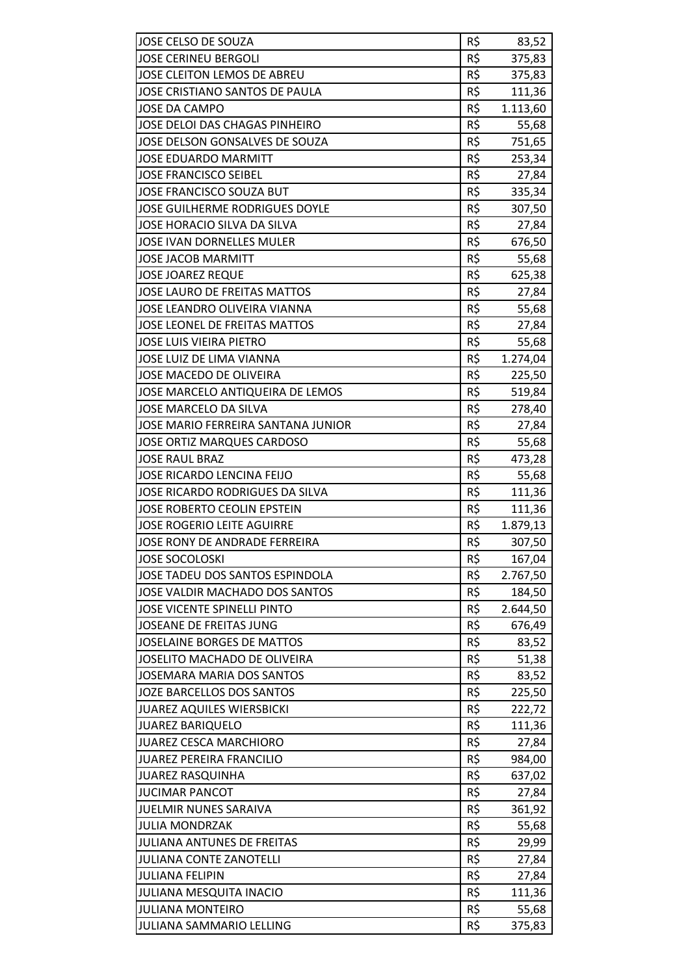| JOSE CELSO DE SOUZA                                      | R\$ | 83,52          |
|----------------------------------------------------------|-----|----------------|
| <b>JOSE CERINEU BERGOLI</b>                              | R\$ | 375,83         |
| JOSE CLEITON LEMOS DE ABREU                              | R\$ | 375,83         |
| JOSE CRISTIANO SANTOS DE PAULA                           | R\$ | 111,36         |
| <b>JOSE DA CAMPO</b>                                     | R\$ | 1.113,60       |
| JOSE DELOI DAS CHAGAS PINHEIRO                           | R\$ | 55,68          |
| JOSE DELSON GONSALVES DE SOUZA                           | R\$ | 751,65         |
| <b>JOSE EDUARDO MARMITT</b>                              | R\$ | 253,34         |
| <b>JOSE FRANCISCO SEIBEL</b>                             | R\$ | 27,84          |
| JOSE FRANCISCO SOUZA BUT                                 | R\$ | 335,34         |
| JOSE GUILHERME RODRIGUES DOYLE                           | R\$ | 307,50         |
| JOSE HORACIO SILVA DA SILVA                              | R\$ | 27,84          |
| <b>JOSE IVAN DORNELLES MULER</b>                         | R\$ | 676,50         |
| <b>JOSE JACOB MARMITT</b>                                | R\$ | 55,68          |
| <b>JOSE JOAREZ REQUE</b>                                 | R\$ | 625,38         |
| <b>JOSE LAURO DE FREITAS MATTOS</b>                      | R\$ | 27,84          |
| JOSE LEANDRO OLIVEIRA VIANNA                             | R\$ | 55,68          |
| JOSE LEONEL DE FREITAS MATTOS                            | R\$ | 27,84          |
| <b>JOSE LUIS VIEIRA PIETRO</b>                           | R\$ | 55,68          |
| <b>JOSE LUIZ DE LIMA VIANNA</b>                          | R\$ | 1.274,04       |
| JOSE MACEDO DE OLIVEIRA                                  | R\$ | 225,50         |
| JOSE MARCELO ANTIQUEIRA DE LEMOS                         | R\$ | 519,84         |
| JOSE MARCELO DA SILVA                                    | R\$ | 278,40         |
| JOSE MARIO FERREIRA SANTANA JUNIOR                       | R\$ | 27,84          |
| <b>JOSE ORTIZ MARQUES CARDOSO</b>                        | R\$ | 55,68          |
| <b>JOSE RAUL BRAZ</b>                                    | R\$ | 473,28         |
| JOSE RICARDO LENCINA FEIJO                               | R\$ | 55,68          |
| JOSE RICARDO RODRIGUES DA SILVA                          | R\$ | 111,36         |
| JOSE ROBERTO CEOLIN EPSTEIN                              | R\$ | 111,36         |
| <b>JOSE ROGERIO LEITE AGUIRRE</b>                        | R\$ | 1.879,13       |
| JOSE RONY DE ANDRADE FERREIRA                            | R\$ | 307,50         |
| <b>JOSE SOCOLOSKI</b>                                    | R\$ | 167,04         |
| JOSE TADEU DOS SANTOS ESPINDOLA                          | R\$ | 2.767,50       |
| JOSE VALDIR MACHADO DOS SANTOS                           | R\$ | 184,50         |
| <b>JOSE VICENTE SPINELLI PINTO</b>                       | R\$ | 2.644,50       |
| JOSEANE DE FREITAS JUNG                                  | R\$ | 676,49         |
| <b>JOSELAINE BORGES DE MATTOS</b>                        | R\$ | 83,52          |
| JOSELITO MACHADO DE OLIVEIRA                             | R\$ | 51,38          |
| <b>JOSEMARA MARIA DOS SANTOS</b>                         | R\$ | 83,52          |
| <b>JOZE BARCELLOS DOS SANTOS</b>                         | R\$ | 225,50         |
| <b>JUAREZ AQUILES WIERSBICKI</b>                         | R\$ | 222,72         |
| <b>JUAREZ BARIQUELO</b>                                  | R\$ | 111,36         |
| <b>JUAREZ CESCA MARCHIORO</b>                            | R\$ | 27,84          |
| <b>JUAREZ PEREIRA FRANCILIO</b>                          | R\$ | 984,00         |
| <b>JUAREZ RASQUINHA</b>                                  | R\$ | 637,02         |
| <b>JUCIMAR PANCOT</b>                                    | R\$ | 27,84          |
| JUELMIR NUNES SARAIVA                                    | R\$ | 361,92         |
| <b>JULIA MONDRZAK</b>                                    | R\$ |                |
| JULIANA ANTUNES DE FREITAS                               | R\$ | 55,68<br>29,99 |
| <b>JULIANA CONTE ZANOTELLI</b>                           | R\$ |                |
|                                                          | R\$ | 27,84          |
| <b>JULIANA FELIPIN</b><br><b>JULIANA MESQUITA INACIO</b> | R\$ | 27,84          |
|                                                          |     | 111,36         |
| <b>JULIANA MONTEIRO</b>                                  | R\$ | 55,68          |
| JULIANA SAMMARIO LELLING                                 | R\$ | 375,83         |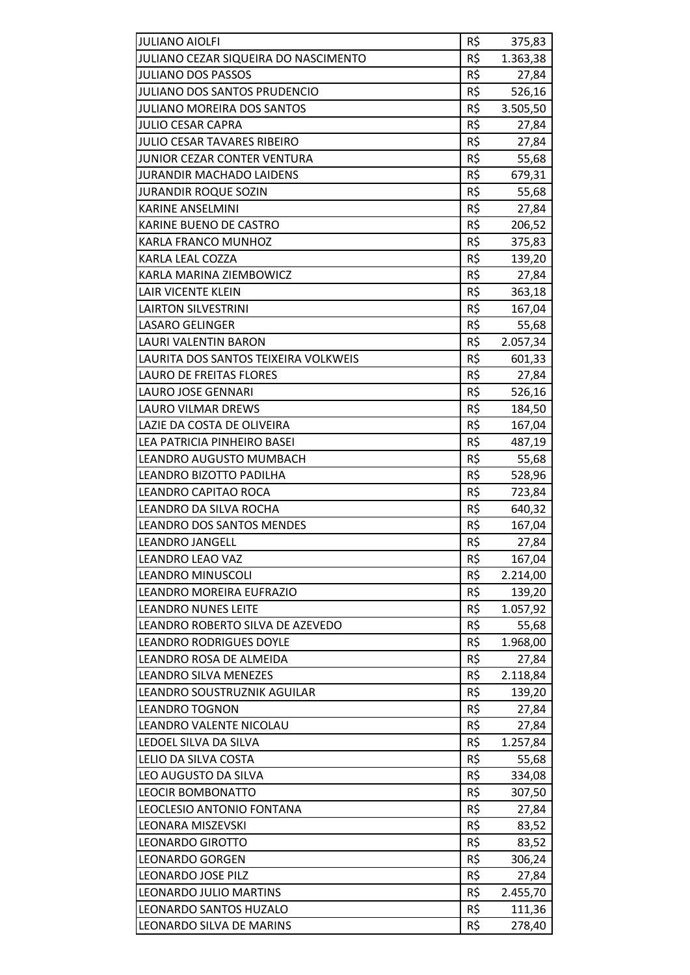| <b>JULIANO AIOLFI</b>                               | R\$ | 375,83           |
|-----------------------------------------------------|-----|------------------|
| JULIANO CEZAR SIQUEIRA DO NASCIMENTO                | R\$ | 1.363,38         |
| <b>JULIANO DOS PASSOS</b>                           | R\$ | 27,84            |
| <b>JULIANO DOS SANTOS PRUDENCIO</b>                 | R\$ | 526,16           |
| <b>JULIANO MOREIRA DOS SANTOS</b>                   | R\$ | 3.505,50         |
| <b>JULIO CESAR CAPRA</b>                            | R\$ | 27,84            |
| <b>JULIO CESAR TAVARES RIBEIRO</b>                  | R\$ | 27,84            |
| JUNIOR CEZAR CONTER VENTURA                         | R\$ | 55,68            |
| <b>JURANDIR MACHADO LAIDENS</b>                     | R\$ | 679,31           |
| <b>JURANDIR ROQUE SOZIN</b>                         | R\$ | 55,68            |
| <b>KARINE ANSELMINI</b>                             | R\$ | 27,84            |
| KARINE BUENO DE CASTRO                              | R\$ | 206,52           |
| KARLA FRANCO MUNHOZ                                 | R\$ | 375,83           |
| KARLA LEAL COZZA                                    | R\$ | 139,20           |
| KARLA MARINA ZIEMBOWICZ                             | R\$ | 27,84            |
| LAIR VICENTE KLEIN                                  | R\$ | 363,18           |
| <b>LAIRTON SILVESTRINI</b>                          | R\$ | 167,04           |
| <b>LASARO GELINGER</b>                              | R\$ | 55,68            |
| LAURI VALENTIN BARON                                | R\$ | 2.057,34         |
| LAURITA DOS SANTOS TEIXEIRA VOLKWEIS                | R\$ | 601,33           |
| <b>LAURO DE FREITAS FLORES</b>                      | R\$ | 27,84            |
| LAURO JOSE GENNARI                                  | R\$ | 526,16           |
| LAURO VILMAR DREWS                                  | R\$ | 184,50           |
| LAZIE DA COSTA DE OLIVEIRA                          | R\$ | 167,04           |
| LEA PATRICIA PINHEIRO BASEI                         | R\$ | 487,19           |
| LEANDRO AUGUSTO MUMBACH                             | R\$ | 55,68            |
| LEANDRO BIZOTTO PADILHA                             | R\$ | 528,96           |
| LEANDRO CAPITAO ROCA                                | R\$ | 723,84           |
| LEANDRO DA SILVA ROCHA                              | R\$ | 640,32           |
| <b>LEANDRO DOS SANTOS MENDES</b>                    | R\$ | 167,04           |
| <b>LEANDRO JANGELL</b>                              | R\$ | 27,84            |
| <b>LEANDRO LEAO VAZ</b>                             | R\$ | 167,04           |
| <b>LEANDRO MINUSCOLI</b>                            | R\$ | 2.214,00         |
| LEANDRO MOREIRA EUFRAZIO                            | R\$ | 139,20           |
| <b>LEANDRO NUNES LEITE</b>                          | R\$ | 1.057,92         |
| LEANDRO ROBERTO SILVA DE AZEVEDO                    | R\$ | 55,68            |
| <b>LEANDRO RODRIGUES DOYLE</b>                      | R\$ | 1.968,00         |
| LEANDRO ROSA DE ALMEIDA                             | R\$ | 27,84            |
| LEANDRO SILVA MENEZES                               | R\$ | 2.118,84         |
| LEANDRO SOUSTRUZNIK AGUILAR                         | R\$ | 139,20           |
| <b>LEANDRO TOGNON</b>                               | R\$ | 27,84            |
| LEANDRO VALENTE NICOLAU                             | R\$ | 27,84            |
| LEDOEL SILVA DA SILVA                               | R\$ | 1.257,84         |
| LELIO DA SILVA COSTA                                | R\$ | 55,68            |
| LEO AUGUSTO DA SILVA                                | R\$ | 334,08           |
| <b>LEOCIR BOMBONATTO</b>                            | R\$ | 307,50           |
| LEOCLESIO ANTONIO FONTANA                           | R\$ | 27,84            |
| LEONARA MISZEVSKI                                   | R\$ | 83,52            |
| <b>LEONARDO GIROTTO</b>                             | R\$ | 83,52            |
| <b>LEONARDO GORGEN</b>                              | R\$ |                  |
|                                                     | R\$ | 306,24           |
| <b>LEONARDO JOSE PILZ</b><br>LEONARDO JULIO MARTINS | R\$ | 27,84            |
| LEONARDO SANTOS HUZALO                              | R\$ | 2.455,70         |
| LEONARDO SILVA DE MARINS                            | R\$ | 111,36<br>278,40 |
|                                                     |     |                  |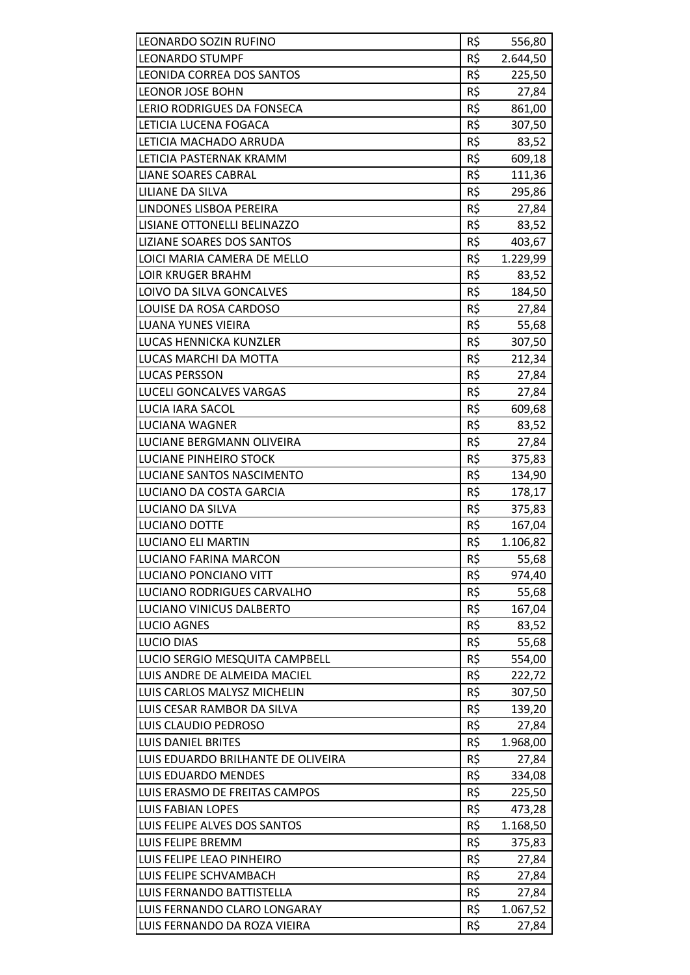| LEONARDO SOZIN RUFINO                                     | R\$        | 556,80            |
|-----------------------------------------------------------|------------|-------------------|
| <b>LEONARDO STUMPF</b>                                    | R\$        | 2.644,50          |
| <b>LEONIDA CORREA DOS SANTOS</b>                          | R\$        | 225,50            |
| LEONOR JOSE BOHN                                          | R\$        | 27,84             |
| LERIO RODRIGUES DA FONSECA                                | R\$        | 861,00            |
| LETICIA LUCENA FOGACA                                     | R\$        | 307,50            |
| LETICIA MACHADO ARRUDA                                    | R\$        | 83,52             |
| LETICIA PASTERNAK KRAMM                                   | R\$        | 609,18            |
| LIANE SOARES CABRAL                                       | R\$        | 111,36            |
| LILIANE DA SILVA                                          | R\$        | 295,86            |
| LINDONES LISBOA PEREIRA                                   | R\$        | 27,84             |
| LISIANE OTTONELLI BELINAZZO                               | R\$        | 83,52             |
| LIZIANE SOARES DOS SANTOS                                 | R\$        | 403,67            |
| LOICI MARIA CAMERA DE MELLO                               | R\$        | 1.229,99          |
| <b>LOIR KRUGER BRAHM</b>                                  | R\$        | 83,52             |
| LOIVO DA SILVA GONCALVES                                  | R\$        | 184,50            |
| LOUISE DA ROSA CARDOSO                                    | R\$        | 27,84             |
| LUANA YUNES VIEIRA                                        | R\$        | 55,68             |
| LUCAS HENNICKA KUNZLER                                    | R\$        | 307,50            |
| <b>LUCAS MARCHI DA MOTTA</b>                              | R\$        | 212,34            |
| <b>LUCAS PERSSON</b>                                      | R\$        | 27,84             |
| LUCELI GONCALVES VARGAS                                   | R\$        | 27,84             |
| LUCIA IARA SACOL                                          | R\$        | 609,68            |
| LUCIANA WAGNER                                            | R\$        | 83,52             |
| LUCIANE BERGMANN OLIVEIRA                                 | R\$        | 27,84             |
| LUCIANE PINHEIRO STOCK                                    | R\$        | 375,83            |
| LUCIANE SANTOS NASCIMENTO                                 | R\$        | 134,90            |
| LUCIANO DA COSTA GARCIA                                   | R\$        | 178,17            |
| LUCIANO DA SILVA                                          | R\$        | 375,83            |
| LUCIANO DOTTE                                             | R\$        | 167,04            |
| <b>LUCIANO ELI MARTIN</b>                                 | R\$        | 1.106,82          |
| LUCIANO FARINA MARCON                                     | R\$        | 55,68             |
| LUCIANO PONCIANO VITT                                     | R\$        | 974,40            |
| LUCIANO RODRIGUES CARVALHO                                | R\$        | 55,68             |
| LUCIANO VINICUS DALBERTO                                  | R\$        | 167,04            |
| <b>LUCIO AGNES</b>                                        | R\$        | 83,52             |
| <b>LUCIO DIAS</b>                                         | R\$        | 55,68             |
| LUCIO SERGIO MESQUITA CAMPBELL                            | R\$        | 554,00            |
| LUIS ANDRE DE ALMEIDA MACIEL                              | R\$        | 222,72            |
| LUIS CARLOS MALYSZ MICHELIN                               | R\$        | 307,50            |
| LUIS CESAR RAMBOR DA SILVA                                | R\$        | 139,20            |
| LUIS CLAUDIO PEDROSO                                      | R\$        | 27,84             |
| <b>LUIS DANIEL BRITES</b>                                 | R\$        | 1.968,00          |
| LUIS EDUARDO BRILHANTE DE OLIVEIRA                        | R\$        | 27,84             |
| <b>LUIS EDUARDO MENDES</b>                                | R\$        | 334,08            |
| LUIS ERASMO DE FREITAS CAMPOS                             | R\$        | 225,50            |
| LUIS FABIAN LOPES                                         | R\$        | 473,28            |
| LUIS FELIPE ALVES DOS SANTOS                              | R\$        | 1.168,50          |
| LUIS FELIPE BREMM                                         | R\$        | 375,83            |
| LUIS FELIPE LEAO PINHEIRO                                 | R\$        | 27,84             |
| LUIS FELIPE SCHVAMBACH                                    | R\$        | 27,84             |
| LUIS FERNANDO BATTISTELLA<br>LUIS FERNANDO CLARO LONGARAY | R\$<br>R\$ | 27,84<br>1.067,52 |
| LUIS FERNANDO DA ROZA VIEIRA                              | R\$        | 27,84             |
|                                                           |            |                   |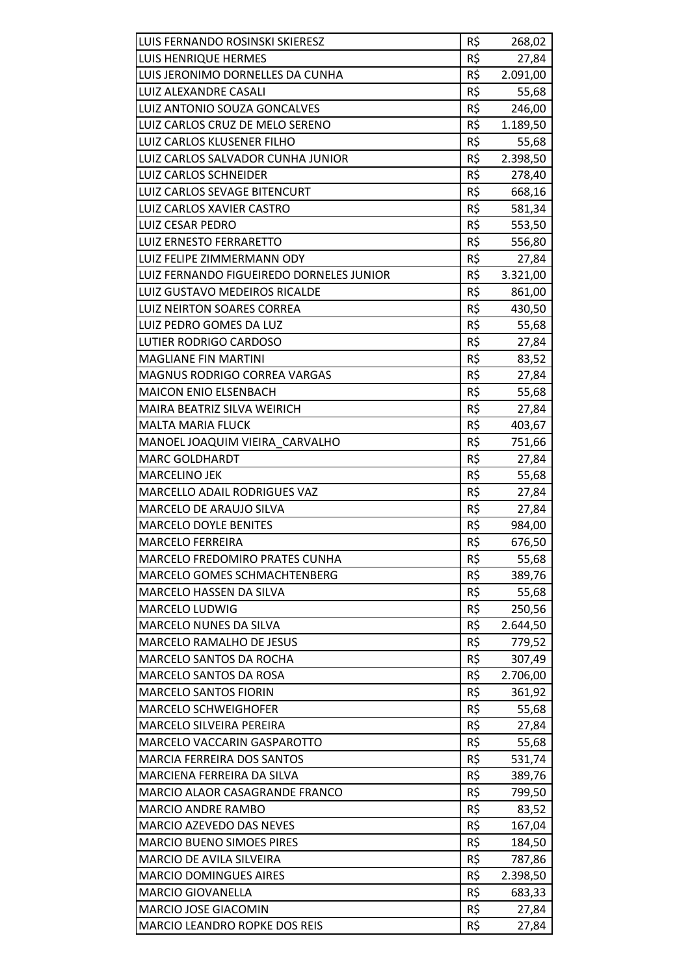| LUIS FERNANDO ROSINSKI SKIERESZ          | R\$ | 268,02   |
|------------------------------------------|-----|----------|
| LUIS HENRIQUE HERMES                     | R\$ | 27,84    |
| LUIS JERONIMO DORNELLES DA CUNHA         | R\$ | 2.091,00 |
| LUIZ ALEXANDRE CASALI                    | R\$ | 55,68    |
| LUIZ ANTONIO SOUZA GONCALVES             | R\$ | 246,00   |
| LUIZ CARLOS CRUZ DE MELO SERENO          | R\$ | 1.189,50 |
| LUIZ CARLOS KLUSENER FILHO               | R\$ | 55,68    |
| LUIZ CARLOS SALVADOR CUNHA JUNIOR        | R\$ | 2.398,50 |
| <b>LUIZ CARLOS SCHNEIDER</b>             | R\$ | 278,40   |
| LUIZ CARLOS SEVAGE BITENCURT             | R\$ | 668,16   |
| LUIZ CARLOS XAVIER CASTRO                | R\$ | 581,34   |
| LUIZ CESAR PEDRO                         | R\$ | 553,50   |
| <b>LUIZ ERNESTO FERRARETTO</b>           | R\$ | 556,80   |
| LUIZ FELIPE ZIMMERMANN ODY               | R\$ | 27,84    |
| LUIZ FERNANDO FIGUEIREDO DORNELES JUNIOR | R\$ | 3.321,00 |
| LUIZ GUSTAVO MEDEIROS RICALDE            | R\$ | 861,00   |
| LUIZ NEIRTON SOARES CORREA               | R\$ | 430,50   |
| LUIZ PEDRO GOMES DA LUZ                  | R\$ | 55,68    |
| LUTIER RODRIGO CARDOSO                   | R\$ | 27,84    |
| <b>MAGLIANE FIN MARTINI</b>              | R\$ | 83,52    |
| MAGNUS RODRIGO CORREA VARGAS             | R\$ | 27,84    |
| <b>MAICON ENIO ELSENBACH</b>             | R\$ | 55,68    |
| MAIRA BEATRIZ SILVA WEIRICH              | R\$ | 27,84    |
| <b>MALTA MARIA FLUCK</b>                 | R\$ | 403,67   |
| MANOEL JOAQUIM VIEIRA CARVALHO           | R\$ | 751,66   |
| <b>MARC GOLDHARDT</b>                    | R\$ | 27,84    |
| <b>MARCELINO JEK</b>                     | R\$ | 55,68    |
| MARCELLO ADAIL RODRIGUES VAZ             | R\$ | 27,84    |
| MARCELO DE ARAUJO SILVA                  | R\$ | 27,84    |
| <b>MARCELO DOYLE BENITES</b>             | R\$ | 984,00   |
| <b>MARCELO FERREIRA</b>                  | R\$ | 676,50   |
| MARCELO FREDOMIRO PRATES CUNHA           | R\$ | 55,68    |
| MARCELO GOMES SCHMACHTENBERG             | R\$ | 389,76   |
| MARCELO HASSEN DA SILVA                  | R\$ | 55,68    |
| MARCELO LUDWIG                           | R\$ | 250,56   |
| MARCELO NUNES DA SILVA                   | R\$ | 2.644,50 |
| MARCELO RAMALHO DE JESUS                 | R\$ | 779,52   |
| MARCELO SANTOS DA ROCHA                  | R\$ | 307,49   |
| <b>MARCELO SANTOS DA ROSA</b>            | R\$ | 2.706,00 |
| <b>MARCELO SANTOS FIORIN</b>             | R\$ | 361,92   |
| <b>MARCELO SCHWEIGHOFER</b>              | R\$ | 55,68    |
| <b>MARCELO SILVEIRA PEREIRA</b>          | R\$ | 27,84    |
| MARCELO VACCARIN GASPAROTTO              | R\$ | 55,68    |
| <b>MARCIA FERREIRA DOS SANTOS</b>        | R\$ | 531,74   |
| MARCIENA FERREIRA DA SILVA               | R\$ | 389,76   |
| MARCIO ALAOR CASAGRANDE FRANCO           | R\$ | 799,50   |
| MARCIO ANDRE RAMBO                       | R\$ | 83,52    |
| MARCIO AZEVEDO DAS NEVES                 | R\$ | 167,04   |
| <b>MARCIO BUENO SIMOES PIRES</b>         | R\$ | 184,50   |
| MARCIO DE AVILA SILVEIRA                 | R\$ | 787,86   |
| <b>MARCIO DOMINGUES AIRES</b>            | R\$ | 2.398,50 |
| <b>MARCIO GIOVANELLA</b>                 | R\$ | 683,33   |
| MARCIO JOSE GIACOMIN                     | R\$ | 27,84    |
| <b>MARCIO LEANDRO ROPKE DOS REIS</b>     | R\$ | 27,84    |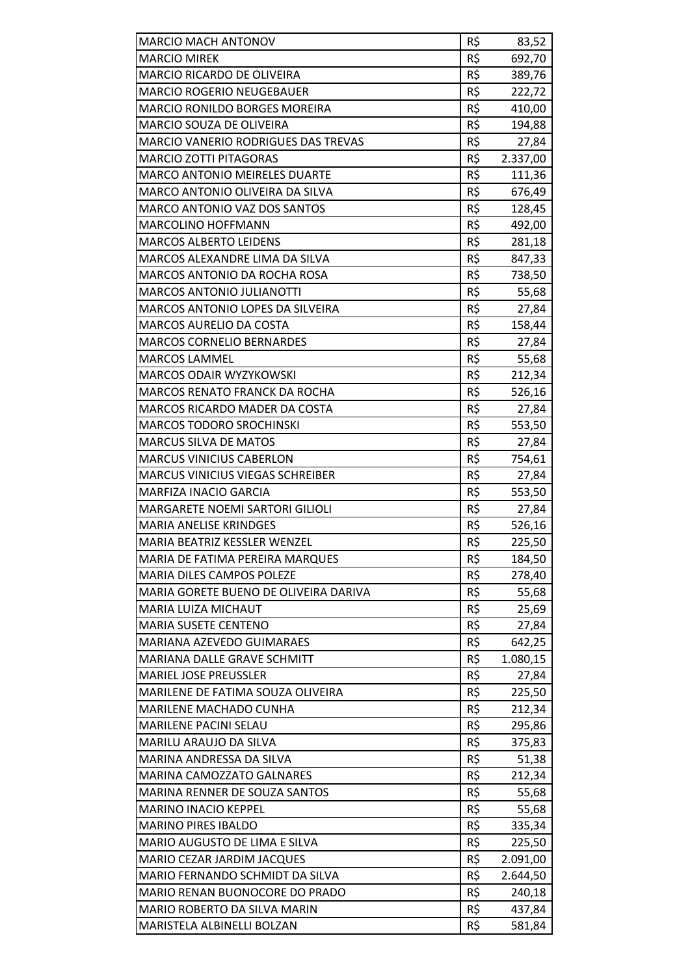| <b>MARCIO MACH ANTONOV</b>                                          | R\$        | 83,52            |
|---------------------------------------------------------------------|------------|------------------|
| <b>MARCIO MIREK</b>                                                 | R\$        | 692,70           |
| <b>MARCIO RICARDO DE OLIVEIRA</b>                                   | R\$        | 389,76           |
| <b>MARCIO ROGERIO NEUGEBAUER</b>                                    | R\$        | 222,72           |
| <b>MARCIO RONILDO BORGES MOREIRA</b>                                | R\$        | 410,00           |
| MARCIO SOUZA DE OLIVEIRA                                            | R\$        | 194,88           |
| MARCIO VANERIO RODRIGUES DAS TREVAS                                 | R\$        | 27,84            |
| <b>MARCIO ZOTTI PITAGORAS</b>                                       | R\$        | 2.337,00         |
| <b>MARCO ANTONIO MEIRELES DUARTE</b>                                | R\$        | 111,36           |
| MARCO ANTONIO OLIVEIRA DA SILVA                                     | R\$        | 676,49           |
| MARCO ANTONIO VAZ DOS SANTOS                                        | R\$        | 128,45           |
| <b>MARCOLINO HOFFMANN</b>                                           | R\$        | 492,00           |
| <b>MARCOS ALBERTO LEIDENS</b>                                       | R\$        | 281,18           |
| MARCOS ALEXANDRE LIMA DA SILVA                                      | R\$        | 847,33           |
| <b>MARCOS ANTONIO DA ROCHA ROSA</b>                                 | R\$        | 738,50           |
| <b>MARCOS ANTONIO JULIANOTTI</b>                                    | R\$        | 55,68            |
| MARCOS ANTONIO LOPES DA SILVEIRA                                    | R\$        | 27,84            |
| <b>MARCOS AURELIO DA COSTA</b>                                      | R\$        | 158,44           |
| <b>MARCOS CORNELIO BERNARDES</b>                                    | R\$        | 27,84            |
| <b>MARCOS LAMMEL</b>                                                | R\$        | 55,68            |
| MARCOS ODAIR WYZYKOWSKI                                             | R\$        | 212,34           |
| <b>MARCOS RENATO FRANCK DA ROCHA</b>                                | R\$        |                  |
| MARCOS RICARDO MADER DA COSTA                                       | R\$        | 526,16           |
| <b>MARCOS TODORO SROCHINSKI</b>                                     | R\$        | 27,84            |
|                                                                     | R\$        | 553,50           |
| <b>MARCUS SILVA DE MATOS</b>                                        | R\$        | 27,84            |
| <b>MARCUS VINICIUS CABERLON</b>                                     | R\$        | 754,61           |
| <b>MARCUS VINICIUS VIEGAS SCHREIBER</b>                             |            | 27,84            |
| <b>MARFIZA INACIO GARCIA</b>                                        | R\$        | 553,50           |
| <b>MARGARETE NOEMI SARTORI GILIOLI</b>                              | R\$<br>R\$ | 27,84            |
| <b>MARIA ANELISE KRINDGES</b><br>MARIA BEATRIZ KESSLER WENZEL       | R\$        | 526,16<br>225,50 |
|                                                                     |            |                  |
| MARIA DE FATIMA PEREIRA MARQUES<br><b>MARIA DILES CAMPOS POLEZE</b> | R\$<br>R\$ | 184,50           |
|                                                                     |            | 278,40           |
| MARIA GORETE BUENO DE OLIVEIRA DARIVA                               | R\$<br>R\$ | 55,68            |
| <b>MARIA LUIZA MICHAUT</b>                                          |            | 25,69            |
| <b>MARIA SUSETE CENTENO</b>                                         | R\$        | 27,84            |
| MARIANA AZEVEDO GUIMARAES                                           | R\$        | 642,25           |
| MARIANA DALLE GRAVE SCHMITT                                         | R\$        | 1.080,15         |
| <b>MARIEL JOSE PREUSSLER</b>                                        | R\$<br>R\$ | 27,84            |
| MARILENE DE FATIMA SOUZA OLIVEIRA                                   |            | 225,50           |
| MARILENE MACHADO CUNHA                                              | R\$        | 212,34           |
| <b>MARILENE PACINI SELAU</b>                                        | R\$        | 295,86           |
| MARILU ARAUJO DA SILVA<br>MARINA ANDRESSA DA SILVA                  | R\$<br>R\$ | 375,83           |
|                                                                     | R\$        | 51,38            |
| MARINA CAMOZZATO GALNARES<br>MARINA RENNER DE SOUZA SANTOS          | R\$        | 212,34           |
|                                                                     |            | 55,68            |
| <b>MARINO INACIO KEPPEL</b><br><b>MARINO PIRES IBALDO</b>           | R\$<br>R\$ | 55,68            |
| MARIO AUGUSTO DE LIMA E SILVA                                       | R\$        | 335,34           |
|                                                                     | R\$        | 225,50           |
| MARIO CEZAR JARDIM JACQUES<br>MARIO FERNANDO SCHMIDT DA SILVA       | R\$        | 2.091,00         |
| MARIO RENAN BUONOCORE DO PRADO                                      | R\$        | 2.644,50         |
|                                                                     | R\$        | 240,18           |
| MARIO ROBERTO DA SILVA MARIN<br>MARISTELA ALBINELLI BOLZAN          | R\$        | 437,84           |
|                                                                     |            | 581,84           |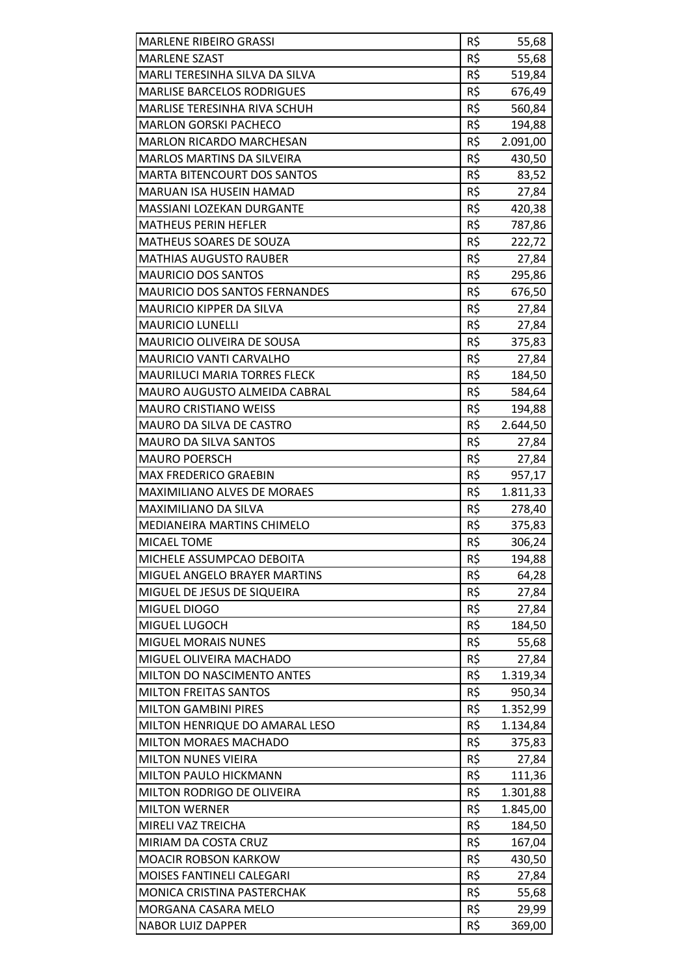| <b>MARLENE RIBEIRO GRASSI</b>        | R\$ | 55,68    |
|--------------------------------------|-----|----------|
| <b>MARLENE SZAST</b>                 | R\$ | 55,68    |
| MARLI TERESINHA SILVA DA SILVA       | R\$ | 519,84   |
| <b>MARLISE BARCELOS RODRIGUES</b>    | R\$ | 676,49   |
| <b>MARLISE TERESINHA RIVA SCHUH</b>  | R\$ | 560,84   |
| <b>MARLON GORSKI PACHECO</b>         | R\$ | 194,88   |
| <b>MARLON RICARDO MARCHESAN</b>      | R\$ | 2.091,00 |
| <b>MARLOS MARTINS DA SILVEIRA</b>    | R\$ | 430,50   |
| <b>MARTA BITENCOURT DOS SANTOS</b>   | R\$ | 83,52    |
| MARUAN ISA HUSEIN HAMAD              | R\$ | 27,84    |
| MASSIANI LOZEKAN DURGANTE            | R\$ | 420,38   |
| <b>MATHEUS PERIN HEFLER</b>          | R\$ |          |
|                                      | R\$ | 787,86   |
| <b>MATHEUS SOARES DE SOUZA</b>       | R\$ | 222,72   |
| <b>MATHIAS AUGUSTO RAUBER</b>        |     | 27,84    |
| <b>MAURICIO DOS SANTOS</b>           | R\$ | 295,86   |
| <b>MAURICIO DOS SANTOS FERNANDES</b> | R\$ | 676,50   |
| <b>MAURICIO KIPPER DA SILVA</b>      | R\$ | 27,84    |
| <b>MAURICIO LUNELLI</b>              | R\$ | 27,84    |
| MAURICIO OLIVEIRA DE SOUSA           | R\$ | 375,83   |
| <b>MAURICIO VANTI CARVALHO</b>       | R\$ | 27,84    |
| <b>MAURILUCI MARIA TORRES FLECK</b>  | R\$ | 184,50   |
| MAURO AUGUSTO ALMEIDA CABRAL         | R\$ | 584,64   |
| <b>MAURO CRISTIANO WEISS</b>         | R\$ | 194,88   |
| <b>MAURO DA SILVA DE CASTRO</b>      | R\$ | 2.644,50 |
| <b>MAURO DA SILVA SANTOS</b>         | R\$ | 27,84    |
| <b>MAURO POERSCH</b>                 | R\$ | 27,84    |
| <b>MAX FREDERICO GRAEBIN</b>         | R\$ | 957,17   |
| <b>MAXIMILIANO ALVES DE MORAES</b>   | R\$ | 1.811,33 |
| <b>MAXIMILIANO DA SILVA</b>          | R\$ | 278,40   |
| <b>MEDIANEIRA MARTINS CHIMELO</b>    | R\$ | 375,83   |
| <b>MICAEL TOME</b>                   | R\$ | 306,24   |
| MICHELE ASSUMPCAO DEBOITA            | R\$ | 194,88   |
| MIGUEL ANGELO BRAYER MARTINS         | R\$ | 64,28    |
| MIGUEL DE JESUS DE SIQUEIRA          | R\$ | 27,84    |
| MIGUEL DIOGO                         | R\$ | 27,84    |
| MIGUEL LUGOCH                        | R\$ | 184,50   |
| <b>MIGUEL MORAIS NUNES</b>           | R\$ | 55,68    |
| MIGUEL OLIVEIRA MACHADO              | R\$ | 27,84    |
| MILTON DO NASCIMENTO ANTES           | R\$ | 1.319,34 |
| <b>MILTON FREITAS SANTOS</b>         | R\$ | 950,34   |
| <b>MILTON GAMBINI PIRES</b>          | R\$ | 1.352,99 |
| MILTON HENRIQUE DO AMARAL LESO       | R\$ | 1.134,84 |
| MILTON MORAES MACHADO                | R\$ | 375,83   |
| <b>MILTON NUNES VIEIRA</b>           | R\$ | 27,84    |
| MILTON PAULO HICKMANN                | R\$ | 111,36   |
| MILTON RODRIGO DE OLIVEIRA           | R\$ | 1.301,88 |
| <b>MILTON WERNER</b>                 | R\$ | 1.845,00 |
| MIRELI VAZ TREICHA                   | R\$ | 184,50   |
| MIRIAM DA COSTA CRUZ                 | R\$ | 167,04   |
| <b>MOACIR ROBSON KARKOW</b>          | R\$ | 430,50   |
| MOISES FANTINELI CALEGARI            | R\$ | 27,84    |
| MONICA CRISTINA PASTERCHAK           | R\$ | 55,68    |
| MORGANA CASARA MELO                  | R\$ | 29,99    |
| <b>NABOR LUIZ DAPPER</b>             | R\$ | 369,00   |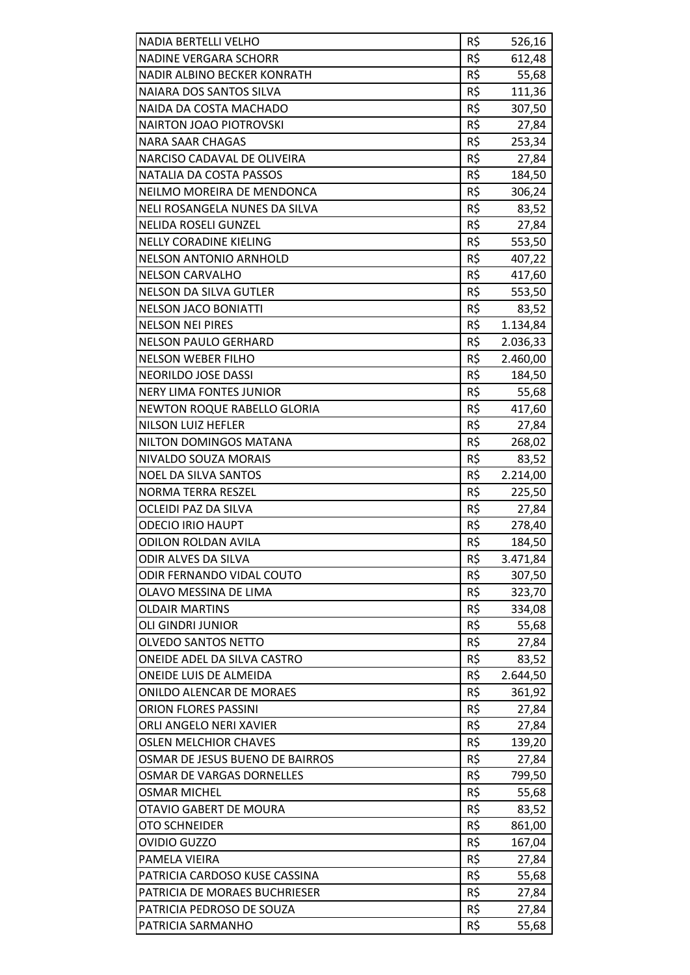| <b>NADIA BERTELLI VELHO</b>      | R\$ | 526,16   |
|----------------------------------|-----|----------|
| <b>NADINE VERGARA SCHORR</b>     | R\$ | 612,48   |
| NADIR ALBINO BECKER KONRATH      | R\$ | 55,68    |
| NAIARA DOS SANTOS SILVA          | R\$ | 111,36   |
| NAIDA DA COSTA MACHADO           | R\$ | 307,50   |
| <b>NAIRTON JOAO PIOTROVSKI</b>   | R\$ | 27,84    |
| <b>NARA SAAR CHAGAS</b>          | R\$ | 253,34   |
| NARCISO CADAVAL DE OLIVEIRA      | R\$ | 27,84    |
| NATALIA DA COSTA PASSOS          | R\$ | 184,50   |
| NEILMO MOREIRA DE MENDONCA       | R\$ | 306,24   |
| NELI ROSANGELA NUNES DA SILVA    | R\$ | 83,52    |
| <b>NELIDA ROSELI GUNZEL</b>      | R\$ | 27,84    |
| <b>NELLY CORADINE KIELING</b>    | R\$ | 553,50   |
| <b>NELSON ANTONIO ARNHOLD</b>    | R\$ | 407,22   |
| <b>NELSON CARVALHO</b>           | R\$ | 417,60   |
| <b>NELSON DA SILVA GUTLER</b>    | R\$ | 553,50   |
| <b>NELSON JACO BONIATTI</b>      | R\$ | 83,52    |
| <b>NELSON NEI PIRES</b>          | R\$ | 1.134,84 |
| <b>NELSON PAULO GERHARD</b>      | R\$ | 2.036,33 |
| <b>NELSON WEBER FILHO</b>        | R\$ | 2.460,00 |
| NEORILDO JOSE DASSI              | R\$ | 184,50   |
| <b>NERY LIMA FONTES JUNIOR</b>   | R\$ | 55,68    |
| NEWTON ROQUE RABELLO GLORIA      | R\$ | 417,60   |
| <b>NILSON LUIZ HEFLER</b>        | R\$ | 27,84    |
| NILTON DOMINGOS MATANA           | R\$ | 268,02   |
| NIVALDO SOUZA MORAIS             | R\$ | 83,52    |
| <b>NOEL DA SILVA SANTOS</b>      | R\$ | 2.214,00 |
| <b>NORMA TERRA RESZEL</b>        | R\$ | 225,50   |
| OCLEIDI PAZ DA SILVA             | R\$ | 27,84    |
| <b>ODECIO IRIO HAUPT</b>         | R\$ | 278,40   |
| <b>ODILON ROLDAN AVILA</b>       | R\$ | 184,50   |
| <b>ODIR ALVES DA SILVA</b>       | R\$ | 3.471,84 |
| <b>ODIR FERNANDO VIDAL COUTO</b> | R\$ | 307,50   |
| OLAVO MESSINA DE LIMA            | R\$ | 323,70   |
| <b>OLDAIR MARTINS</b>            | R\$ | 334,08   |
| <b>OLI GINDRI JUNIOR</b>         | R\$ | 55,68    |
| <b>OLVEDO SANTOS NETTO</b>       | R\$ | 27,84    |
| ONEIDE ADEL DA SILVA CASTRO      | R\$ | 83,52    |
| <b>ONEIDE LUIS DE ALMEIDA</b>    | R\$ | 2.644,50 |
| <b>ONILDO ALENCAR DE MORAES</b>  | R\$ | 361,92   |
| <b>ORION FLORES PASSINI</b>      | R\$ | 27,84    |
| ORLI ANGELO NERI XAVIER          | R\$ | 27,84    |
| <b>OSLEN MELCHIOR CHAVES</b>     | R\$ | 139,20   |
| OSMAR DE JESUS BUENO DE BAIRROS  | R\$ | 27,84    |
| OSMAR DE VARGAS DORNELLES        | R\$ | 799,50   |
| <b>OSMAR MICHEL</b>              | R\$ | 55,68    |
| OTAVIO GABERT DE MOURA           | R\$ | 83,52    |
| <b>OTO SCHNEIDER</b>             | R\$ | 861,00   |
| <b>OVIDIO GUZZO</b>              | R\$ | 167,04   |
| PAMELA VIEIRA                    | R\$ | 27,84    |
| PATRICIA CARDOSO KUSE CASSINA    | R\$ | 55,68    |
| PATRICIA DE MORAES BUCHRIESER    | R\$ | 27,84    |
| PATRICIA PEDROSO DE SOUZA        | R\$ | 27,84    |
| PATRICIA SARMANHO                | R\$ | 55,68    |
|                                  |     |          |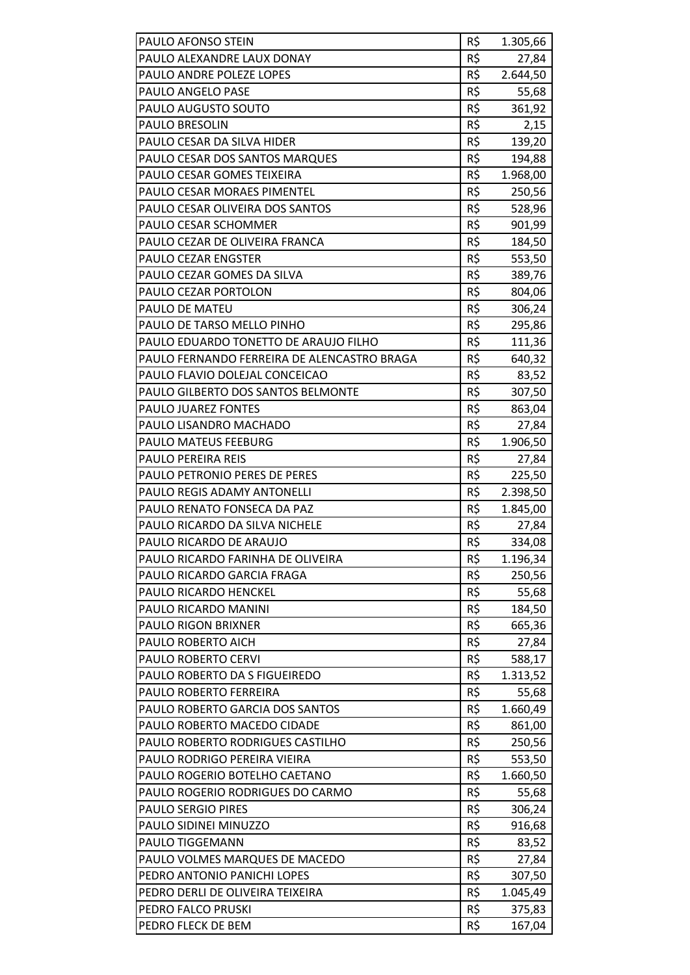| PAULO AFONSO STEIN                          | R\$        | 1.305,66 |
|---------------------------------------------|------------|----------|
| PAULO ALEXANDRE LAUX DONAY                  | R\$        | 27,84    |
| PAULO ANDRE POLEZE LOPES                    | R\$        | 2.644,50 |
| PAULO ANGELO PASE                           | R\$        | 55,68    |
| PAULO AUGUSTO SOUTO                         | R\$        | 361,92   |
| PAULO BRESOLIN                              | R\$        | 2,15     |
| PAULO CESAR DA SILVA HIDER                  | R\$        | 139,20   |
| PAULO CESAR DOS SANTOS MARQUES              | R\$        | 194,88   |
| PAULO CESAR GOMES TEIXEIRA                  | R\$        | 1.968,00 |
| PAULO CESAR MORAES PIMENTEL                 | R\$        | 250,56   |
| PAULO CESAR OLIVEIRA DOS SANTOS             | R\$        | 528,96   |
| PAULO CESAR SCHOMMER                        | R\$        | 901,99   |
| PAULO CEZAR DE OLIVEIRA FRANCA              | R\$        | 184,50   |
| <b>PAULO CEZAR ENGSTER</b>                  | R\$        | 553,50   |
| PAULO CEZAR GOMES DA SILVA                  | R\$        | 389,76   |
| PAULO CEZAR PORTOLON                        | R\$        | 804,06   |
| PAULO DE MATEU                              | R\$        | 306,24   |
| PAULO DE TARSO MELLO PINHO                  | R\$        |          |
| PAULO EDUARDO TONETTO DE ARAUJO FILHO       | R\$        | 295,86   |
| PAULO FERNANDO FERREIRA DE ALENCASTRO BRAGA |            | 111,36   |
|                                             | R\$<br>R\$ | 640,32   |
| PAULO FLAVIO DOLEJAL CONCEICAO              |            | 83,52    |
| PAULO GILBERTO DOS SANTOS BELMONTE          | R\$        | 307,50   |
| PAULO JUAREZ FONTES                         | R\$        | 863,04   |
| PAULO LISANDRO MACHADO                      | R\$        | 27,84    |
| PAULO MATEUS FEEBURG                        | R\$        | 1.906,50 |
| PAULO PEREIRA REIS                          | R\$        | 27,84    |
| PAULO PETRONIO PERES DE PERES               | R\$        | 225,50   |
| <b>PAULO REGIS ADAMY ANTONELLI</b>          | R\$        | 2.398,50 |
| PAULO RENATO FONSECA DA PAZ                 | R\$        | 1.845,00 |
| PAULO RICARDO DA SILVA NICHELE              | R\$        | 27,84    |
| PAULO RICARDO DE ARAUJO                     | R\$        | 334,08   |
| PAULO RICARDO FARINHA DE OLIVEIRA           | R\$        | 1.196,34 |
| PAULO RICARDO GARCIA FRAGA                  | R\$        | 250,56   |
| <b>PAULO RICARDO HENCKEL</b>                | R\$        | 55,68    |
| PAULO RICARDO MANINI                        | R\$        | 184,50   |
| PAULO RIGON BRIXNER                         | R\$        | 665,36   |
| PAULO ROBERTO AICH                          | R\$        | 27,84    |
| PAULO ROBERTO CERVI                         | R\$        | 588,17   |
| PAULO ROBERTO DA S FIGUEIREDO               | R\$        | 1.313,52 |
| PAULO ROBERTO FERREIRA                      | R\$        | 55,68    |
| PAULO ROBERTO GARCIA DOS SANTOS             | R\$        | 1.660,49 |
| PAULO ROBERTO MACEDO CIDADE                 | R\$        | 861,00   |
| PAULO ROBERTO RODRIGUES CASTILHO            | R\$        | 250,56   |
| PAULO RODRIGO PEREIRA VIEIRA                | R\$        | 553,50   |
| PAULO ROGERIO BOTELHO CAETANO               | R\$        | 1.660,50 |
| PAULO ROGERIO RODRIGUES DO CARMO            | R\$        | 55,68    |
| <b>PAULO SERGIO PIRES</b>                   | R\$        | 306,24   |
| PAULO SIDINEI MINUZZO                       | R\$        | 916,68   |
| PAULO TIGGEMANN                             | R\$        | 83,52    |
| PAULO VOLMES MARQUES DE MACEDO              | R\$        | 27,84    |
|                                             |            |          |
| PEDRO ANTONIO PANICHI LOPES                 | R\$        | 307,50   |
| PEDRO DERLI DE OLIVEIRA TEIXEIRA            | R\$        | 1.045,49 |
| PEDRO FALCO PRUSKI                          | R\$        | 375,83   |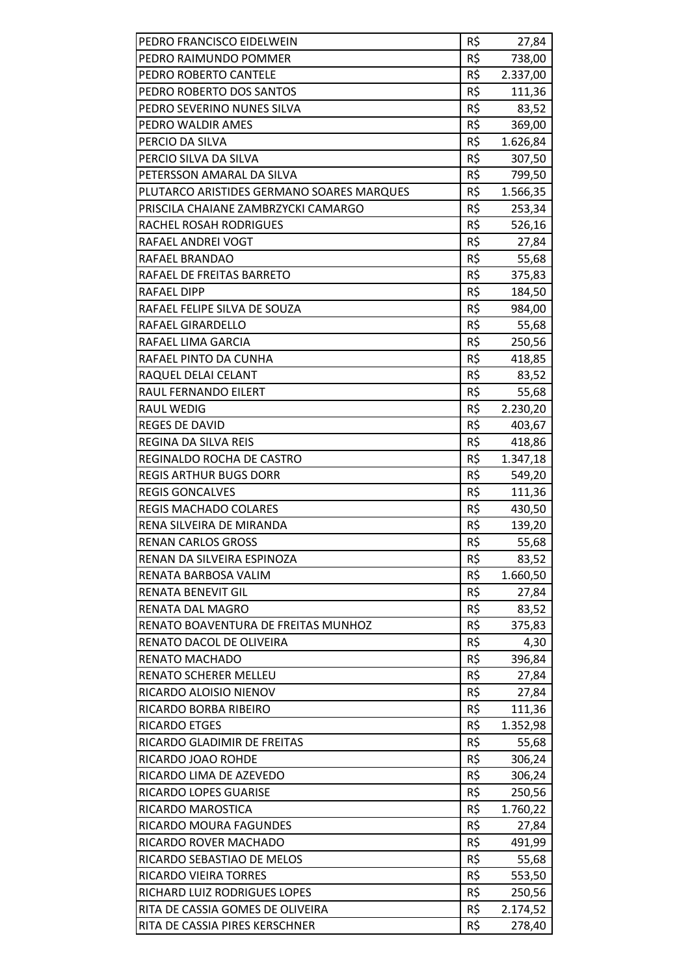| R\$<br>PEDRO FRANCISCO EIDELWEIN<br>27,84<br>R\$<br>PEDRO RAIMUNDO POMMER<br>738,00<br>R\$<br>PEDRO ROBERTO CANTELE<br>2.337,00<br>R\$<br>PEDRO ROBERTO DOS SANTOS<br>111,36<br>R\$<br>PEDRO SEVERINO NUNES SILVA<br>83,52<br>R\$<br>PEDRO WALDIR AMES<br>369,00<br>R\$<br>1.626,84<br>PERCIO DA SILVA<br>R\$<br>PERCIO SILVA DA SILVA<br>307,50<br>R\$<br>PETERSSON AMARAL DA SILVA<br>799,50<br>R\$<br>PLUTARCO ARISTIDES GERMANO SOARES MARQUES<br>1.566,35<br>R\$<br>PRISCILA CHAIANE ZAMBRZYCKI CAMARGO<br>253,34<br>R\$<br>RACHEL ROSAH RODRIGUES<br>526,16<br>R\$<br>RAFAEL ANDREI VOGT<br>27,84<br>R\$<br>55,68<br>RAFAEL BRANDAO<br>R\$<br>RAFAEL DE FREITAS BARRETO<br>375,83<br>R\$<br><b>RAFAEL DIPP</b><br>184,50<br>R\$<br>RAFAEL FELIPE SILVA DE SOUZA<br>984,00<br>R\$<br>RAFAEL GIRARDELLO<br>55,68<br>R\$<br>RAFAEL LIMA GARCIA<br>250,56<br>R\$<br>RAFAEL PINTO DA CUNHA<br>418,85<br>R\$<br>RAQUEL DELAI CELANT<br>83,52<br>R\$<br>RAUL FERNANDO EILERT<br>55,68<br>R\$<br><b>RAUL WEDIG</b><br>2.230,20<br>R\$<br><b>REGES DE DAVID</b><br>403,67<br>R\$<br>REGINA DA SILVA REIS<br>418,86<br>R\$<br>REGINALDO ROCHA DE CASTRO<br>1.347,18<br>R\$<br><b>REGIS ARTHUR BUGS DORR</b><br>549,20<br>R\$<br><b>REGIS GONCALVES</b><br>111,36<br>R\$<br><b>REGIS MACHADO COLARES</b><br>430,50<br>R\$<br>RENA SILVEIRA DE MIRANDA<br>139,20<br>R\$<br><b>RENAN CARLOS GROSS</b><br>55,68<br>R\$<br>RENAN DA SILVEIRA ESPINOZA<br>83,52<br>R\$<br>RENATA BARBOSA VALIM<br>1.660,50<br>R\$<br>27,84<br><b>RENATA BENEVIT GIL</b><br>R\$<br>RENATA DAL MAGRO<br>83,52<br>R\$<br>RENATO BOAVENTURA DE FREITAS MUNHOZ<br>375,83<br>R\$<br>RENATO DACOL DE OLIVEIRA<br>4,30<br>R\$<br>RENATO MACHADO<br>396,84<br>R\$<br>RENATO SCHERER MELLEU<br>27,84<br>R\$<br>RICARDO ALOISIO NIENOV<br>27,84<br>R\$<br>RICARDO BORBA RIBEIRO<br>111,36<br>R\$<br>1.352,98<br>RICARDO ETGES<br>R\$<br>RICARDO GLADIMIR DE FREITAS<br>55,68<br>R\$<br>306,24<br>RICARDO JOAO ROHDE<br>R\$<br>RICARDO LIMA DE AZEVEDO<br>306,24<br>R\$<br>RICARDO LOPES GUARISE<br>250,56<br>R\$<br>RICARDO MAROSTICA<br>1.760,22<br>R\$<br>RICARDO MOURA FAGUNDES<br>27,84<br>R\$<br>491,99<br>RICARDO ROVER MACHADO<br>R\$<br>RICARDO SEBASTIAO DE MELOS<br>55,68<br>R\$<br>RICARDO VIEIRA TORRES<br>553,50<br>R\$<br>RICHARD LUIZ RODRIGUES LOPES<br>250,56<br>R\$<br>RITA DE CASSIA GOMES DE OLIVEIRA<br>2.174,52<br>R\$<br>RITA DE CASSIA PIRES KERSCHNER<br>278,40 |  |  |
|-----------------------------------------------------------------------------------------------------------------------------------------------------------------------------------------------------------------------------------------------------------------------------------------------------------------------------------------------------------------------------------------------------------------------------------------------------------------------------------------------------------------------------------------------------------------------------------------------------------------------------------------------------------------------------------------------------------------------------------------------------------------------------------------------------------------------------------------------------------------------------------------------------------------------------------------------------------------------------------------------------------------------------------------------------------------------------------------------------------------------------------------------------------------------------------------------------------------------------------------------------------------------------------------------------------------------------------------------------------------------------------------------------------------------------------------------------------------------------------------------------------------------------------------------------------------------------------------------------------------------------------------------------------------------------------------------------------------------------------------------------------------------------------------------------------------------------------------------------------------------------------------------------------------------------------------------------------------------------------------------------------------------------------------------------------------------------------------------------------------------------------------------------------------------------------------------------------------------------------------------------------------------------------------------------------------------------------------------------------------------------------------------------------------------------------------------------|--|--|
|                                                                                                                                                                                                                                                                                                                                                                                                                                                                                                                                                                                                                                                                                                                                                                                                                                                                                                                                                                                                                                                                                                                                                                                                                                                                                                                                                                                                                                                                                                                                                                                                                                                                                                                                                                                                                                                                                                                                                                                                                                                                                                                                                                                                                                                                                                                                                                                                                                                     |  |  |
|                                                                                                                                                                                                                                                                                                                                                                                                                                                                                                                                                                                                                                                                                                                                                                                                                                                                                                                                                                                                                                                                                                                                                                                                                                                                                                                                                                                                                                                                                                                                                                                                                                                                                                                                                                                                                                                                                                                                                                                                                                                                                                                                                                                                                                                                                                                                                                                                                                                     |  |  |
|                                                                                                                                                                                                                                                                                                                                                                                                                                                                                                                                                                                                                                                                                                                                                                                                                                                                                                                                                                                                                                                                                                                                                                                                                                                                                                                                                                                                                                                                                                                                                                                                                                                                                                                                                                                                                                                                                                                                                                                                                                                                                                                                                                                                                                                                                                                                                                                                                                                     |  |  |
|                                                                                                                                                                                                                                                                                                                                                                                                                                                                                                                                                                                                                                                                                                                                                                                                                                                                                                                                                                                                                                                                                                                                                                                                                                                                                                                                                                                                                                                                                                                                                                                                                                                                                                                                                                                                                                                                                                                                                                                                                                                                                                                                                                                                                                                                                                                                                                                                                                                     |  |  |
|                                                                                                                                                                                                                                                                                                                                                                                                                                                                                                                                                                                                                                                                                                                                                                                                                                                                                                                                                                                                                                                                                                                                                                                                                                                                                                                                                                                                                                                                                                                                                                                                                                                                                                                                                                                                                                                                                                                                                                                                                                                                                                                                                                                                                                                                                                                                                                                                                                                     |  |  |
|                                                                                                                                                                                                                                                                                                                                                                                                                                                                                                                                                                                                                                                                                                                                                                                                                                                                                                                                                                                                                                                                                                                                                                                                                                                                                                                                                                                                                                                                                                                                                                                                                                                                                                                                                                                                                                                                                                                                                                                                                                                                                                                                                                                                                                                                                                                                                                                                                                                     |  |  |
|                                                                                                                                                                                                                                                                                                                                                                                                                                                                                                                                                                                                                                                                                                                                                                                                                                                                                                                                                                                                                                                                                                                                                                                                                                                                                                                                                                                                                                                                                                                                                                                                                                                                                                                                                                                                                                                                                                                                                                                                                                                                                                                                                                                                                                                                                                                                                                                                                                                     |  |  |
|                                                                                                                                                                                                                                                                                                                                                                                                                                                                                                                                                                                                                                                                                                                                                                                                                                                                                                                                                                                                                                                                                                                                                                                                                                                                                                                                                                                                                                                                                                                                                                                                                                                                                                                                                                                                                                                                                                                                                                                                                                                                                                                                                                                                                                                                                                                                                                                                                                                     |  |  |
|                                                                                                                                                                                                                                                                                                                                                                                                                                                                                                                                                                                                                                                                                                                                                                                                                                                                                                                                                                                                                                                                                                                                                                                                                                                                                                                                                                                                                                                                                                                                                                                                                                                                                                                                                                                                                                                                                                                                                                                                                                                                                                                                                                                                                                                                                                                                                                                                                                                     |  |  |
|                                                                                                                                                                                                                                                                                                                                                                                                                                                                                                                                                                                                                                                                                                                                                                                                                                                                                                                                                                                                                                                                                                                                                                                                                                                                                                                                                                                                                                                                                                                                                                                                                                                                                                                                                                                                                                                                                                                                                                                                                                                                                                                                                                                                                                                                                                                                                                                                                                                     |  |  |
|                                                                                                                                                                                                                                                                                                                                                                                                                                                                                                                                                                                                                                                                                                                                                                                                                                                                                                                                                                                                                                                                                                                                                                                                                                                                                                                                                                                                                                                                                                                                                                                                                                                                                                                                                                                                                                                                                                                                                                                                                                                                                                                                                                                                                                                                                                                                                                                                                                                     |  |  |
|                                                                                                                                                                                                                                                                                                                                                                                                                                                                                                                                                                                                                                                                                                                                                                                                                                                                                                                                                                                                                                                                                                                                                                                                                                                                                                                                                                                                                                                                                                                                                                                                                                                                                                                                                                                                                                                                                                                                                                                                                                                                                                                                                                                                                                                                                                                                                                                                                                                     |  |  |
|                                                                                                                                                                                                                                                                                                                                                                                                                                                                                                                                                                                                                                                                                                                                                                                                                                                                                                                                                                                                                                                                                                                                                                                                                                                                                                                                                                                                                                                                                                                                                                                                                                                                                                                                                                                                                                                                                                                                                                                                                                                                                                                                                                                                                                                                                                                                                                                                                                                     |  |  |
|                                                                                                                                                                                                                                                                                                                                                                                                                                                                                                                                                                                                                                                                                                                                                                                                                                                                                                                                                                                                                                                                                                                                                                                                                                                                                                                                                                                                                                                                                                                                                                                                                                                                                                                                                                                                                                                                                                                                                                                                                                                                                                                                                                                                                                                                                                                                                                                                                                                     |  |  |
|                                                                                                                                                                                                                                                                                                                                                                                                                                                                                                                                                                                                                                                                                                                                                                                                                                                                                                                                                                                                                                                                                                                                                                                                                                                                                                                                                                                                                                                                                                                                                                                                                                                                                                                                                                                                                                                                                                                                                                                                                                                                                                                                                                                                                                                                                                                                                                                                                                                     |  |  |
|                                                                                                                                                                                                                                                                                                                                                                                                                                                                                                                                                                                                                                                                                                                                                                                                                                                                                                                                                                                                                                                                                                                                                                                                                                                                                                                                                                                                                                                                                                                                                                                                                                                                                                                                                                                                                                                                                                                                                                                                                                                                                                                                                                                                                                                                                                                                                                                                                                                     |  |  |
|                                                                                                                                                                                                                                                                                                                                                                                                                                                                                                                                                                                                                                                                                                                                                                                                                                                                                                                                                                                                                                                                                                                                                                                                                                                                                                                                                                                                                                                                                                                                                                                                                                                                                                                                                                                                                                                                                                                                                                                                                                                                                                                                                                                                                                                                                                                                                                                                                                                     |  |  |
|                                                                                                                                                                                                                                                                                                                                                                                                                                                                                                                                                                                                                                                                                                                                                                                                                                                                                                                                                                                                                                                                                                                                                                                                                                                                                                                                                                                                                                                                                                                                                                                                                                                                                                                                                                                                                                                                                                                                                                                                                                                                                                                                                                                                                                                                                                                                                                                                                                                     |  |  |
|                                                                                                                                                                                                                                                                                                                                                                                                                                                                                                                                                                                                                                                                                                                                                                                                                                                                                                                                                                                                                                                                                                                                                                                                                                                                                                                                                                                                                                                                                                                                                                                                                                                                                                                                                                                                                                                                                                                                                                                                                                                                                                                                                                                                                                                                                                                                                                                                                                                     |  |  |
|                                                                                                                                                                                                                                                                                                                                                                                                                                                                                                                                                                                                                                                                                                                                                                                                                                                                                                                                                                                                                                                                                                                                                                                                                                                                                                                                                                                                                                                                                                                                                                                                                                                                                                                                                                                                                                                                                                                                                                                                                                                                                                                                                                                                                                                                                                                                                                                                                                                     |  |  |
|                                                                                                                                                                                                                                                                                                                                                                                                                                                                                                                                                                                                                                                                                                                                                                                                                                                                                                                                                                                                                                                                                                                                                                                                                                                                                                                                                                                                                                                                                                                                                                                                                                                                                                                                                                                                                                                                                                                                                                                                                                                                                                                                                                                                                                                                                                                                                                                                                                                     |  |  |
|                                                                                                                                                                                                                                                                                                                                                                                                                                                                                                                                                                                                                                                                                                                                                                                                                                                                                                                                                                                                                                                                                                                                                                                                                                                                                                                                                                                                                                                                                                                                                                                                                                                                                                                                                                                                                                                                                                                                                                                                                                                                                                                                                                                                                                                                                                                                                                                                                                                     |  |  |
|                                                                                                                                                                                                                                                                                                                                                                                                                                                                                                                                                                                                                                                                                                                                                                                                                                                                                                                                                                                                                                                                                                                                                                                                                                                                                                                                                                                                                                                                                                                                                                                                                                                                                                                                                                                                                                                                                                                                                                                                                                                                                                                                                                                                                                                                                                                                                                                                                                                     |  |  |
|                                                                                                                                                                                                                                                                                                                                                                                                                                                                                                                                                                                                                                                                                                                                                                                                                                                                                                                                                                                                                                                                                                                                                                                                                                                                                                                                                                                                                                                                                                                                                                                                                                                                                                                                                                                                                                                                                                                                                                                                                                                                                                                                                                                                                                                                                                                                                                                                                                                     |  |  |
|                                                                                                                                                                                                                                                                                                                                                                                                                                                                                                                                                                                                                                                                                                                                                                                                                                                                                                                                                                                                                                                                                                                                                                                                                                                                                                                                                                                                                                                                                                                                                                                                                                                                                                                                                                                                                                                                                                                                                                                                                                                                                                                                                                                                                                                                                                                                                                                                                                                     |  |  |
|                                                                                                                                                                                                                                                                                                                                                                                                                                                                                                                                                                                                                                                                                                                                                                                                                                                                                                                                                                                                                                                                                                                                                                                                                                                                                                                                                                                                                                                                                                                                                                                                                                                                                                                                                                                                                                                                                                                                                                                                                                                                                                                                                                                                                                                                                                                                                                                                                                                     |  |  |
|                                                                                                                                                                                                                                                                                                                                                                                                                                                                                                                                                                                                                                                                                                                                                                                                                                                                                                                                                                                                                                                                                                                                                                                                                                                                                                                                                                                                                                                                                                                                                                                                                                                                                                                                                                                                                                                                                                                                                                                                                                                                                                                                                                                                                                                                                                                                                                                                                                                     |  |  |
|                                                                                                                                                                                                                                                                                                                                                                                                                                                                                                                                                                                                                                                                                                                                                                                                                                                                                                                                                                                                                                                                                                                                                                                                                                                                                                                                                                                                                                                                                                                                                                                                                                                                                                                                                                                                                                                                                                                                                                                                                                                                                                                                                                                                                                                                                                                                                                                                                                                     |  |  |
|                                                                                                                                                                                                                                                                                                                                                                                                                                                                                                                                                                                                                                                                                                                                                                                                                                                                                                                                                                                                                                                                                                                                                                                                                                                                                                                                                                                                                                                                                                                                                                                                                                                                                                                                                                                                                                                                                                                                                                                                                                                                                                                                                                                                                                                                                                                                                                                                                                                     |  |  |
|                                                                                                                                                                                                                                                                                                                                                                                                                                                                                                                                                                                                                                                                                                                                                                                                                                                                                                                                                                                                                                                                                                                                                                                                                                                                                                                                                                                                                                                                                                                                                                                                                                                                                                                                                                                                                                                                                                                                                                                                                                                                                                                                                                                                                                                                                                                                                                                                                                                     |  |  |
|                                                                                                                                                                                                                                                                                                                                                                                                                                                                                                                                                                                                                                                                                                                                                                                                                                                                                                                                                                                                                                                                                                                                                                                                                                                                                                                                                                                                                                                                                                                                                                                                                                                                                                                                                                                                                                                                                                                                                                                                                                                                                                                                                                                                                                                                                                                                                                                                                                                     |  |  |
|                                                                                                                                                                                                                                                                                                                                                                                                                                                                                                                                                                                                                                                                                                                                                                                                                                                                                                                                                                                                                                                                                                                                                                                                                                                                                                                                                                                                                                                                                                                                                                                                                                                                                                                                                                                                                                                                                                                                                                                                                                                                                                                                                                                                                                                                                                                                                                                                                                                     |  |  |
|                                                                                                                                                                                                                                                                                                                                                                                                                                                                                                                                                                                                                                                                                                                                                                                                                                                                                                                                                                                                                                                                                                                                                                                                                                                                                                                                                                                                                                                                                                                                                                                                                                                                                                                                                                                                                                                                                                                                                                                                                                                                                                                                                                                                                                                                                                                                                                                                                                                     |  |  |
|                                                                                                                                                                                                                                                                                                                                                                                                                                                                                                                                                                                                                                                                                                                                                                                                                                                                                                                                                                                                                                                                                                                                                                                                                                                                                                                                                                                                                                                                                                                                                                                                                                                                                                                                                                                                                                                                                                                                                                                                                                                                                                                                                                                                                                                                                                                                                                                                                                                     |  |  |
|                                                                                                                                                                                                                                                                                                                                                                                                                                                                                                                                                                                                                                                                                                                                                                                                                                                                                                                                                                                                                                                                                                                                                                                                                                                                                                                                                                                                                                                                                                                                                                                                                                                                                                                                                                                                                                                                                                                                                                                                                                                                                                                                                                                                                                                                                                                                                                                                                                                     |  |  |
|                                                                                                                                                                                                                                                                                                                                                                                                                                                                                                                                                                                                                                                                                                                                                                                                                                                                                                                                                                                                                                                                                                                                                                                                                                                                                                                                                                                                                                                                                                                                                                                                                                                                                                                                                                                                                                                                                                                                                                                                                                                                                                                                                                                                                                                                                                                                                                                                                                                     |  |  |
|                                                                                                                                                                                                                                                                                                                                                                                                                                                                                                                                                                                                                                                                                                                                                                                                                                                                                                                                                                                                                                                                                                                                                                                                                                                                                                                                                                                                                                                                                                                                                                                                                                                                                                                                                                                                                                                                                                                                                                                                                                                                                                                                                                                                                                                                                                                                                                                                                                                     |  |  |
|                                                                                                                                                                                                                                                                                                                                                                                                                                                                                                                                                                                                                                                                                                                                                                                                                                                                                                                                                                                                                                                                                                                                                                                                                                                                                                                                                                                                                                                                                                                                                                                                                                                                                                                                                                                                                                                                                                                                                                                                                                                                                                                                                                                                                                                                                                                                                                                                                                                     |  |  |
|                                                                                                                                                                                                                                                                                                                                                                                                                                                                                                                                                                                                                                                                                                                                                                                                                                                                                                                                                                                                                                                                                                                                                                                                                                                                                                                                                                                                                                                                                                                                                                                                                                                                                                                                                                                                                                                                                                                                                                                                                                                                                                                                                                                                                                                                                                                                                                                                                                                     |  |  |
|                                                                                                                                                                                                                                                                                                                                                                                                                                                                                                                                                                                                                                                                                                                                                                                                                                                                                                                                                                                                                                                                                                                                                                                                                                                                                                                                                                                                                                                                                                                                                                                                                                                                                                                                                                                                                                                                                                                                                                                                                                                                                                                                                                                                                                                                                                                                                                                                                                                     |  |  |
|                                                                                                                                                                                                                                                                                                                                                                                                                                                                                                                                                                                                                                                                                                                                                                                                                                                                                                                                                                                                                                                                                                                                                                                                                                                                                                                                                                                                                                                                                                                                                                                                                                                                                                                                                                                                                                                                                                                                                                                                                                                                                                                                                                                                                                                                                                                                                                                                                                                     |  |  |
|                                                                                                                                                                                                                                                                                                                                                                                                                                                                                                                                                                                                                                                                                                                                                                                                                                                                                                                                                                                                                                                                                                                                                                                                                                                                                                                                                                                                                                                                                                                                                                                                                                                                                                                                                                                                                                                                                                                                                                                                                                                                                                                                                                                                                                                                                                                                                                                                                                                     |  |  |
|                                                                                                                                                                                                                                                                                                                                                                                                                                                                                                                                                                                                                                                                                                                                                                                                                                                                                                                                                                                                                                                                                                                                                                                                                                                                                                                                                                                                                                                                                                                                                                                                                                                                                                                                                                                                                                                                                                                                                                                                                                                                                                                                                                                                                                                                                                                                                                                                                                                     |  |  |
|                                                                                                                                                                                                                                                                                                                                                                                                                                                                                                                                                                                                                                                                                                                                                                                                                                                                                                                                                                                                                                                                                                                                                                                                                                                                                                                                                                                                                                                                                                                                                                                                                                                                                                                                                                                                                                                                                                                                                                                                                                                                                                                                                                                                                                                                                                                                                                                                                                                     |  |  |
|                                                                                                                                                                                                                                                                                                                                                                                                                                                                                                                                                                                                                                                                                                                                                                                                                                                                                                                                                                                                                                                                                                                                                                                                                                                                                                                                                                                                                                                                                                                                                                                                                                                                                                                                                                                                                                                                                                                                                                                                                                                                                                                                                                                                                                                                                                                                                                                                                                                     |  |  |
|                                                                                                                                                                                                                                                                                                                                                                                                                                                                                                                                                                                                                                                                                                                                                                                                                                                                                                                                                                                                                                                                                                                                                                                                                                                                                                                                                                                                                                                                                                                                                                                                                                                                                                                                                                                                                                                                                                                                                                                                                                                                                                                                                                                                                                                                                                                                                                                                                                                     |  |  |
|                                                                                                                                                                                                                                                                                                                                                                                                                                                                                                                                                                                                                                                                                                                                                                                                                                                                                                                                                                                                                                                                                                                                                                                                                                                                                                                                                                                                                                                                                                                                                                                                                                                                                                                                                                                                                                                                                                                                                                                                                                                                                                                                                                                                                                                                                                                                                                                                                                                     |  |  |
|                                                                                                                                                                                                                                                                                                                                                                                                                                                                                                                                                                                                                                                                                                                                                                                                                                                                                                                                                                                                                                                                                                                                                                                                                                                                                                                                                                                                                                                                                                                                                                                                                                                                                                                                                                                                                                                                                                                                                                                                                                                                                                                                                                                                                                                                                                                                                                                                                                                     |  |  |
|                                                                                                                                                                                                                                                                                                                                                                                                                                                                                                                                                                                                                                                                                                                                                                                                                                                                                                                                                                                                                                                                                                                                                                                                                                                                                                                                                                                                                                                                                                                                                                                                                                                                                                                                                                                                                                                                                                                                                                                                                                                                                                                                                                                                                                                                                                                                                                                                                                                     |  |  |
|                                                                                                                                                                                                                                                                                                                                                                                                                                                                                                                                                                                                                                                                                                                                                                                                                                                                                                                                                                                                                                                                                                                                                                                                                                                                                                                                                                                                                                                                                                                                                                                                                                                                                                                                                                                                                                                                                                                                                                                                                                                                                                                                                                                                                                                                                                                                                                                                                                                     |  |  |
|                                                                                                                                                                                                                                                                                                                                                                                                                                                                                                                                                                                                                                                                                                                                                                                                                                                                                                                                                                                                                                                                                                                                                                                                                                                                                                                                                                                                                                                                                                                                                                                                                                                                                                                                                                                                                                                                                                                                                                                                                                                                                                                                                                                                                                                                                                                                                                                                                                                     |  |  |
|                                                                                                                                                                                                                                                                                                                                                                                                                                                                                                                                                                                                                                                                                                                                                                                                                                                                                                                                                                                                                                                                                                                                                                                                                                                                                                                                                                                                                                                                                                                                                                                                                                                                                                                                                                                                                                                                                                                                                                                                                                                                                                                                                                                                                                                                                                                                                                                                                                                     |  |  |
|                                                                                                                                                                                                                                                                                                                                                                                                                                                                                                                                                                                                                                                                                                                                                                                                                                                                                                                                                                                                                                                                                                                                                                                                                                                                                                                                                                                                                                                                                                                                                                                                                                                                                                                                                                                                                                                                                                                                                                                                                                                                                                                                                                                                                                                                                                                                                                                                                                                     |  |  |
|                                                                                                                                                                                                                                                                                                                                                                                                                                                                                                                                                                                                                                                                                                                                                                                                                                                                                                                                                                                                                                                                                                                                                                                                                                                                                                                                                                                                                                                                                                                                                                                                                                                                                                                                                                                                                                                                                                                                                                                                                                                                                                                                                                                                                                                                                                                                                                                                                                                     |  |  |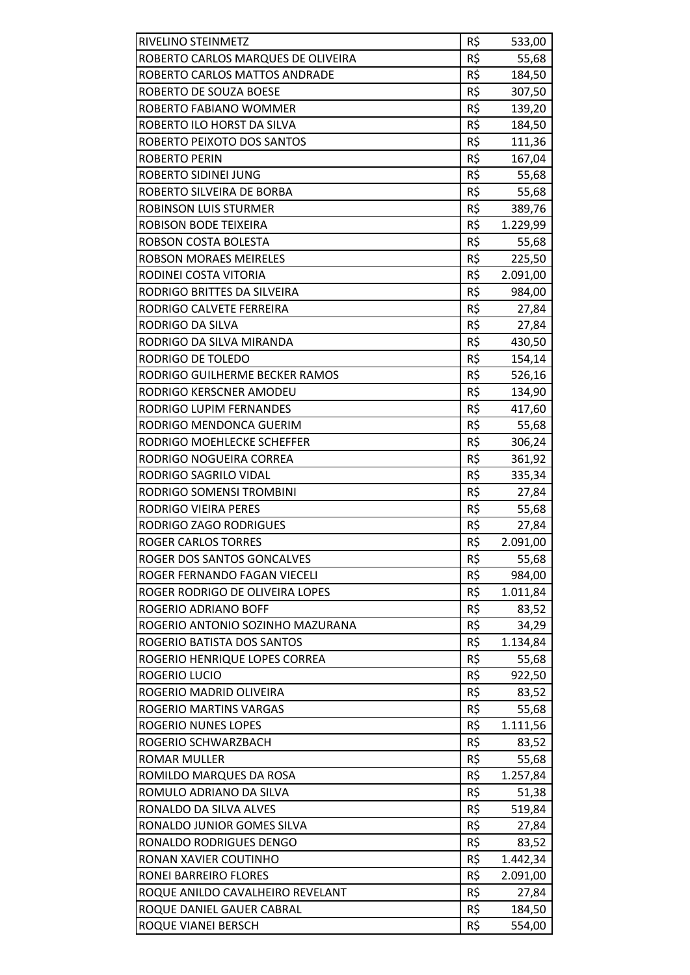| RIVELINO STEINMETZ                                                  | R\$        | 533,00           |
|---------------------------------------------------------------------|------------|------------------|
| ROBERTO CARLOS MARQUES DE OLIVEIRA<br>ROBERTO CARLOS MATTOS ANDRADE | R\$<br>R\$ | 55,68            |
| ROBERTO DE SOUZA BOESE                                              | R\$        | 184,50           |
| ROBERTO FABIANO WOMMER                                              | R\$        | 307,50<br>139,20 |
| ROBERTO ILO HORST DA SILVA                                          | R\$        | 184,50           |
| ROBERTO PEIXOTO DOS SANTOS                                          | R\$        | 111,36           |
| <b>ROBERTO PERIN</b>                                                | R\$        | 167,04           |
| ROBERTO SIDINEI JUNG                                                | R\$        | 55,68            |
| ROBERTO SILVEIRA DE BORBA                                           | R\$        | 55,68            |
| ROBINSON LUIS STURMER                                               | R\$        | 389,76           |
|                                                                     | R\$        |                  |
| ROBISON BODE TEIXEIRA                                               | R\$        | 1.229,99         |
| ROBSON COSTA BOLESTA                                                | R\$        | 55,68            |
| ROBSON MORAES MEIRELES                                              |            | 225,50           |
| RODINEI COSTA VITORIA                                               | R\$        | 2.091,00         |
| RODRIGO BRITTES DA SILVEIRA                                         | R\$        | 984,00           |
| RODRIGO CALVETE FERREIRA                                            | R\$        | 27,84            |
| RODRIGO DA SILVA                                                    | R\$        | 27,84            |
| RODRIGO DA SILVA MIRANDA                                            | R\$        | 430,50           |
| <b>RODRIGO DE TOLEDO</b>                                            | R\$        | 154,14           |
| RODRIGO GUILHERME BECKER RAMOS                                      | R\$        | 526,16           |
| RODRIGO KERSCNER AMODEU                                             | R\$        | 134,90           |
| RODRIGO LUPIM FERNANDES                                             | R\$        | 417,60           |
| RODRIGO MENDONCA GUERIM                                             | R\$        | 55,68            |
| RODRIGO MOEHLECKE SCHEFFER                                          | R\$        | 306,24           |
| RODRIGO NOGUEIRA CORREA                                             | R\$        | 361,92           |
| RODRIGO SAGRILO VIDAL                                               | R\$        | 335,34           |
| RODRIGO SOMENSI TROMBINI                                            | R\$        | 27,84            |
| RODRIGO VIEIRA PERES                                                | R\$        | 55,68            |
| RODRIGO ZAGO RODRIGUES                                              | R\$        | 27,84            |
| <b>ROGER CARLOS TORRES</b>                                          | R\$        | 2.091,00         |
| ROGER DOS SANTOS GONCALVES                                          | R\$        | 55,68            |
| ROGER FERNANDO FAGAN VIECELI                                        | R\$        | 984,00           |
| ROGER RODRIGO DE OLIVEIRA LOPES                                     | R\$        | 1.011,84         |
| ROGERIO ADRIANO BOFF                                                | R\$        | 83,52            |
| ROGERIO ANTONIO SOZINHO MAZURANA                                    | R\$        | 34,29            |
| ROGERIO BATISTA DOS SANTOS                                          | R\$        | 1.134,84         |
| ROGERIO HENRIQUE LOPES CORREA                                       | R\$        | 55,68            |
| ROGERIO LUCIO                                                       | R\$        | 922,50           |
| ROGERIO MADRID OLIVEIRA                                             | R\$        | 83,52            |
| ROGERIO MARTINS VARGAS                                              | R\$        | 55,68            |
| ROGERIO NUNES LOPES                                                 | R\$        | 1.111,56         |
| ROGERIO SCHWARZBACH                                                 | R\$        | 83,52            |
| ROMAR MULLER                                                        | R\$        | 55,68            |
| ROMILDO MARQUES DA ROSA                                             | R\$        | 1.257,84         |
| ROMULO ADRIANO DA SILVA                                             | R\$        | 51,38            |
| RONALDO DA SILVA ALVES                                              | R\$        | 519,84           |
| RONALDO JUNIOR GOMES SILVA                                          | R\$        | 27,84            |
| RONALDO RODRIGUES DENGO                                             | R\$        | 83,52            |
| RONAN XAVIER COUTINHO                                               | R\$        | 1.442,34         |
| RONEI BARREIRO FLORES                                               | R\$        | 2.091,00         |
| ROQUE ANILDO CAVALHEIRO REVELANT                                    | R\$        | 27,84            |
| ROQUE DANIEL GAUER CABRAL                                           | R\$        | 184,50           |
|                                                                     | R\$        | 554,00           |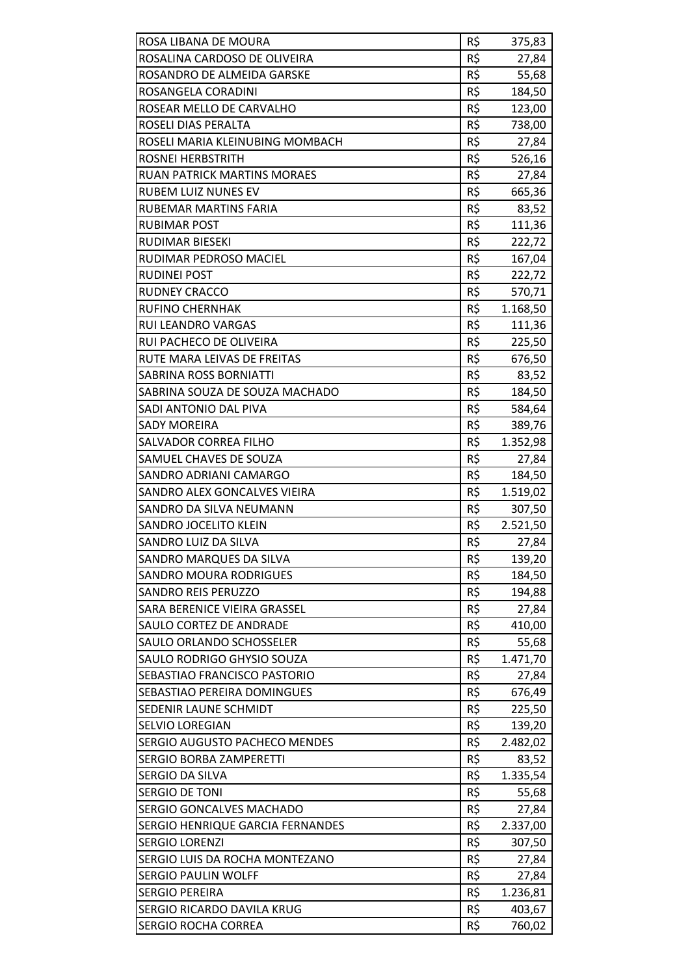| ROSA LIBANA DE MOURA                                    | R\$        | 375,83   |
|---------------------------------------------------------|------------|----------|
| ROSALINA CARDOSO DE OLIVEIRA                            | R\$        | 27,84    |
| ROSANDRO DE ALMEIDA GARSKE                              | R\$<br>R\$ | 55,68    |
| ROSANGELA CORADINI                                      | R\$        | 184,50   |
| ROSEAR MELLO DE CARVALHO                                |            | 123,00   |
| ROSELI DIAS PERALTA                                     | R\$        | 738,00   |
| ROSELI MARIA KLEINUBING MOMBACH                         | R\$        | 27,84    |
| ROSNEI HERBSTRITH<br><b>RUAN PATRICK MARTINS MORAES</b> | R\$<br>R\$ | 526,16   |
|                                                         |            | 27,84    |
| <b>RUBEM LUIZ NUNES EV</b>                              | R\$        | 665,36   |
| RUBEMAR MARTINS FARIA                                   | R\$        | 83,52    |
| RUBIMAR POST                                            | R\$        | 111,36   |
| RUDIMAR BIESEKI                                         | R\$        | 222,72   |
| RUDIMAR PEDROSO MACIEL                                  | R\$        | 167,04   |
| <b>RUDINEI POST</b>                                     | R\$        | 222,72   |
| <b>RUDNEY CRACCO</b>                                    | R\$        | 570,71   |
| RUFINO CHERNHAK                                         | R\$        | 1.168,50 |
| <b>RUI LEANDRO VARGAS</b>                               | R\$        | 111,36   |
| RUI PACHECO DE OLIVEIRA                                 | R\$        | 225,50   |
| RUTE MARA LEIVAS DE FREITAS                             | R\$        | 676,50   |
| SABRINA ROSS BORNIATTI                                  | R\$        | 83,52    |
| SABRINA SOUZA DE SOUZA MACHADO                          | R\$        | 184,50   |
| SADI ANTONIO DAL PIVA                                   | R\$        | 584,64   |
| <b>SADY MOREIRA</b>                                     | R\$        | 389,76   |
| SALVADOR CORREA FILHO                                   | R\$        | 1.352,98 |
| SAMUEL CHAVES DE SOUZA                                  | R\$        | 27,84    |
| SANDRO ADRIANI CAMARGO                                  | R\$        | 184,50   |
| SANDRO ALEX GONCALVES VIEIRA                            | R\$        | 1.519,02 |
| SANDRO DA SILVA NEUMANN                                 | R\$        | 307,50   |
| SANDRO JOCELITO KLEIN                                   | R\$        | 2.521,50 |
| SANDRO LUIZ DA SILVA                                    | R\$        | 27,84    |
| SANDRO MARQUES DA SILVA                                 | R\$        | 139,20   |
| <b>SANDRO MOURA RODRIGUES</b>                           | R\$        | 184,50   |
| <b>SANDRO REIS PERUZZO</b>                              | R\$        | 194,88   |
| SARA BERENICE VIEIRA GRASSEL                            | R\$        | 27,84    |
| SAULO CORTEZ DE ANDRADE                                 | R\$        | 410,00   |
| SAULO ORLANDO SCHOSSELER                                | R\$        | 55,68    |
| SAULO RODRIGO GHYSIO SOUZA                              | R\$        | 1.471,70 |
| SEBASTIAO FRANCISCO PASTORIO                            | R\$        | 27,84    |
| SEBASTIAO PEREIRA DOMINGUES                             | R\$        | 676,49   |
| SEDENIR LAUNE SCHMIDT                                   | R\$        | 225,50   |
| SELVIO LOREGIAN                                         | R\$        | 139,20   |
| <b>SERGIO AUGUSTO PACHECO MENDES</b>                    | R\$        | 2.482,02 |
| SERGIO BORBA ZAMPERETTI                                 | R\$        | 83,52    |
| SERGIO DA SILVA                                         | R\$        | 1.335,54 |
| SERGIO DE TONI                                          | R\$        | 55,68    |
| SERGIO GONCALVES MACHADO                                | R\$        | 27,84    |
| SERGIO HENRIQUE GARCIA FERNANDES                        | R\$        | 2.337,00 |
| <b>SERGIO LORENZI</b>                                   | R\$        | 307,50   |
| SERGIO LUIS DA ROCHA MONTEZANO                          | R\$        | 27,84    |
| <b>SERGIO PAULIN WOLFF</b>                              | R\$        | 27,84    |
| SERGIO PEREIRA                                          | R\$        | 1.236,81 |
| SERGIO RICARDO DAVILA KRUG                              | R\$        | 403,67   |
| SERGIO ROCHA CORREA                                     | R\$        | 760,02   |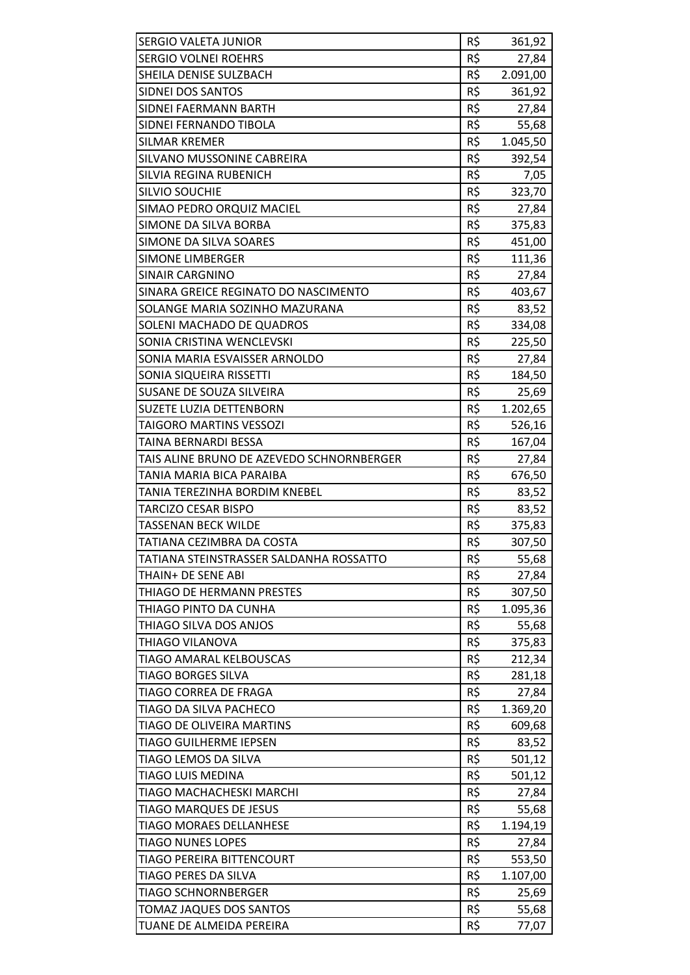| <b>SERGIO VALETA JUNIOR</b>               | R\$ | 361,92   |
|-------------------------------------------|-----|----------|
| <b>SERGIO VOLNEI ROEHRS</b>               | R\$ | 27,84    |
| SHEILA DENISE SULZBACH                    | R\$ | 2.091,00 |
| SIDNEI DOS SANTOS                         | R\$ | 361,92   |
| SIDNEI FAERMANN BARTH                     | R\$ | 27,84    |
| SIDNEI FERNANDO TIBOLA                    | R\$ | 55,68    |
| <b>SILMAR KREMER</b>                      | R\$ | 1.045,50 |
| SILVANO MUSSONINE CABREIRA                | R\$ | 392,54   |
| SILVIA REGINA RUBENICH                    | R\$ | 7,05     |
| <b>SILVIO SOUCHIE</b>                     | R\$ | 323,70   |
| SIMAO PEDRO ORQUIZ MACIEL                 | R\$ | 27,84    |
| SIMONE DA SILVA BORBA                     | R\$ | 375,83   |
| SIMONE DA SILVA SOARES                    | R\$ | 451,00   |
| <b>SIMONE LIMBERGER</b>                   | R\$ | 111,36   |
| <b>SINAIR CARGNINO</b>                    | R\$ | 27,84    |
| SINARA GREICE REGINATO DO NASCIMENTO      | R\$ | 403,67   |
| SOLANGE MARIA SOZINHO MAZURANA            | R\$ | 83,52    |
| SOLENI MACHADO DE QUADROS                 | R\$ | 334,08   |
| SONIA CRISTINA WENCLEVSKI                 | R\$ | 225,50   |
| SONIA MARIA ESVAISSER ARNOLDO             | R\$ | 27,84    |
| SONIA SIQUEIRA RISSETTI                   | R\$ | 184,50   |
| SUSANE DE SOUZA SILVEIRA                  | R\$ | 25,69    |
| SUZETE LUZIA DETTENBORN                   | R\$ | 1.202,65 |
| <b>TAIGORO MARTINS VESSOZI</b>            | R\$ | 526,16   |
| TAINA BERNARDI BESSA                      | R\$ | 167,04   |
| TAIS ALINE BRUNO DE AZEVEDO SCHNORNBERGER | R\$ | 27,84    |
| TANIA MARIA BICA PARAIBA                  | R\$ | 676,50   |
| TANIA TEREZINHA BORDIM KNEBEL             | R\$ | 83,52    |
| <b>TARCIZO CESAR BISPO</b>                | R\$ | 83,52    |
| TASSENAN BECK WILDE                       | R\$ | 375,83   |
| TATIANA CEZIMBRA DA COSTA                 | R\$ | 307,50   |
| TATIANA STEINSTRASSER SALDANHA ROSSATTO   | R\$ | 55,68    |
| THAIN+ DE SENE ABI                        | R\$ | 27,84    |
| THIAGO DE HERMANN PRESTES                 | R\$ | 307,50   |
| THIAGO PINTO DA CUNHA                     | R\$ | 1.095,36 |
| THIAGO SILVA DOS ANJOS                    | R\$ | 55,68    |
| THIAGO VILANOVA                           | R\$ | 375,83   |
| <b>TIAGO AMARAL KELBOUSCAS</b>            | R\$ | 212,34   |
| <b>TIAGO BORGES SILVA</b>                 | R\$ | 281,18   |
| TIAGO CORREA DE FRAGA                     | R\$ | 27,84    |
| TIAGO DA SILVA PACHECO                    | R\$ | 1.369,20 |
| TIAGO DE OLIVEIRA MARTINS                 | R\$ | 609,68   |
| <b>TIAGO GUILHERME IEPSEN</b>             | R\$ | 83,52    |
| TIAGO LEMOS DA SILVA                      | R\$ | 501,12   |
| <b>TIAGO LUIS MEDINA</b>                  | R\$ | 501,12   |
| TIAGO MACHACHESKI MARCHI                  | R\$ | 27,84    |
| TIAGO MARQUES DE JESUS                    | R\$ | 55,68    |
| <b>TIAGO MORAES DELLANHESE</b>            | R\$ | 1.194,19 |
| <b>TIAGO NUNES LOPES</b>                  | R\$ | 27,84    |
| TIAGO PEREIRA BITTENCOURT                 | R\$ | 553,50   |
| TIAGO PERES DA SILVA                      | R\$ | 1.107,00 |
| <b>TIAGO SCHNORNBERGER</b>                | R\$ | 25,69    |
| <b>TOMAZ JAQUES DOS SANTOS</b>            | R\$ | 55,68    |
| TUANE DE ALMEIDA PEREIRA                  | R\$ | 77,07    |
|                                           |     |          |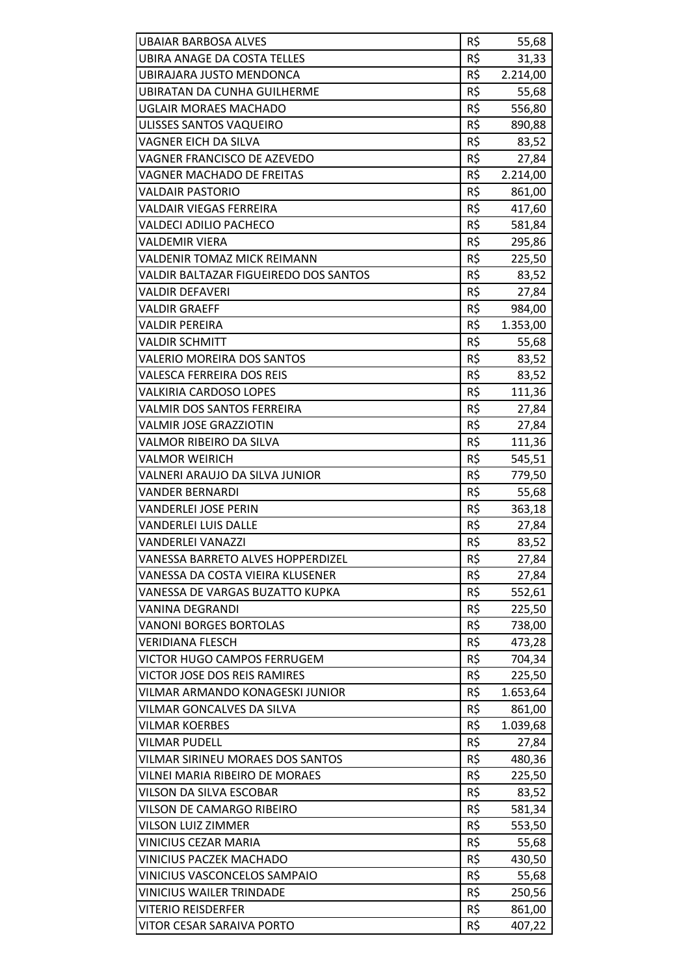| <b>UBAIAR BARBOSA ALVES</b>           | R\$ | 55,68    |
|---------------------------------------|-----|----------|
| <b>UBIRA ANAGE DA COSTA TELLES</b>    | R\$ | 31,33    |
| UBIRAJARA JUSTO MENDONCA              | R\$ | 2.214,00 |
| <b>UBIRATAN DA CUNHA GUILHERME</b>    | R\$ | 55,68    |
| <b>UGLAIR MORAES MACHADO</b>          | R\$ | 556,80   |
| ULISSES SANTOS VAQUEIRO               | R\$ | 890,88   |
| VAGNER EICH DA SILVA                  | R\$ | 83,52    |
| VAGNER FRANCISCO DE AZEVEDO           | R\$ | 27,84    |
| <b>VAGNER MACHADO DE FREITAS</b>      | R\$ | 2.214,00 |
| <b>VALDAIR PASTORIO</b>               | R\$ | 861,00   |
| <b>VALDAIR VIEGAS FERREIRA</b>        | R\$ | 417,60   |
| <b>VALDECI ADILIO PACHECO</b>         | R\$ | 581,84   |
| <b>VALDEMIR VIERA</b>                 | R\$ |          |
| <b>VALDENIR TOMAZ MICK REIMANN</b>    | R\$ | 295,86   |
|                                       |     | 225,50   |
| VALDIR BALTAZAR FIGUEIREDO DOS SANTOS | R\$ | 83,52    |
| <b>VALDIR DEFAVERI</b>                | R\$ | 27,84    |
| <b>VALDIR GRAEFF</b>                  | R\$ | 984,00   |
| <b>VALDIR PEREIRA</b>                 | R\$ | 1.353,00 |
| <b>VALDIR SCHMITT</b>                 | R\$ | 55,68    |
| <b>VALERIO MOREIRA DOS SANTOS</b>     | R\$ | 83,52    |
| <b>VALESCA FERREIRA DOS REIS</b>      | R\$ | 83,52    |
| <b>VALKIRIA CARDOSO LOPES</b>         | R\$ | 111,36   |
| <b>VALMIR DOS SANTOS FERREIRA</b>     | R\$ | 27,84    |
| <b>VALMIR JOSE GRAZZIOTIN</b>         | R\$ | 27,84    |
| VALMOR RIBEIRO DA SILVA               | R\$ | 111,36   |
| <b>VALMOR WEIRICH</b>                 | R\$ | 545,51   |
| VALNERI ARAUJO DA SILVA JUNIOR        | R\$ | 779,50   |
| <b>VANDER BERNARDI</b>                | R\$ | 55,68    |
| <b>VANDERLEI JOSE PERIN</b>           | R\$ | 363,18   |
| <b>VANDERLEI LUIS DALLE</b>           | R\$ | 27,84    |
| <b>VANDERLEI VANAZZI</b>              | R\$ | 83,52    |
| VANESSA BARRETO ALVES HOPPERDIZEL     | R\$ | 27,84    |
| VANESSA DA COSTA VIEIRA KLUSENER      | R\$ | 27,84    |
| VANESSA DE VARGAS BUZATTO KUPKA       | R\$ | 552,61   |
| VANINA DEGRANDI                       | R\$ | 225,50   |
| <b>VANONI BORGES BORTOLAS</b>         | R\$ | 738,00   |
| <b>VERIDIANA FLESCH</b>               | R\$ | 473,28   |
| VICTOR HUGO CAMPOS FERRUGEM           | R\$ | 704,34   |
| <b>VICTOR JOSE DOS REIS RAMIRES</b>   | R\$ | 225,50   |
| VILMAR ARMANDO KONAGESKI JUNIOR       | R\$ | 1.653,64 |
| <b>VILMAR GONCALVES DA SILVA</b>      | R\$ | 861,00   |
| <b>VILMAR KOERBES</b>                 | R\$ | 1.039,68 |
| <b>VILMAR PUDELL</b>                  | R\$ | 27,84    |
| VILMAR SIRINEU MORAES DOS SANTOS      | R\$ | 480,36   |
| VILNEI MARIA RIBEIRO DE MORAES        | R\$ | 225,50   |
| VILSON DA SILVA ESCOBAR               | R\$ | 83,52    |
| VILSON DE CAMARGO RIBEIRO             | R\$ | 581,34   |
| VILSON LUIZ ZIMMER                    | R\$ | 553,50   |
| <b>VINICIUS CEZAR MARIA</b>           | R\$ | 55,68    |
| <b>VINICIUS PACZEK MACHADO</b>        | R\$ | 430,50   |
| VINICIUS VASCONCELOS SAMPAIO          | R\$ | 55,68    |
| <b>VINICIUS WAILER TRINDADE</b>       | R\$ | 250,56   |
| <b>VITERIO REISDERFER</b>             | R\$ | 861,00   |
| VITOR CESAR SARAIVA PORTO             | R\$ | 407,22   |
|                                       |     |          |